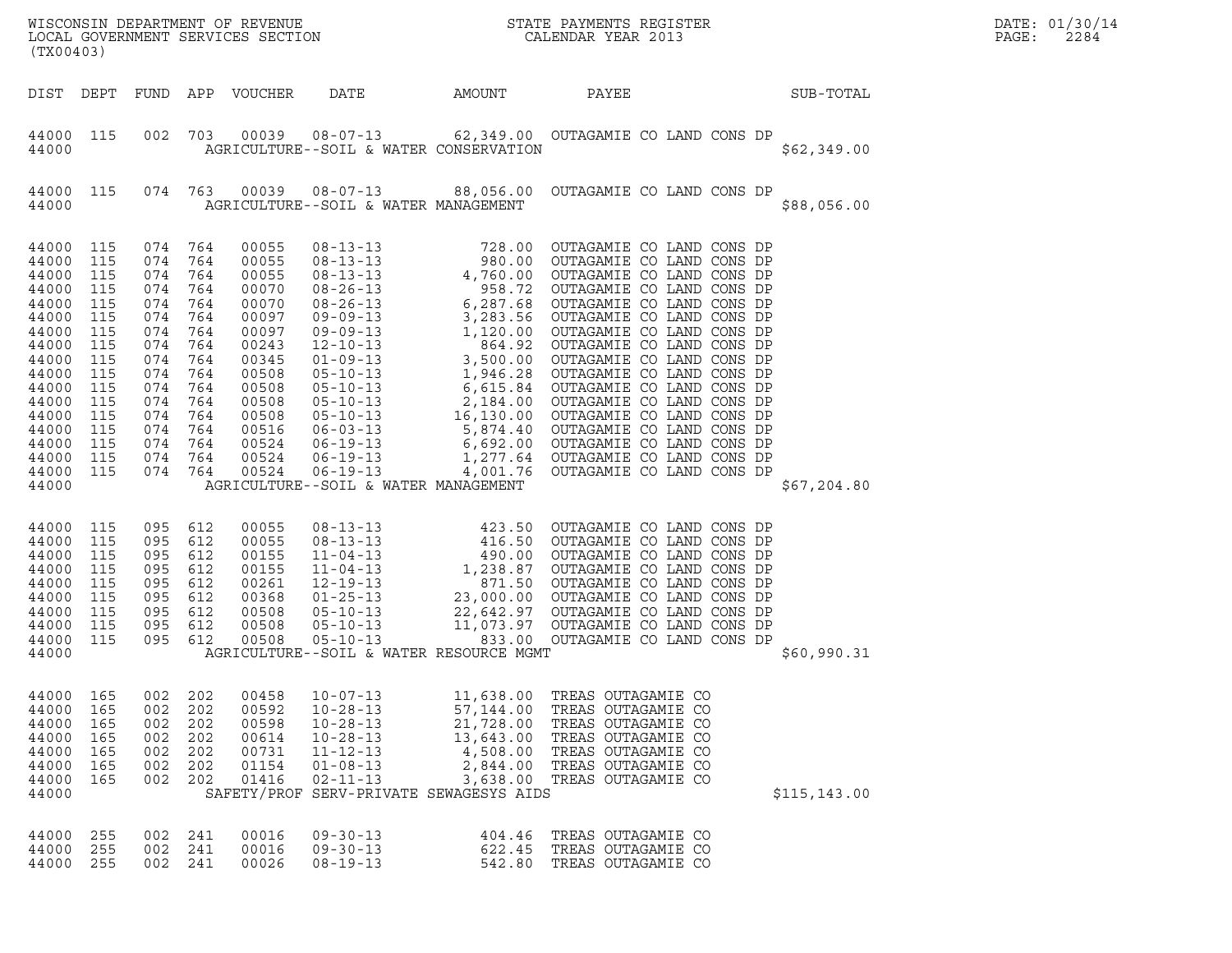| (TX00403)                                                                                                                                                              |                                                                                                       |                                                                                                                                         |                                                                                  | LOCAL GOVERNMENT SERVICES SECTION                                                                                                                     |                                                                                                                                                                       |                                                                                      |                                                                                                                                                        |               | DATE: 01/30/14<br>PAGE:<br>2284 |
|------------------------------------------------------------------------------------------------------------------------------------------------------------------------|-------------------------------------------------------------------------------------------------------|-----------------------------------------------------------------------------------------------------------------------------------------|----------------------------------------------------------------------------------|-------------------------------------------------------------------------------------------------------------------------------------------------------|-----------------------------------------------------------------------------------------------------------------------------------------------------------------------|--------------------------------------------------------------------------------------|--------------------------------------------------------------------------------------------------------------------------------------------------------|---------------|---------------------------------|
|                                                                                                                                                                        |                                                                                                       |                                                                                                                                         |                                                                                  | DIST DEPT FUND APP VOUCHER                                                                                                                            | DATE                                                                                                                                                                  | AMOUNT                                                                               | PAYEE                                                                                                                                                  | SUB-TOTAL     |                                 |
| 44000 115<br>44000                                                                                                                                                     |                                                                                                       | 002                                                                                                                                     | 703                                                                              |                                                                                                                                                       | AGRICULTURE--SOIL & WATER CONSERVATION                                                                                                                                |                                                                                      |                                                                                                                                                        | \$62,349.00   |                                 |
| 44000 115<br>44000                                                                                                                                                     |                                                                                                       |                                                                                                                                         | 074 763                                                                          |                                                                                                                                                       | AGRICULTURE--SOIL & WATER MANAGEMENT                                                                                                                                  |                                                                                      | 00039  08-07-13  88,056.00  OUTAGAMIE CO LAND CONS DP                                                                                                  | \$88,056.00   |                                 |
| 44000 115<br>44000<br>44000<br>44000<br>44000<br>44000<br>44000<br>44000<br>44000<br>44000<br>44000<br>44000<br>44000<br>44000<br>44000<br>44000<br>44000 115<br>44000 | 115<br>115<br>115<br>115<br>115<br>115<br>115<br>115<br>115<br>115<br>115<br>115<br>115<br>115<br>115 | 074 764<br>074<br>074<br>074<br>074<br>074<br>074<br>074<br>074<br>074<br>074<br>074<br>074 764<br>074<br>074 764<br>074 764<br>074 764 | 764<br>764<br>764<br>764<br>764<br>764<br>764<br>764<br>764<br>764<br>764<br>764 | 00055<br>00055<br>00055<br>00070<br>00070<br>00097<br>00097<br>00243<br>00345<br>00508<br>00508<br>00508<br>00508<br>00516<br>00524<br>00524<br>00524 | AGRICULTURE--SOIL & WATER MANAGEMENT                                                                                                                                  |                                                                                      |                                                                                                                                                        | \$67,204.80   |                                 |
| 44000 115<br>44000<br>44000<br>44000<br>44000<br>44000<br>44000<br>44000<br>44000<br>44000                                                                             | 115<br>115<br>115<br>115<br>115<br>115<br>115<br>115                                                  | 095<br>095<br>095<br>095<br>095<br>095<br>095<br>095<br>095 612                                                                         | 612<br>612<br>612<br>612<br>612<br>612<br>612<br>612                             | 00055<br>00055<br>00155<br>00155<br>00261<br>00368<br>00508<br>00508<br>00508                                                                         | AGRICULTURE--SOIL & WATER RESOURCE MGMT                                                                                                                               |                                                                                      |                                                                                                                                                        | \$60,990.31   |                                 |
| 44000<br>44000<br>44000<br>44000<br>44000<br>44000<br>44000<br>44000                                                                                                   | 165<br>165<br>165<br>165<br>165<br>165<br>165                                                         | 002<br>002<br>002<br>002<br>002<br>002<br>002                                                                                           | 202<br>202<br>202<br>202<br>202<br>202<br>202                                    | 00458<br>00592<br>00598<br>00614<br>00731<br>01154<br>01416                                                                                           | $10 - 07 - 13$<br>$10 - 28 - 13$<br>$10 - 28 - 13$<br>$10 - 28 - 13$<br>$11 - 12 - 13$<br>$01 - 08 - 13$<br>$02 - 11 - 13$<br>SAFETY/PROF SERV-PRIVATE SEWAGESYS AIDS | 11,638.00<br>57,144.00<br>21,728.00<br>13,643.00<br>4,508.00<br>2,844.00<br>3,638.00 | TREAS OUTAGAMIE CO<br>TREAS OUTAGAMIE CO<br>TREAS OUTAGAMIE CO<br>TREAS OUTAGAMIE CO<br>TREAS OUTAGAMIE CO<br>TREAS OUTAGAMIE CO<br>TREAS OUTAGAMIE CO | \$115, 143.00 |                                 |
| 44000<br>44000<br>44000                                                                                                                                                | 255<br>255<br>255                                                                                     | 002<br>002<br>002                                                                                                                       | 241<br>241<br>241                                                                | 00016<br>00016<br>00026                                                                                                                               | $09 - 30 - 13$<br>$09 - 30 - 13$<br>$08 - 19 - 13$                                                                                                                    | 404.46<br>622.45<br>542.80                                                           | TREAS OUTAGAMIE CO<br>TREAS OUTAGAMIE CO<br>TREAS OUTAGAMIE CO                                                                                         |               |                                 |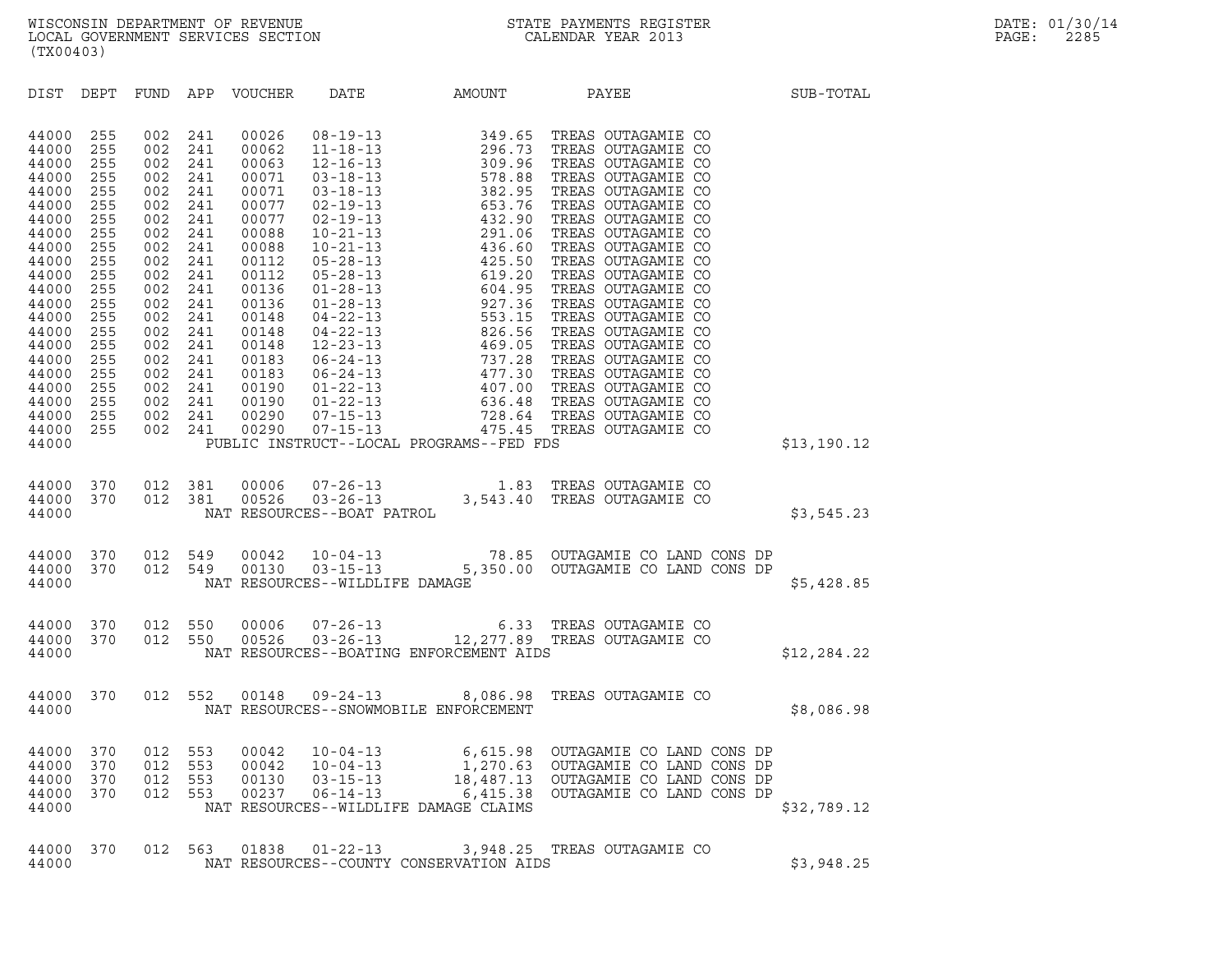| (TX00403)      |            |            |               |                |                                |                                          |                                                                                                                             |             |
|----------------|------------|------------|---------------|----------------|--------------------------------|------------------------------------------|-----------------------------------------------------------------------------------------------------------------------------|-------------|
| DIST           | DEPT       |            |               |                |                                |                                          | FUND APP VOUCHER DATE AMOUNT PAYEE                                                                                          | SUB-TOTAL   |
| 44000          | 255        | 002        | 241           | 00026          |                                |                                          |                                                                                                                             |             |
| 44000          | 255        | 002        | 241           | 00062          |                                |                                          |                                                                                                                             |             |
| 44000<br>44000 | 255<br>255 | 002<br>002 | 241<br>241    | 00063<br>00071 |                                |                                          |                                                                                                                             |             |
| 44000          | 255        | 002        | 241           | 00071          |                                |                                          |                                                                                                                             |             |
| 44000          | 255        | 002        | 241           | 00077          |                                |                                          |                                                                                                                             |             |
| 44000          | 255        | 002        | 241           | 00077          |                                |                                          |                                                                                                                             |             |
| 44000          | 255        | 002        | 241           | 00088          |                                |                                          |                                                                                                                             |             |
| 44000          | 255        | 002        | 241           | 00088          |                                |                                          |                                                                                                                             |             |
| 44000<br>44000 | 255<br>255 | 002<br>002 | 241<br>241    | 00112<br>00112 |                                |                                          |                                                                                                                             |             |
| 44000          | 255        | 002        | 241           | 00136          |                                |                                          |                                                                                                                             |             |
| 44000          | 255        | 002        | 241           | 00136          |                                |                                          |                                                                                                                             |             |
| 44000          | 255        | 002        | 241           | 00148          |                                |                                          |                                                                                                                             |             |
| 44000          | 255        | 002        | 241           | 00148          |                                |                                          |                                                                                                                             |             |
| 44000          | 255        | 002        | 241           | 00148          |                                |                                          |                                                                                                                             |             |
| 44000<br>44000 | 255<br>255 | 002<br>002 | 241<br>241    | 00183<br>00183 |                                |                                          |                                                                                                                             |             |
| 44000          | 255        | 002        | 241           | 00190          |                                |                                          |                                                                                                                             |             |
| 44000          | 255        | 002        | 241           | 00190          |                                |                                          |                                                                                                                             |             |
| 44000          | 255        | 002        | 241           | 00290          |                                |                                          |                                                                                                                             |             |
| 44000          | 255        |            | 002 241       | 00290          |                                |                                          |                                                                                                                             |             |
| 44000          |            |            |               |                |                                | PUBLIC INSTRUCT--LOCAL PROGRAMS--FED FDS |                                                                                                                             | \$13,190.12 |
| 44000          |            |            | 370  012  381 |                |                                |                                          |                                                                                                                             |             |
| 44000          | 370        |            | 012 381       |                |                                |                                          |                                                                                                                             |             |
| 44000          |            |            |               |                |                                |                                          |                                                                                                                             | \$3,545.23  |
|                |            |            |               |                |                                |                                          |                                                                                                                             |             |
| 44000<br>44000 |            |            |               |                |                                |                                          | 370 012 549 00042 10-04-13 78.85 OUTAGAMIE CO LAND CONS DP<br>370 012 549 00130 03-15-13 5,350.00 OUTAGAMIE CO LAND CONS DP |             |
| 44000          |            |            |               |                | NAT RESOURCES--WILDLIFE DAMAGE |                                          |                                                                                                                             | \$5,428.85  |
|                |            |            |               |                |                                |                                          |                                                                                                                             |             |
| 44000          | 370        |            | 012 550       |                |                                |                                          | 00006  07-26-13  6.33  TREAS OUTAGAMIE CO<br>00526  03-26-13  12,277.89  TREAS OUTAGAMIE CO                                 |             |
| 44000          | 370        | 012        | 550           |                |                                |                                          |                                                                                                                             |             |
| 44000          |            |            |               |                |                                | NAT RESOURCES--BOATING ENFORCEMENT AIDS  |                                                                                                                             | \$12,284.22 |
| 44000          | 370        |            | 012 552       |                |                                |                                          | 00148  09-24-13  8,086.98  TREAS OUTAGAMIE CO                                                                               |             |
| 44000          |            |            |               |                |                                | NAT RESOURCES--SNOWMOBILE ENFORCEMENT    |                                                                                                                             | \$8,086.98  |
|                |            |            |               |                |                                |                                          |                                                                                                                             |             |

| 44000                                     | NAT RESOURCES--SNOWMOBILE ENFORCEMENT |                          |                          |                                  |                                                                |                                         |                                                                                                                                                       |  |             |  |  |
|-------------------------------------------|---------------------------------------|--------------------------|--------------------------|----------------------------------|----------------------------------------------------------------|-----------------------------------------|-------------------------------------------------------------------------------------------------------------------------------------------------------|--|-------------|--|--|
| 44000<br>44000<br>44000<br>44000<br>44000 | 370<br>370<br>370<br>370              | 012<br>012<br>012<br>012 | 553<br>553<br>553<br>553 | 00042<br>00042<br>00130<br>00237 | $10 - 04 - 13$<br>$10 - 04 - 13$<br>03-15-13<br>$06 - 14 - 13$ | NAT RESOURCES--WILDLIFE DAMAGE CLAIMS   | 6,615.98 OUTAGAMIE CO LAND CONS DP<br>1,270.63 OUTAGAMIE CO LAND CONS DP<br>18,487.13 OUTAGAMIE CO LAND CONS DP<br>6,415.38 OUTAGAMIE CO LAND CONS DP |  | \$32,789.12 |  |  |
| 44000<br>44000                            | 370                                   | 012                      | 563                      | 01838                            | 01-22-13                                                       | NAT RESOURCES--COUNTY CONSERVATION AIDS | 3,948.25 TREAS OUTAGAMIE CO                                                                                                                           |  | \$3,948.25  |  |  |

| 44000 |  |  | 44000 370 012 563 01838 01-22-13 | 3,948.25 TREAS OUTAGAMIE CO<br>NAT RESOURCES--COUNTY CONSERVATION AIDS |  | \$3,948.25 |
|-------|--|--|----------------------------------|------------------------------------------------------------------------|--|------------|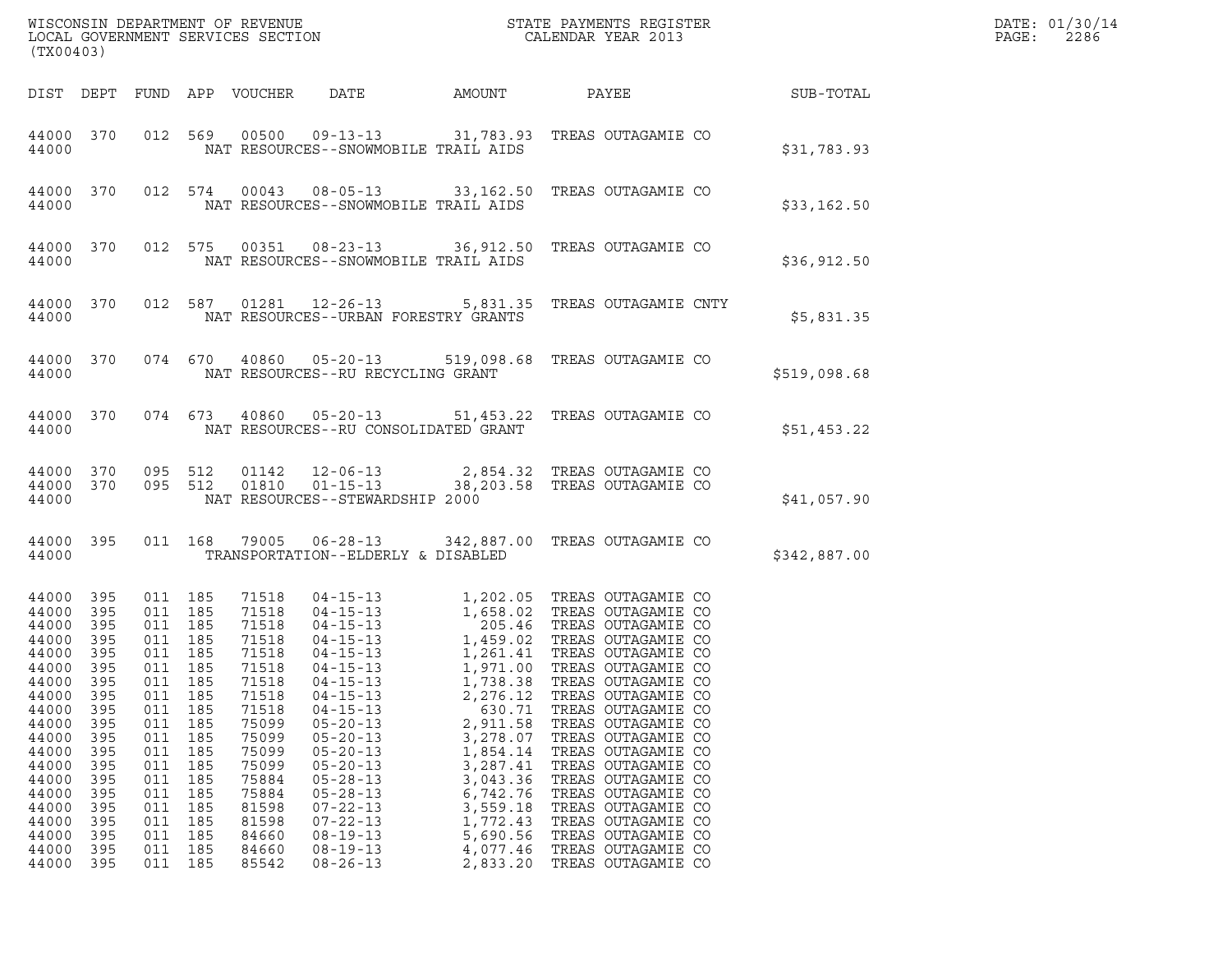| ${\tt WISCO} {\tt NSM} {\tt NEMR} {\tt NEMR} {\tt NEMR} {\tt NEMR} {\tt NEMR} {\tt NEMR} {\tt NEMR} {\tt NEMR} {\tt NEMR} {\tt NEMR} {\tt NEMR} {\tt NEMR} {\tt NEMR} {\tt NEMR} {\tt NEMR} {\tt NEMR} {\tt NEMR} {\tt NEMR} {\tt NEMR} {\tt NEMR} {\tt NEMR} {\tt NEMR} {\tt NEMR} {\tt NEMR} {\tt NEMR} {\tt NEMR} {\tt NEMR} {\tt NEMR} {\tt NEMR} {\tt NEMR} {\tt NEMR} {\tt NEMR} {\tt NEMR} {\tt NEMR} {\tt NEMR}$<br>(TX00403) |                                                                                                                                            |                                                                                                                                 |                                                                                                                                 |                                                                                                                                                                                  |                                                                                                                                                                                                                                                                            |                                                                                                                                                                    |                                                                                                                                                                                                                                                                                                                                                                                                                                                                                                                                         |              | DATE: 01/30/14<br>PAGE:<br>2286 |  |
|---------------------------------------------------------------------------------------------------------------------------------------------------------------------------------------------------------------------------------------------------------------------------------------------------------------------------------------------------------------------------------------------------------------------------------------|--------------------------------------------------------------------------------------------------------------------------------------------|---------------------------------------------------------------------------------------------------------------------------------|---------------------------------------------------------------------------------------------------------------------------------|----------------------------------------------------------------------------------------------------------------------------------------------------------------------------------|----------------------------------------------------------------------------------------------------------------------------------------------------------------------------------------------------------------------------------------------------------------------------|--------------------------------------------------------------------------------------------------------------------------------------------------------------------|-----------------------------------------------------------------------------------------------------------------------------------------------------------------------------------------------------------------------------------------------------------------------------------------------------------------------------------------------------------------------------------------------------------------------------------------------------------------------------------------------------------------------------------------|--------------|---------------------------------|--|
|                                                                                                                                                                                                                                                                                                                                                                                                                                       |                                                                                                                                            |                                                                                                                                 |                                                                                                                                 | DIST DEPT FUND APP VOUCHER                                                                                                                                                       | DATE                                                                                                                                                                                                                                                                       | AMOUNT                                                                                                                                                             | PAYEE                                                                                                                                                                                                                                                                                                                                                                                                                                                                                                                                   |              | SUB-TOTAL                       |  |
| 44000 370<br>44000                                                                                                                                                                                                                                                                                                                                                                                                                    |                                                                                                                                            |                                                                                                                                 | 012 569                                                                                                                         | 00500                                                                                                                                                                            | $09 - 13 - 13$<br>NAT RESOURCES--SNOWMOBILE TRAIL AIDS                                                                                                                                                                                                                     |                                                                                                                                                                    | 31,783.93 TREAS OUTAGAMIE CO                                                                                                                                                                                                                                                                                                                                                                                                                                                                                                            |              | \$31,783.93                     |  |
| 44000 370<br>44000                                                                                                                                                                                                                                                                                                                                                                                                                    |                                                                                                                                            |                                                                                                                                 | 012 574                                                                                                                         | 00043                                                                                                                                                                            | NAT RESOURCES--SNOWMOBILE TRAIL AIDS                                                                                                                                                                                                                                       |                                                                                                                                                                    | 08-05-13 33,162.50 TREAS OUTAGAMIE CO                                                                                                                                                                                                                                                                                                                                                                                                                                                                                                   |              | \$33,162.50                     |  |
| 44000 370<br>44000                                                                                                                                                                                                                                                                                                                                                                                                                    |                                                                                                                                            |                                                                                                                                 | 012 575                                                                                                                         | 00351                                                                                                                                                                            | $08 - 23 - 13$<br>NAT RESOURCES--SNOWMOBILE TRAIL AIDS                                                                                                                                                                                                                     |                                                                                                                                                                    | 36,912.50 TREAS OUTAGAMIE CO                                                                                                                                                                                                                                                                                                                                                                                                                                                                                                            |              | \$36,912.50                     |  |
| 44000 370<br>44000                                                                                                                                                                                                                                                                                                                                                                                                                    |                                                                                                                                            |                                                                                                                                 | 012 587                                                                                                                         | 01281                                                                                                                                                                            | NAT RESOURCES--URBAN FORESTRY GRANTS                                                                                                                                                                                                                                       |                                                                                                                                                                    | 12-26-13 5,831.35 TREAS OUTAGAMIE CNTY                                                                                                                                                                                                                                                                                                                                                                                                                                                                                                  |              | \$5,831.35                      |  |
| 44000                                                                                                                                                                                                                                                                                                                                                                                                                                 | 44000 370                                                                                                                                  |                                                                                                                                 | 074 670                                                                                                                         |                                                                                                                                                                                  | 40860 05-20-13<br>NAT RESOURCES--RU RECYCLING GRANT                                                                                                                                                                                                                        |                                                                                                                                                                    | 519,098.68 TREAS OUTAGAMIE CO                                                                                                                                                                                                                                                                                                                                                                                                                                                                                                           | \$519,098.68 |                                 |  |
| 44000                                                                                                                                                                                                                                                                                                                                                                                                                                 | 44000 370                                                                                                                                  |                                                                                                                                 | 074 673                                                                                                                         |                                                                                                                                                                                  | 40860 05-20-13<br>NAT RESOURCES--RU CONSOLIDATED GRANT                                                                                                                                                                                                                     |                                                                                                                                                                    | 51,453.22 TREAS OUTAGAMIE CO                                                                                                                                                                                                                                                                                                                                                                                                                                                                                                            |              | \$51,453.22                     |  |
| 44000                                                                                                                                                                                                                                                                                                                                                                                                                                 | 44000 370<br>44000 370                                                                                                                     | 095 512<br>095 512                                                                                                              |                                                                                                                                 | 01142<br>01810                                                                                                                                                                   | $12 - 06 - 13$<br>$01 - 15 - 13$<br>NAT RESOURCES--STEWARDSHIP 2000                                                                                                                                                                                                        |                                                                                                                                                                    | 2,854.32 TREAS OUTAGAMIE CO<br>38,203.58 TREAS OUTAGAMIE CO                                                                                                                                                                                                                                                                                                                                                                                                                                                                             |              | \$41,057.90                     |  |
| 44000 395<br>44000                                                                                                                                                                                                                                                                                                                                                                                                                    |                                                                                                                                            |                                                                                                                                 | 011 168                                                                                                                         |                                                                                                                                                                                  | TRANSPORTATION--ELDERLY & DISABLED                                                                                                                                                                                                                                         |                                                                                                                                                                    | 79005  06-28-13  342,887.00  TREAS OUTAGAMIE CO                                                                                                                                                                                                                                                                                                                                                                                                                                                                                         | \$342,887.00 |                                 |  |
| 44000<br>44000<br>44000<br>44000<br>44000<br>44000<br>44000<br>44000<br>44000<br>44000<br>44000<br>44000<br>44000<br>44000<br>44000<br>44000<br>44000<br>44000<br>44000<br>44000                                                                                                                                                                                                                                                      | 395<br>395<br>395<br>395<br>395<br>- 395<br>395<br>395<br>395<br>395<br>395<br>395<br>395<br>395<br>395<br>395<br>395<br>395<br>395<br>395 | 011 185<br>011 185<br>011 185<br>011<br>011<br>011<br>011<br>011<br>011<br>011<br>011<br>011<br>011<br>011<br>011<br>011<br>011 | 011 185<br>011 185<br>011 185<br>185<br>185<br>185<br>185<br>185<br>185<br>185<br>185<br>185<br>185<br>185<br>185<br>185<br>185 | 71518<br>71518<br>71518<br>71518<br>71518<br>71518<br>71518<br>71518<br>71518<br>75099<br>75099<br>75099<br>75099<br>75884<br>75884<br>81598<br>81598<br>84660<br>84660<br>85542 | $04 - 15 - 13$<br>$04 - 15 - 13$<br>$04 - 15 - 13$<br>$04 - 15 - 13$<br>$05 - 20 - 13$<br>$05 - 20 - 13$<br>$05 - 20 - 13$<br>$05 - 20 - 13$<br>$05 - 28 - 13$<br>$05 - 28 - 13$<br>$07 - 22 - 13$<br>$07 - 22 - 13$<br>$08 - 19 - 13$<br>$08 - 19 - 13$<br>$08 - 26 - 13$ | 1,738.38<br>2,276.12<br>630.71<br>2,911.58<br>3,278.07<br>1,854.14<br>3,287.41<br>3,043.36<br>6,742.76<br>3,559.18<br>1,772.43<br>5,690.56<br>4,077.46<br>2,833.20 | 04-15-13<br>04-15-13<br>1,658.02 TREAS OUTAGAMIE CO<br>04-15-13<br>1,459.02 TREAS OUTAGAMIE CO<br>04-15-13<br>1,261.41 TREAS OUTAGAMIE CO<br>04-15-13<br>1,261.41 TREAS OUTAGAMIE CO<br>1,971.00 TREAS OUTAGAMIE CO<br>TREAS OUTAGAMIE CO<br>TREAS OUTAGAMIE CO<br>TREAS OUTAGAMIE CO<br>TREAS OUTAGAMIE CO<br>TREAS OUTAGAMIE CO<br>TREAS OUTAGAMIE CO<br>TREAS OUTAGAMIE CO<br>TREAS OUTAGAMIE CO<br>TREAS OUTAGAMIE CO<br>TREAS OUTAGAMIE CO<br>TREAS OUTAGAMIE CO<br>TREAS OUTAGAMIE CO<br>TREAS OUTAGAMIE CO<br>TREAS OUTAGAMIE CO |              |                                 |  |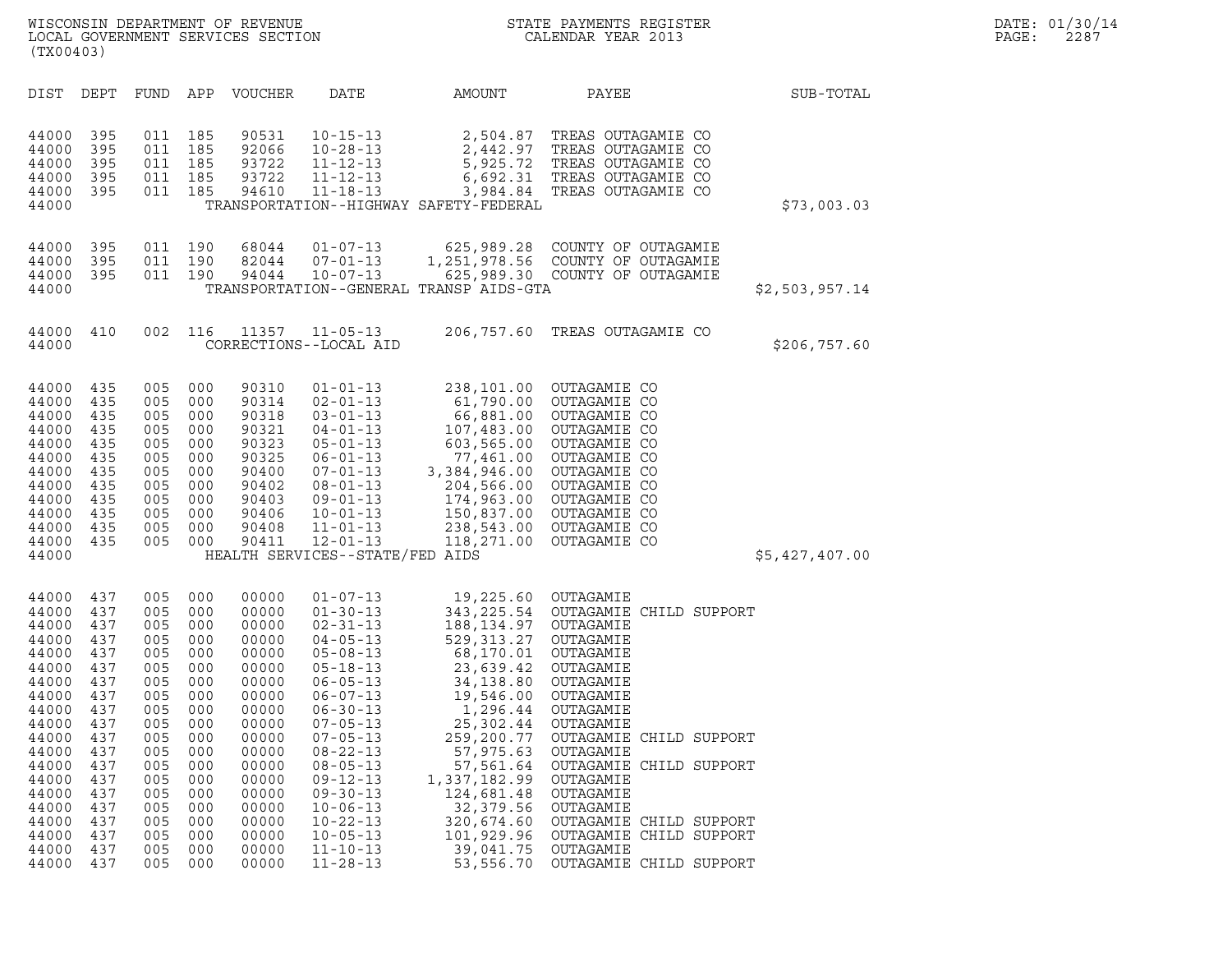| (TX00403)                                                                                                                                                                        |                                                                                                                                          |                                                                                                                                          |                                                                                                                                          |                                                                                                                                                                                  |                                                                                                                                                                                                                                                                                                                                                                      |                                                                                                                                                                                                                                                                                                          |                                                                                                                                                                                                                                                                                                               |                |
|----------------------------------------------------------------------------------------------------------------------------------------------------------------------------------|------------------------------------------------------------------------------------------------------------------------------------------|------------------------------------------------------------------------------------------------------------------------------------------|------------------------------------------------------------------------------------------------------------------------------------------|----------------------------------------------------------------------------------------------------------------------------------------------------------------------------------|----------------------------------------------------------------------------------------------------------------------------------------------------------------------------------------------------------------------------------------------------------------------------------------------------------------------------------------------------------------------|----------------------------------------------------------------------------------------------------------------------------------------------------------------------------------------------------------------------------------------------------------------------------------------------------------|---------------------------------------------------------------------------------------------------------------------------------------------------------------------------------------------------------------------------------------------------------------------------------------------------------------|----------------|
| DIST                                                                                                                                                                             | DEPT                                                                                                                                     | FUND                                                                                                                                     | APP                                                                                                                                      | VOUCHER                                                                                                                                                                          | DATE                                                                                                                                                                                                                                                                                                                                                                 | AMOUNT                                                                                                                                                                                                                                                                                                   | PAYEE                                                                                                                                                                                                                                                                                                         | SUB-TOTAL      |
| 44000<br>44000<br>44000<br>44000<br>44000<br>44000                                                                                                                               | 395<br>395<br>395<br>395<br>395                                                                                                          | 011<br>011<br>011<br>011<br>011                                                                                                          | 185<br>185<br>185<br>185<br>185                                                                                                          | 90531<br>92066<br>93722<br>93722<br>94610                                                                                                                                        | $10 - 15 - 13$<br>$10 - 28 - 13$<br>$11 - 12 - 13$<br>$11 - 12 - 13$<br>$11 - 18 - 13$                                                                                                                                                                                                                                                                               | 2,504.87<br>5,925.72<br>TRANSPORTATION--HIGHWAY SAFETY-FEDERAL                                                                                                                                                                                                                                           | TREAS OUTAGAMIE CO<br>2,442.97 TREAS OUTAGAMIE CO<br>TREAS OUTAGAMIE CO<br>6,692.31 TREAS OUTAGAMIE CO<br>3,984.84 TREAS OUTAGAMIE CO                                                                                                                                                                         | \$73,003.03    |
| 44000<br>44000<br>44000<br>44000                                                                                                                                                 | 395<br>395<br>395                                                                                                                        | 011<br>011<br>011                                                                                                                        | 190<br>190<br>190                                                                                                                        | 68044<br>82044<br>94044                                                                                                                                                          | $01 - 07 - 13$<br>07-01-13<br>$10 - 07 - 13$                                                                                                                                                                                                                                                                                                                         | 625,989.28<br>TRANSPORTATION--GENERAL TRANSP AIDS-GTA                                                                                                                                                                                                                                                    | COUNTY OF OUTAGAMIE<br>1,251,978.56 COUNTY OF OUTAGAMIE<br>625,989.30 COUNTY OF OUTAGAMIE                                                                                                                                                                                                                     | \$2,503,957.14 |
| 44000<br>44000                                                                                                                                                                   | 410                                                                                                                                      | 002                                                                                                                                      | 116                                                                                                                                      | 11357                                                                                                                                                                            | $11 - 05 - 13$<br>CORRECTIONS--LOCAL AID                                                                                                                                                                                                                                                                                                                             | 206,757.60                                                                                                                                                                                                                                                                                               | TREAS OUTAGAMIE CO                                                                                                                                                                                                                                                                                            | \$206,757.60   |
| 44000<br>44000<br>44000<br>44000<br>44000<br>44000<br>44000<br>44000<br>44000<br>44000<br>44000<br>44000<br>44000                                                                | 435<br>435<br>435<br>435<br>435<br>435<br>435<br>435<br>435<br>435<br>435<br>435                                                         | 005<br>005<br>005<br>005<br>005<br>005<br>005<br>005<br>005<br>005<br>005<br>005                                                         | 000<br>000<br>000<br>000<br>000<br>000<br>000<br>000<br>000<br>000<br>000<br>000                                                         | 90310<br>90314<br>90318<br>90321<br>90323<br>90325<br>90400<br>90402<br>90403<br>90406<br>90408<br>90411                                                                         | $01 - 01 - 13$<br>$02 - 01 - 13$<br>$03 - 01 - 13$<br>04-01-13<br>$05 - 01 - 13$<br>$06 - 01 - 13$<br>$07 - 01 - 13$<br>$08 - 01 - 13$<br>$09 - 01 - 13$<br>$10 - 01 - 13$<br>$11 - 01 - 13$<br>$12 - 01 - 13$<br>HEALTH SERVICES--STATE/FED AIDS                                                                                                                    | 238,101.00<br>66,881.00<br>107,483.00<br>603,565.00<br>3,384,946.00<br>238,543.00<br>118,271.00                                                                                                                                                                                                          | OUTAGAMIE CO<br>61,790.00 OUTAGAMIE CO<br>OUTAGAMIE CO<br>OUTAGAMIE CO<br>OUTAGAMIE CO<br>77,461.00 OUTAGAMIE CO<br>OUTAGAMIE CO<br>204,566.00 OUTAGAMIE CO<br>174,963.00 OUTAGAMIE CO<br>150,837.00 OUTAGAMIE CO<br>OUTAGAMIE CO<br>OUTAGAMIE CO                                                             | \$5,427,407.00 |
| 44000<br>44000<br>44000<br>44000<br>44000<br>44000<br>44000<br>44000<br>44000<br>44000<br>44000<br>44000<br>44000<br>44000<br>44000<br>44000<br>44000<br>44000<br>44000<br>44000 | 437<br>437<br>437<br>437<br>437<br>437<br>437<br>437<br>437<br>437<br>437<br>437<br>437<br>437<br>437<br>437<br>437<br>437<br>437<br>437 | 005<br>005<br>005<br>005<br>005<br>005<br>005<br>005<br>005<br>005<br>005<br>005<br>005<br>005<br>005<br>005<br>005<br>005<br>005<br>005 | 000<br>000<br>000<br>000<br>000<br>000<br>000<br>000<br>000<br>000<br>000<br>000<br>000<br>000<br>000<br>000<br>000<br>000<br>000<br>000 | 00000<br>00000<br>00000<br>00000<br>00000<br>00000<br>00000<br>00000<br>00000<br>00000<br>00000<br>00000<br>00000<br>00000<br>00000<br>00000<br>00000<br>00000<br>00000<br>00000 | $01 - 07 - 13$<br>$01 - 30 - 13$<br>$02 - 31 - 13$<br>$04 - 05 - 13$<br>$05 - 08 - 13$<br>$05 - 18 - 13$<br>$06 - 05 - 13$<br>$06 - 07 - 13$<br>$06 - 30 - 13$<br>$07 - 05 - 13$<br>$07 - 05 - 13$<br>$08 - 22 - 13$<br>$08 - 05 - 13$<br>$09 - 12 - 13$<br>$09 - 30 - 13$<br>$10 - 06 - 13$<br>$10 - 22 - 13$<br>$10 - 05 - 13$<br>$11 - 10 - 13$<br>$11 - 28 - 13$ | 19,225.60 OUTAGAMIE<br>343,225.54<br>188, 134.97 OUTAGAMIE<br>529,313.27<br>68,170.01<br>23,639.42<br>34,138.80 OUTAGAMIE<br>19,546.00<br>1,296.44<br>25,302.44<br>259,200.77<br>57,975.63<br>57,561.64<br>1,337,182.99<br>124,681.48<br>32,379.56<br>320,674.60<br>101,929.96<br>39,041.75<br>53,556.70 | OUTAGAMIE CHILD SUPPORT<br>OUTAGAMIE<br>OUTAGAMIE<br>OUTAGAMIE<br>OUTAGAMIE<br>OUTAGAMIE<br>OUTAGAMIE<br>OUTAGAMIE CHILD SUPPORT<br>OUTAGAMIE<br>OUTAGAMIE CHILD SUPPORT<br>OUTAGAMIE<br>OUTAGAMIE<br>OUTAGAMIE<br>OUTAGAMIE CHILD SUPPORT<br>OUTAGAMIE CHILD SUPPORT<br>OUTAGAMIE<br>OUTAGAMIE CHILD SUPPORT |                |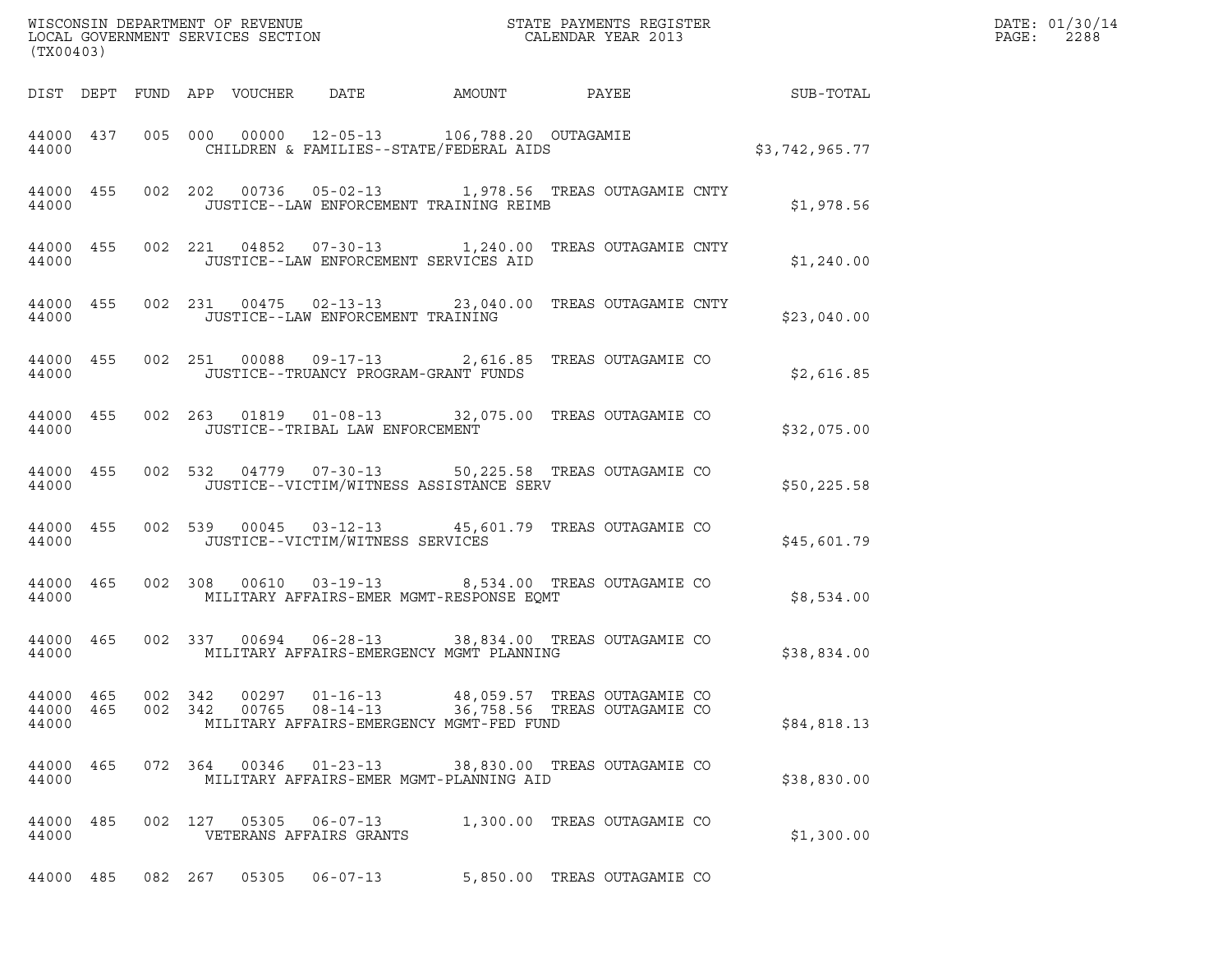| (TX00403)          |           |  |                                |                                           |                                                                                                                   |       |                              |                | DATE: 01/30/14<br>PAGE:<br>2288 |
|--------------------|-----------|--|--------------------------------|-------------------------------------------|-------------------------------------------------------------------------------------------------------------------|-------|------------------------------|----------------|---------------------------------|
|                    |           |  | DIST DEPT FUND APP VOUCHER     | DATE                                      | AMOUNT                                                                                                            | PAYEE |                              | SUB-TOTAL      |                                 |
| 44000              | 44000 437 |  |                                |                                           | 005 000 00000 12-05-13 106,788.20 OUTAGAMIE<br>CHILDREN & FAMILIES--STATE/FEDERAL AIDS                            |       |                              | \$3,742,965.77 |                                 |
| 44000              | 44000 455 |  |                                |                                           | 002  202  00736  05-02-13  1,978.56  TREAS OUTAGAMIE CNTY<br>JUSTICE--LAW ENFORCEMENT TRAINING REIMB              |       |                              | \$1,978.56     |                                 |
| 44000              | 44000 455 |  |                                |                                           | 002 221 04852 07-30-13 1,240.00 TREAS OUTAGAMIE CNTY<br>JUSTICE--LAW ENFORCEMENT SERVICES AID                     |       |                              | \$1,240.00     |                                 |
| 44000              | 44000 455 |  |                                |                                           | 002 231 00475 02-13-13 23,040.00 TREAS OUTAGAMIE CNTY<br>JUSTICE--LAW ENFORCEMENT TRAINING                        |       |                              | \$23,040.00    |                                 |
| 44000              | 44000 455 |  |                                |                                           | 002  251  00088  09-17-13  2,616.85  TREAS OUTAGAMIE CO<br>JUSTICE--TRUANCY PROGRAM-GRANT FUNDS                   |       |                              | \$2,616.85     |                                 |
| 44000              | 44000 455 |  |                                | JUSTICE--TRIBAL LAW ENFORCEMENT           | 002  263  01819  01-08-13  32,075.00 TREAS OUTAGAMIE CO                                                           |       |                              | \$32,075.00    |                                 |
| 44000              | 44000 455 |  |                                |                                           | 002 532 04779 07-30-13 50,225.58 TREAS OUTAGAMIE CO<br>JUSTICE--VICTIM/WITNESS ASSISTANCE SERV                    |       |                              | \$50, 225.58   |                                 |
| 44000              | 44000 455 |  |                                | JUSTICE--VICTIM/WITNESS SERVICES          | 002 539 00045 03-12-13 45,601.79 TREAS OUTAGAMIE CO                                                               |       |                              | \$45,601.79    |                                 |
| 44000              | 44000 465 |  |                                | 002 308 00610 03-19-13                    | MILITARY AFFAIRS-EMER MGMT-RESPONSE EOMT                                                                          |       | 8,534.00 TREAS OUTAGAMIE CO  | \$8,534.00     |                                 |
| 44000              | 44000 465 |  |                                | 002 337 00694 06-28-13                    | 38,834.00 TREAS OUTAGAMIE CO<br>MILITARY AFFAIRS-EMERGENCY MGMT PLANNING                                          |       |                              | \$38,834.00    |                                 |
| 44000 465<br>44000 | 44000 465 |  | 002 342 00297<br>002 342 00765 | $01 - 16 - 13$                            | 48,059.57 TREAS OUTAGAMIE CO<br>08-14-13 36,758.56 TREAS OUTAGAMIE CO<br>MILITARY AFFAIRS-EMERGENCY MGMT-FED FUND |       |                              | \$84,818.13    |                                 |
| 44000              | 44000 465 |  | 072 364 00346                  | $01 - 23 - 13$                            | MILITARY AFFAIRS-EMER MGMT-PLANNING AID                                                                           |       | 38,830.00 TREAS OUTAGAMIE CO | \$38,830.00    |                                 |
| 44000 485<br>44000 |           |  | 002 127 05305                  | $06 - 07 - 13$<br>VETERANS AFFAIRS GRANTS |                                                                                                                   |       | 1,300.00 TREAS OUTAGAMIE CO  | \$1,300.00     |                                 |
|                    | 44000 485 |  |                                | 082 267 05305 06-07-13                    |                                                                                                                   |       | 5,850.00 TREAS OUTAGAMIE CO  |                |                                 |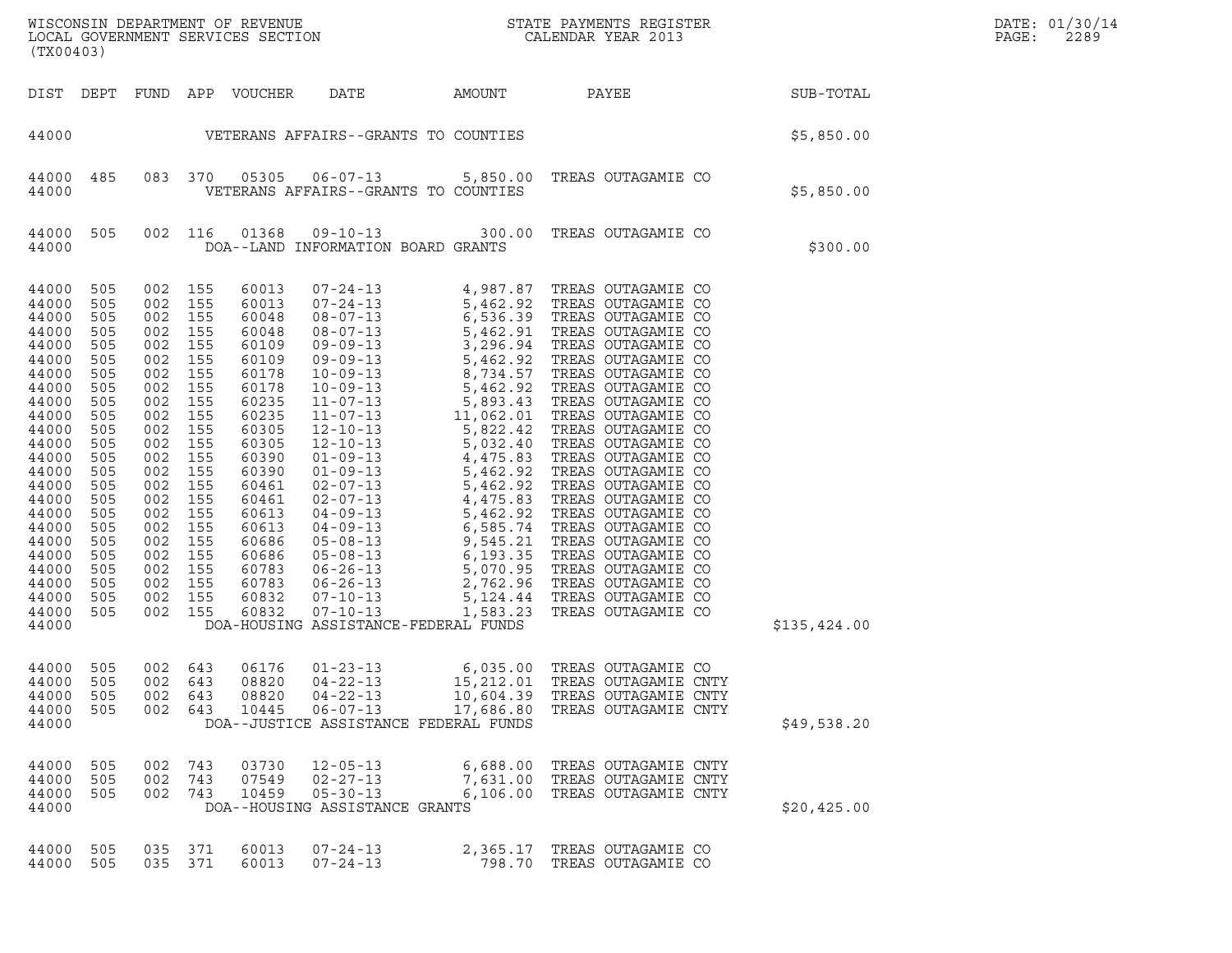| (TX00403)                                                                                                                                                                                                                     |                                                                                                                                                                      |                                                                                                                                                                                  |                                                                                                                                                 |                                                                                                                                                                                                                      |                                                                                      |                                                                              |                                                                                                     |              | DATE: 01/30/14<br>PAGE:<br>2289 |
|-------------------------------------------------------------------------------------------------------------------------------------------------------------------------------------------------------------------------------|----------------------------------------------------------------------------------------------------------------------------------------------------------------------|----------------------------------------------------------------------------------------------------------------------------------------------------------------------------------|-------------------------------------------------------------------------------------------------------------------------------------------------|----------------------------------------------------------------------------------------------------------------------------------------------------------------------------------------------------------------------|--------------------------------------------------------------------------------------|------------------------------------------------------------------------------|-----------------------------------------------------------------------------------------------------|--------------|---------------------------------|
|                                                                                                                                                                                                                               |                                                                                                                                                                      |                                                                                                                                                                                  |                                                                                                                                                 | DIST DEPT FUND APP VOUCHER                                                                                                                                                                                           | DATE                                                                                 | AMOUNT                                                                       | <b>PAYEE</b>                                                                                        | SUB-TOTAL    |                                 |
| 44000                                                                                                                                                                                                                         |                                                                                                                                                                      |                                                                                                                                                                                  |                                                                                                                                                 |                                                                                                                                                                                                                      |                                                                                      | VETERANS AFFAIRS--GRANTS TO COUNTIES                                         |                                                                                                     | \$5,850.00   |                                 |
| 44000<br>44000                                                                                                                                                                                                                | 485                                                                                                                                                                  |                                                                                                                                                                                  | 083 370                                                                                                                                         | 05305                                                                                                                                                                                                                |                                                                                      | VETERANS AFFAIRS--GRANTS TO COUNTIES                                         | 06-07-13 5,850.00 TREAS OUTAGAMIE CO                                                                | \$5,850.00   |                                 |
| 44000<br>44000                                                                                                                                                                                                                | 505                                                                                                                                                                  | 002 116                                                                                                                                                                          |                                                                                                                                                 | 01368                                                                                                                                                                                                                | $09 - 10 - 13$<br>DOA--LAND INFORMATION BOARD GRANTS                                 |                                                                              | 300.00 TREAS OUTAGAMIE CO                                                                           | \$300.00     |                                 |
| 44000<br>44000<br>44000<br>44000<br>44000<br>44000<br>44000<br>44000<br>44000<br>44000<br>44000<br>44000<br>44000<br>44000<br>44000<br>44000<br>44000<br>44000<br>44000<br>44000<br>44000<br>44000<br>44000<br>44000<br>44000 | 505<br>505<br>505<br>505<br>505<br>505<br>505<br>505<br>505<br>505<br>505<br>505<br>505<br>505<br>505<br>505<br>505<br>505<br>505<br>505<br>505<br>505<br>505<br>505 | 002 155<br>002 155<br>002<br>002<br>002<br>002<br>002<br>002<br>002<br>002<br>002<br>002<br>002<br>002<br>002<br>002<br>002<br>002<br>002<br>002<br>002<br>002<br>002<br>002 155 | 155<br>155<br>155<br>155<br>155<br>155<br>155<br>155<br>155<br>155<br>155<br>155<br>155<br>155<br>155<br>155<br>155<br>155<br>155<br>155<br>155 | 60013<br>60013<br>60048<br>60048<br>60109<br>60109<br>60178<br>60178<br>60235<br>60235<br>60305<br>60305<br>60390<br>60390<br>60461<br>60461<br>60613<br>60613<br>60686<br>60686<br>60783<br>60783<br>60832<br>60832 | $07 - 10 - 13$                                                                       | 1,583.23<br>DOA-HOUSING ASSISTANCE-FEDERAL FUNDS                             | TREAS OUTAGAMIE CO                                                                                  | \$135,424.00 |                                 |
| 44000 505<br>44000<br>44000<br>44000<br>44000                                                                                                                                                                                 | 505<br>505<br>505                                                                                                                                                    | 002 643<br>002<br>002 643                                                                                                                                                        | 643<br>002 643                                                                                                                                  | 06176<br>08820<br>08820<br>10445                                                                                                                                                                                     | $01 - 23 - 13$<br>$04 - 22 - 13$<br>$04 - 22 - 13$<br>$06 - 07 - 13$                 | 15,212.01<br>10,604.39<br>17,686.80<br>DOA--JUSTICE ASSISTANCE FEDERAL FUNDS | 6,035.00 TREAS OUTAGAMIE CO<br>TREAS OUTAGAMIE CNTY<br>TREAS OUTAGAMIE CNTY<br>TREAS OUTAGAMIE CNTY | \$49,538.20  |                                 |
| 44000<br>44000<br>44000<br>44000                                                                                                                                                                                              | 505<br>505<br>505                                                                                                                                                    | 002<br>002<br>002 743                                                                                                                                                            | 743<br>743                                                                                                                                      | 03730<br>07549<br>10459                                                                                                                                                                                              | $12 - 05 - 13$<br>$02 - 27 - 13$<br>$05 - 30 - 13$<br>DOA--HOUSING ASSISTANCE GRANTS | 6,688.00                                                                     | TREAS OUTAGAMIE CNTY<br>7,631.00 TREAS OUTAGAMIE CNTY<br>6,106.00 TREAS OUTAGAMIE CNTY              | \$20,425.00  |                                 |
| 44000<br>44000                                                                                                                                                                                                                | 505<br>505                                                                                                                                                           | 035<br>035 371                                                                                                                                                                   | 371                                                                                                                                             | 60013<br>60013                                                                                                                                                                                                       | $07 - 24 - 13$<br>$07 - 24 - 13$                                                     | 2,365.17                                                                     | TREAS OUTAGAMIE CO<br>798.70 TREAS OUTAGAMIE CO                                                     |              |                                 |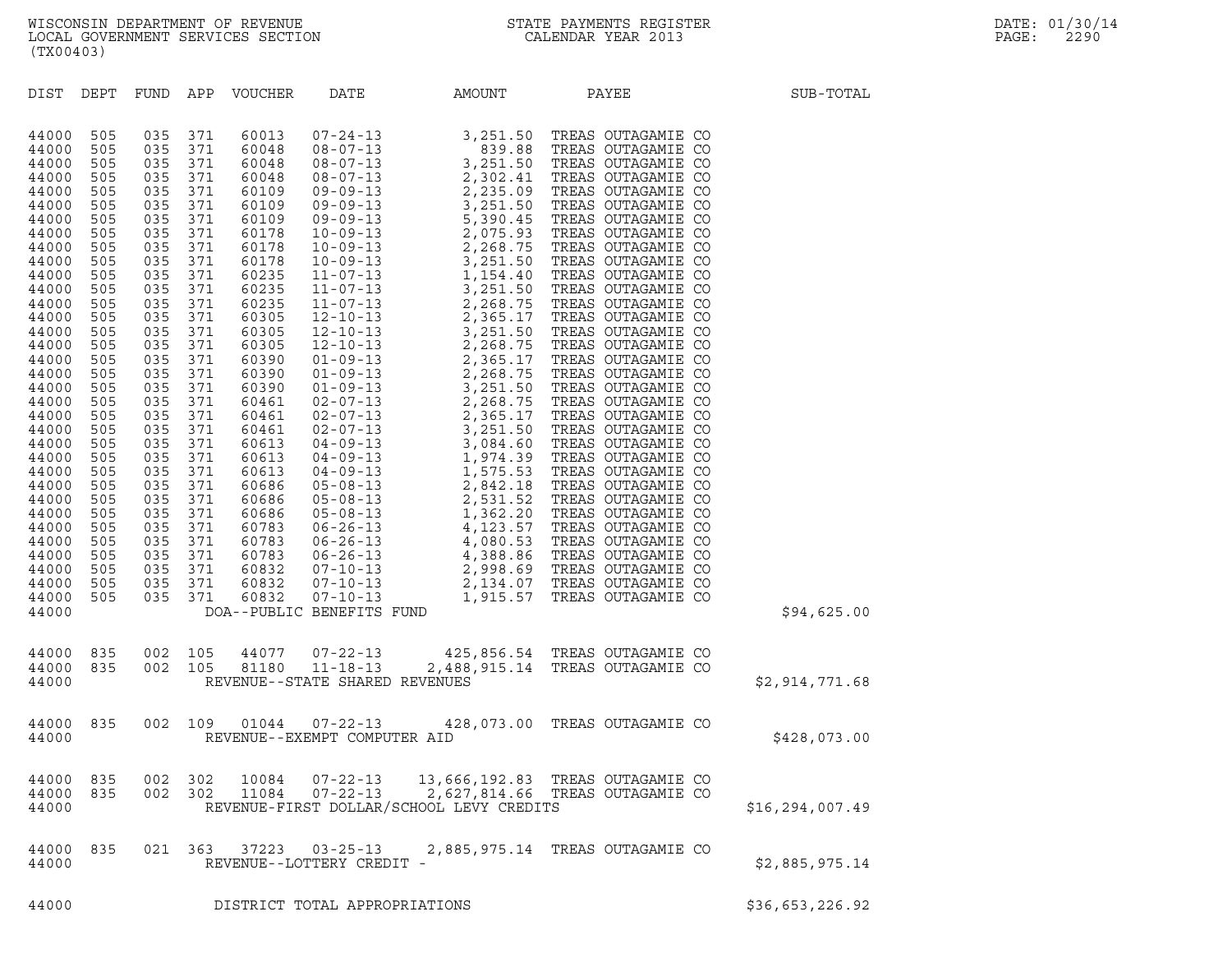| DIST<br>DEPT                                                                                                                                                                                                                                                                                                                                                                                                                                                                                                                                                          | FUND                                                                                                                                                                                                                                       | APP                                                                                                                                                                                                                                        | VOUCHER                                                                                                                                                                                                                                                                                                        | DATE                           | AMOUNT                                   | PAYEE                                                                                                                                                | SUB-TOTAL         |
|-----------------------------------------------------------------------------------------------------------------------------------------------------------------------------------------------------------------------------------------------------------------------------------------------------------------------------------------------------------------------------------------------------------------------------------------------------------------------------------------------------------------------------------------------------------------------|--------------------------------------------------------------------------------------------------------------------------------------------------------------------------------------------------------------------------------------------|--------------------------------------------------------------------------------------------------------------------------------------------------------------------------------------------------------------------------------------------|----------------------------------------------------------------------------------------------------------------------------------------------------------------------------------------------------------------------------------------------------------------------------------------------------------------|--------------------------------|------------------------------------------|------------------------------------------------------------------------------------------------------------------------------------------------------|-------------------|
| 44000<br>505<br>505<br>44000<br>44000<br>505<br>44000<br>505<br>505<br>44000<br>505<br>44000<br>505<br>44000<br>505<br>44000<br>505<br>44000<br>505<br>44000<br>505<br>44000<br>505<br>44000<br>505<br>44000<br>505<br>44000<br>44000<br>505<br>505<br>44000<br>505<br>44000<br>505<br>44000<br>505<br>44000<br>505<br>44000<br>505<br>44000<br>505<br>44000<br>505<br>44000<br>505<br>44000<br>505<br>44000<br>505<br>44000<br>505<br>44000<br>505<br>44000<br>505<br>44000<br>505<br>44000<br>44000<br>505<br>505<br>44000<br>505<br>44000<br>505<br>44000<br>44000 | 035<br>035<br>035<br>035<br>035<br>035<br>035<br>035<br>035<br>035<br>035<br>035<br>035<br>035<br>035<br>035<br>035<br>035<br>035<br>035<br>035<br>035<br>035<br>035<br>035<br>035<br>035<br>035<br>035<br>035<br>035<br>035<br>035<br>035 | 371<br>371<br>371<br>371<br>371<br>371<br>371<br>371<br>371<br>371<br>371<br>371<br>371<br>371<br>371<br>371<br>371<br>371<br>371<br>371<br>371<br>371<br>371<br>371<br>371<br>371<br>371<br>371<br>371<br>371<br>371<br>371<br>371<br>371 | 60013<br>60048<br>60048<br>60048<br>60109<br>60109<br>60109<br>60178<br>60178<br>60178<br>60235<br>60235<br>60235<br>60305<br>60305<br>60305<br>60390<br>60390<br>60390<br>60461<br>60461<br>60461<br>60613<br>60613<br>60613<br>60686<br>60686<br>60686<br>60783<br>60783<br>60783<br>60832<br>60832<br>60832 | DOA--PUBLIC BENEFITS FUND      |                                          |                                                                                                                                                      | \$94,625.00       |
| 835<br>44000<br>44000<br>835<br>44000                                                                                                                                                                                                                                                                                                                                                                                                                                                                                                                                 | 002<br>002                                                                                                                                                                                                                                 | 105<br>105                                                                                                                                                                                                                                 |                                                                                                                                                                                                                                                                                                                | REVENUE--STATE SHARED REVENUES |                                          | $\begin{tabular}{llllll} 44077 & 07-22-13 & & 425,856.54 & TREAS OUTAGAMIE CO \\ 81180 & 11-18-13 & 2,488,915.14 & TREAS OUTAGAMIE CO \end{tabular}$ | \$2,914,771.68    |
| 835<br>44000<br>44000                                                                                                                                                                                                                                                                                                                                                                                                                                                                                                                                                 | 002                                                                                                                                                                                                                                        | 109                                                                                                                                                                                                                                        | 01044                                                                                                                                                                                                                                                                                                          | REVENUE--EXEMPT COMPUTER AID   |                                          | 07-22-13 428,073.00 TREAS OUTAGAMIE CO                                                                                                               | \$428,073.00      |
| 44000                                                                                                                                                                                                                                                                                                                                                                                                                                                                                                                                                                 |                                                                                                                                                                                                                                            |                                                                                                                                                                                                                                            |                                                                                                                                                                                                                                                                                                                |                                | REVENUE-FIRST DOLLAR/SCHOOL LEVY CREDITS | 44000 835 002 302 10084 07-22-13 13,666,192.83 TREAS OUTAGAMIE CO 44000 835 002 302 11084 07-22-13 2,627,814.66 TREAS OUTAGAMIE CO                   | \$16, 294, 007.49 |
| 835<br>44000<br>44000                                                                                                                                                                                                                                                                                                                                                                                                                                                                                                                                                 |                                                                                                                                                                                                                                            |                                                                                                                                                                                                                                            |                                                                                                                                                                                                                                                                                                                | REVENUE--LOTTERY CREDIT -      |                                          | 021  363  37223  03-25-13  2,885,975.14  TREAS OUTAGAMIE CO                                                                                          | \$2,885,975.14    |
| 44000                                                                                                                                                                                                                                                                                                                                                                                                                                                                                                                                                                 |                                                                                                                                                                                                                                            |                                                                                                                                                                                                                                            |                                                                                                                                                                                                                                                                                                                | DISTRICT TOTAL APPROPRIATIONS  |                                          |                                                                                                                                                      | \$36,653,226.92   |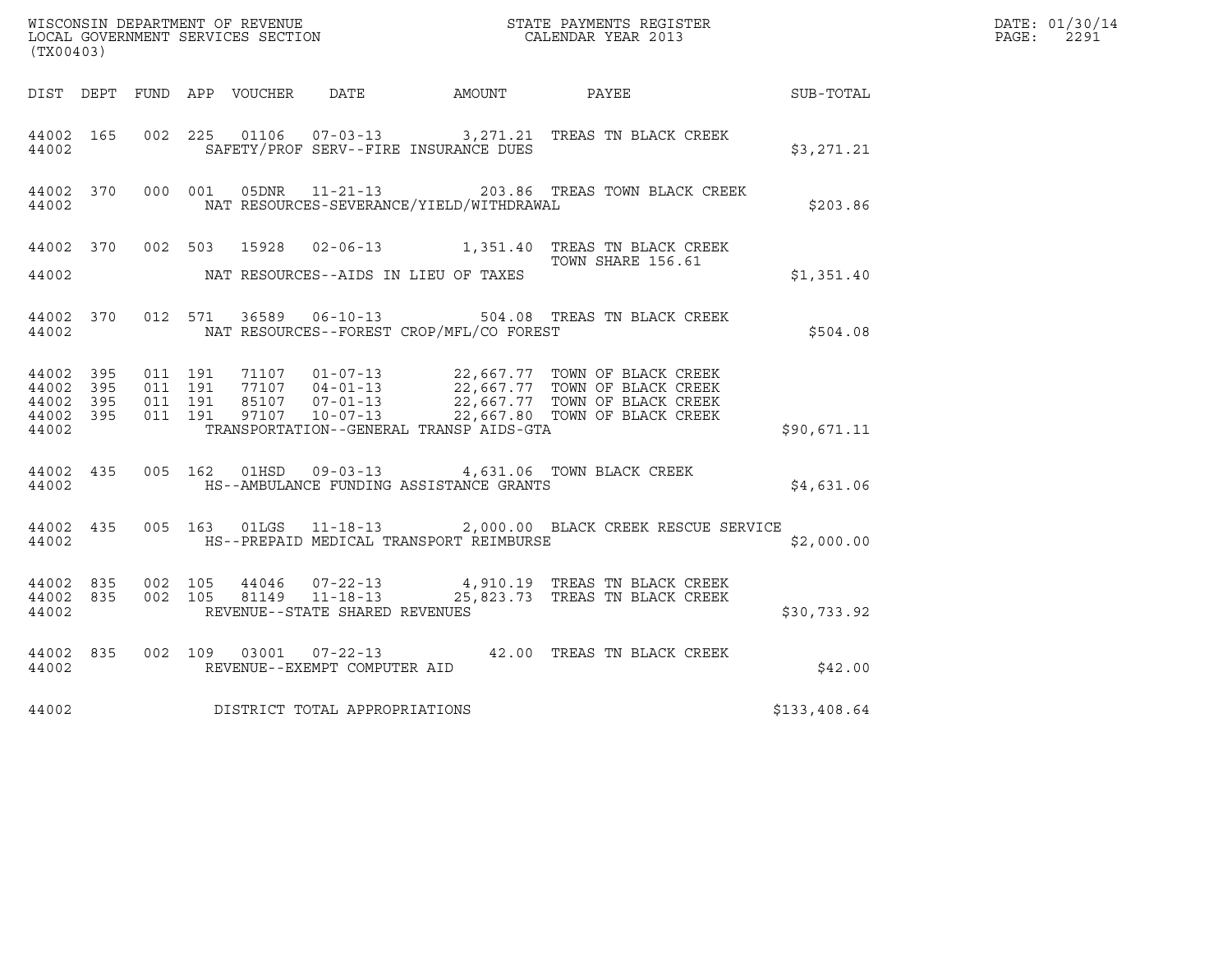| (TX00403)              |                        |                    |         |                                |                                              |                                                                                                                                                                                                                                                               |              | DATE: 01/30/14<br>$\mathtt{PAGE:}$<br>2291 |
|------------------------|------------------------|--------------------|---------|--------------------------------|----------------------------------------------|---------------------------------------------------------------------------------------------------------------------------------------------------------------------------------------------------------------------------------------------------------------|--------------|--------------------------------------------|
|                        |                        |                    |         |                                | DIST DEPT FUND APP VOUCHER DATE AMOUNT PAYEE |                                                                                                                                                                                                                                                               | SUB-TOTAL    |                                            |
| 44002                  | 44002 165              |                    |         |                                | SAFETY/PROF SERV--FIRE INSURANCE DUES        | 002 225 01106 07-03-13 3,271.21 TREAS TN BLACK CREEK                                                                                                                                                                                                          | \$3,271.21   |                                            |
| 44002                  |                        |                    |         |                                | NAT RESOURCES-SEVERANCE/YIELD/WITHDRAWAL     | 44002 370 000 001 05DNR 11-21-13 203.86 TREAS TOWN BLACK CREEK                                                                                                                                                                                                | \$203.86     |                                            |
|                        |                        |                    |         |                                |                                              | 44002 370 002 503 15928 02-06-13 1,351.40 TREAS TN BLACK CREEK<br>TOWN SHARE 156.61                                                                                                                                                                           |              |                                            |
| 44002                  |                        |                    |         |                                | NAT RESOURCES--AIDS IN LIEU OF TAXES         |                                                                                                                                                                                                                                                               | \$1,351.40   |                                            |
| 44002                  |                        |                    |         |                                | NAT RESOURCES--FOREST CROP/MFL/CO FOREST     | 44002 370 012 571 36589 06-10-13 504.08 TREAS TN BLACK CREEK                                                                                                                                                                                                  | \$504.08     |                                            |
| 44002 395<br>44002 395 |                        | 011 191            | 011 191 |                                |                                              | $\begin{tabular}{cccc} 71107 & 01-07-13 & 22,667.77 & TOWN OF BLACK CREEK \\ 77107 & 04-01-13 & 22,667.77 & TOWN OF BLACK CREEK \\ 85107 & 07-01-13 & 22,667.77 & TOWN OF BLACK CREEK \\ 97107 & 10-07-13 & 22,667.80 & TOWN OF BLACK CREEK \\ \end{tabular}$ |              |                                            |
| 44002                  | 44002 395<br>44002 395 | 011 191<br>011 191 |         |                                | TRANSPORTATION--GENERAL TRANSP AIDS-GTA      |                                                                                                                                                                                                                                                               | \$90,671.11  |                                            |
| 44002                  | 44002 435              |                    |         |                                | HS--AMBULANCE FUNDING ASSISTANCE GRANTS      | 005  162  01HSD  09-03-13  4,631.06  TOWN BLACK CREEK                                                                                                                                                                                                         | \$4,631.06   |                                            |
|                        | 44002                  |                    |         |                                | HS--PREPAID MEDICAL TRANSPORT REIMBURSE      | 44002 435 005 163 01LGS 11-18-13 2,000.00 BLACK CREEK RESCUE SERVICE                                                                                                                                                                                          | \$2,000.00   |                                            |
| 44002                  | 44002 835              | 44002 835 002 105  |         | REVENUE--STATE SHARED REVENUES |                                              | 44046  07-22-13  4,910.19  TREAS TN BLACK CREEK<br>002 105 81149 11-18-13 25,823.73 TREAS TN BLACK CREEK                                                                                                                                                      | \$30,733.92  |                                            |
| 44002                  | 44002 835              |                    |         | REVENUE--EXEMPT COMPUTER AID   |                                              | 002 109 03001 07-22-13 42.00 TREAS TN BLACK CREEK                                                                                                                                                                                                             | \$42.00      |                                            |
| 44002                  |                        |                    |         | DISTRICT TOTAL APPROPRIATIONS  |                                              |                                                                                                                                                                                                                                                               | \$133,408.64 |                                            |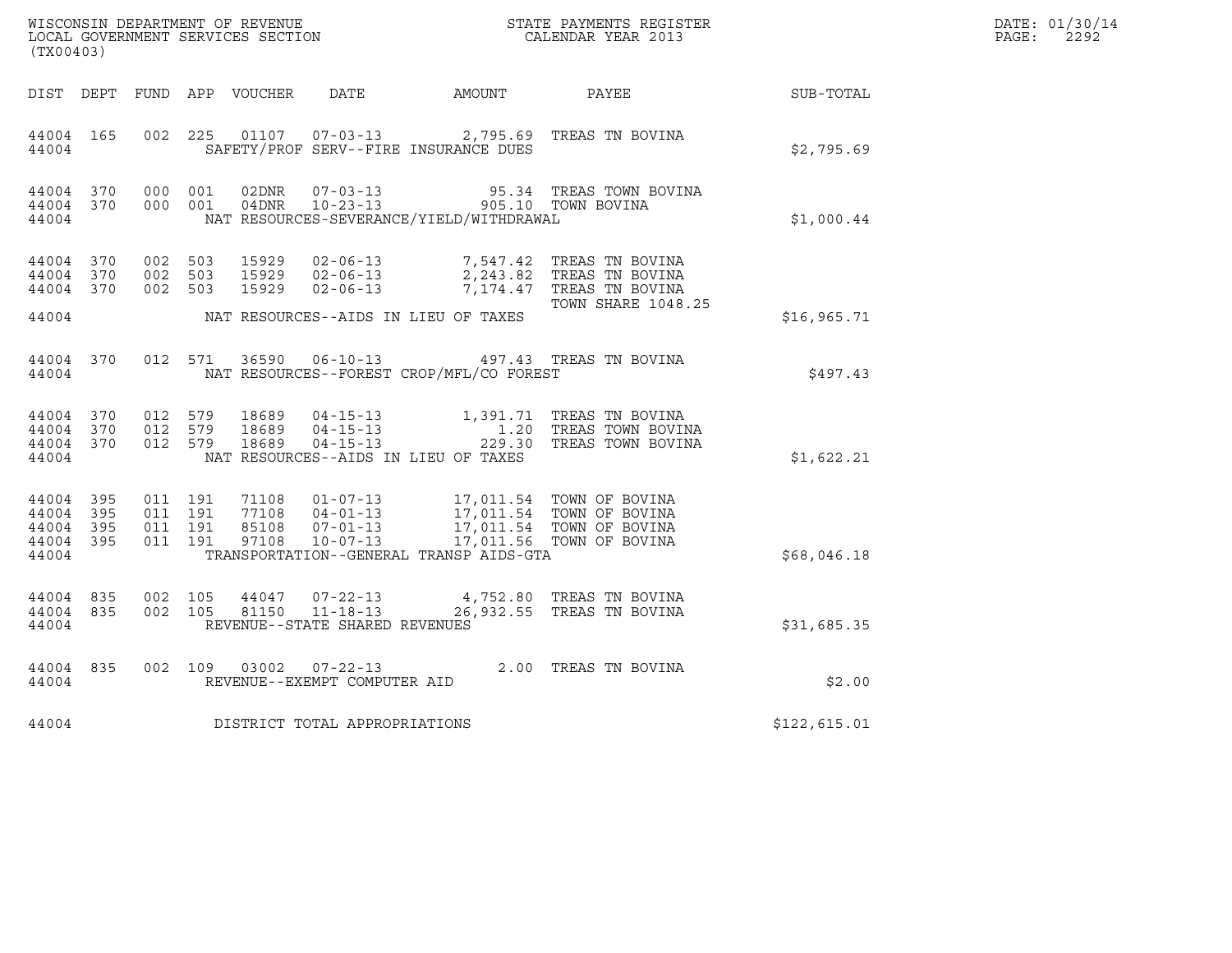| WISCONSIN DEPARTMENT OF REVENUE<br>LOCAL GOVERNMENT SERVICES SECTION<br>(TX00403) |                     |                    |                    |                                 |                                                    |                                          | STATE PAYMENTS REGISTER<br>CALENDAR YEAR 2013                                                                                                                                                                    |              | DATE: 01/30/14<br>$\mathtt{PAGE:}$<br>2292 |
|-----------------------------------------------------------------------------------|---------------------|--------------------|--------------------|---------------------------------|----------------------------------------------------|------------------------------------------|------------------------------------------------------------------------------------------------------------------------------------------------------------------------------------------------------------------|--------------|--------------------------------------------|
|                                                                                   |                     |                    |                    | DIST DEPT FUND APP VOUCHER DATE |                                                    | AMOUNT                                   | <b>PAYEE</b>                                                                                                                                                                                                     | SUB-TOTAL    |                                            |
| 44004 165<br>44004                                                                |                     |                    | 002 225            |                                 | 01107  07-03-13                                    | SAFETY/PROF SERV--FIRE INSURANCE DUES    | 2,795.69 TREAS TN BOVINA                                                                                                                                                                                         | \$2,795.69   |                                            |
| 44004 370<br>44004                                                                |                     | 44004 370 000 001  | 000 001            | 02DNR<br>04DNR                  | $07 - 03 - 13$<br>$10 - 23 - 13$                   | NAT RESOURCES-SEVERANCE/YIELD/WITHDRAWAL | 95.34   TREAS TOWN BOVINA<br>905.10 TOWN BOVINA                                                                                                                                                                  | \$1,000.44   |                                            |
| 44004 370<br>44004 370<br>44004 370                                               |                     | 002 503<br>002 503 | 002 503            | 15929<br>15929                  | $02 - 06 - 13$<br>15929 02-06-13<br>$02 - 06 - 13$ |                                          | 7,547.42 TREAS TN BOVINA<br>2,243.82 TREAS TN BOVINA<br>7,174.47 TREAS TN BOVINA<br><b>TOWN SHARE 1048.25</b>                                                                                                    |              |                                            |
| 44004                                                                             |                     |                    |                    |                                 |                                                    | NAT RESOURCES--AIDS IN LIEU OF TAXES     |                                                                                                                                                                                                                  | \$16,965.71  |                                            |
| 44004 370<br>44004                                                                |                     |                    |                    |                                 | 012 571 36590 06-10-13                             | NAT RESOURCES--FOREST CROP/MFL/CO FOREST | 497.43 TREAS TN BOVINA                                                                                                                                                                                           | \$497.43     |                                            |
| 44004 370<br>44004<br>44004<br>44004                                              | 370<br>370          |                    |                    |                                 |                                                    | NAT RESOURCES--AIDS IN LIEU OF TAXES     | 012 579 18689 04-15-13 1,391.71 TREAS TN BOVINA<br>012 579 18689 04-15-13 1.20 TREAS TOWN BOVINA<br>012 579 18689 04-15-13 229.30 TREAS TOWN BOVINA                                                              | \$1,622.21   |                                            |
| 44004 395<br>44004<br>44004<br>44004<br>44004                                     | - 395<br>395<br>395 | 011 191<br>011 191 | 011 191<br>011 191 | 97108                           | 10-07-13                                           | TRANSPORTATION--GENERAL TRANSP AIDS-GTA  | 71108  01-07-13  17,011.54  TOWN OF BOVINA<br>77108  04-01-13  17,011.54  TOWN OF BOVINA<br>85108  07-01-13  17,011.54  TOWN OF BOVINA<br>97108  10-07-13  17,011.56  TOWN OF BOVINA<br>17,011.56 TOWN OF BOVINA | \$68,046.18  |                                            |
| 44004 835<br>44004 835<br>44004                                                   |                     |                    | 002 105<br>002 105 | 81150                           | $11 - 18 - 13$<br>REVENUE--STATE SHARED REVENUES   |                                          | 44047 07-22-13 4,752.80 TREAS TN BOVINA<br>26,932.55 TREAS TN BOVINA                                                                                                                                             | \$31,685.35  |                                            |
| 44004 835<br>44004                                                                |                     |                    | 002 109            |                                 | REVENUE--EXEMPT COMPUTER AID                       |                                          | 03002  07-22-13  2.00 TREAS TN BOVINA                                                                                                                                                                            | \$2.00       |                                            |
| 44004                                                                             |                     |                    |                    |                                 | DISTRICT TOTAL APPROPRIATIONS                      |                                          |                                                                                                                                                                                                                  | \$122,615.01 |                                            |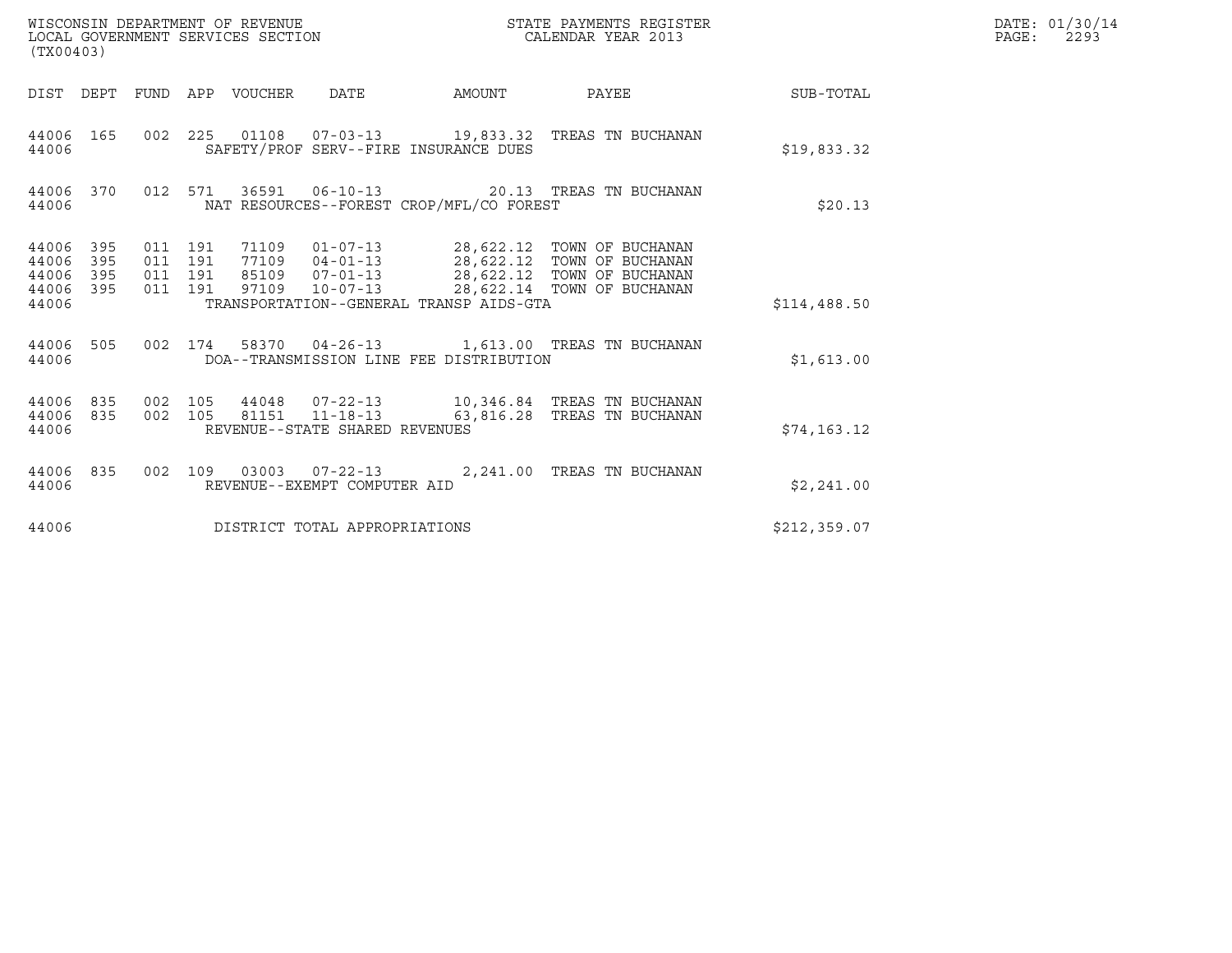| WISCONSIN DEPARTMENT OF REVENUE<br>(TX00403)                          | LOCAL GOVERNMENT SERVICES SECTION                                                                                                                  | STATE PAYMENTS REGISTER<br>CALENDAR YEAR 2013                                                                                          |              | DATE: 01/30/14<br>PAGE:<br>2293 |
|-----------------------------------------------------------------------|----------------------------------------------------------------------------------------------------------------------------------------------------|----------------------------------------------------------------------------------------------------------------------------------------|--------------|---------------------------------|
| DIST DEPT                                                             | FUND APP VOUCHER  DATE<br>AMOUNT                                                                                                                   | PAYEE                                                                                                                                  | SUB-TOTAL    |                                 |
| 44006 165<br>44006                                                    | 002 225 01108 07-03-13 19,833.32 TREAS TN BUCHANAN<br>SAFETY/PROF SERV--FIRE INSURANCE DUES                                                        |                                                                                                                                        | \$19,833.32  |                                 |
| 44006 370<br>44006                                                    | 012 571<br>NAT RESOURCES--FOREST CROP/MFL/CO FOREST                                                                                                | 36591  06-10-13  20.13  TREAS TN BUCHANAN                                                                                              | \$20.13      |                                 |
| 44006<br>395<br>44006<br>395<br>395<br>44006<br>395<br>44006<br>44006 | 011 191<br>71109<br>011 191<br>77109<br>011 191<br>85109<br>$07 - 01 - 13$<br>011 191<br>97109 10-07-13<br>TRANSPORTATION--GENERAL TRANSP AIDS-GTA | 01-07-13 28,622.12 TOWN OF BUCHANAN<br>04-01-13 28,622.12 TOWN OF BUCHANAN<br>28,622.12 TOWN OF BUCHANAN<br>28,622.14 TOWN OF BUCHANAN | \$114,488.50 |                                 |
| 44006 505<br>44006                                                    | 002 174<br>DOA--TRANSMISSION LINE FEE DISTRIBUTION                                                                                                 | 58370  04-26-13    1,613.00    TREAS TN BUCHANAN                                                                                       | \$1,613.00   |                                 |
| 835<br>44006<br>835<br>44006<br>44006                                 | 002 105<br>81151  11-18-13<br>002 105<br>REVENUE--STATE SHARED REVENUES                                                                            | 44048  07-22-13   10,346.84   TREAS TN BUCHANAN<br>63,816.28 TREAS TN BUCHANAN                                                         | \$74,163.12  |                                 |
| 44006 835<br>44006                                                    | 002 109 03003 07-22-13 2,241.00 TREAS TN BUCHANAN<br>REVENUE--EXEMPT COMPUTER AID                                                                  |                                                                                                                                        | \$2,241.00   |                                 |
| 44006                                                                 | DISTRICT TOTAL APPROPRIATIONS                                                                                                                      |                                                                                                                                        | \$212,359.07 |                                 |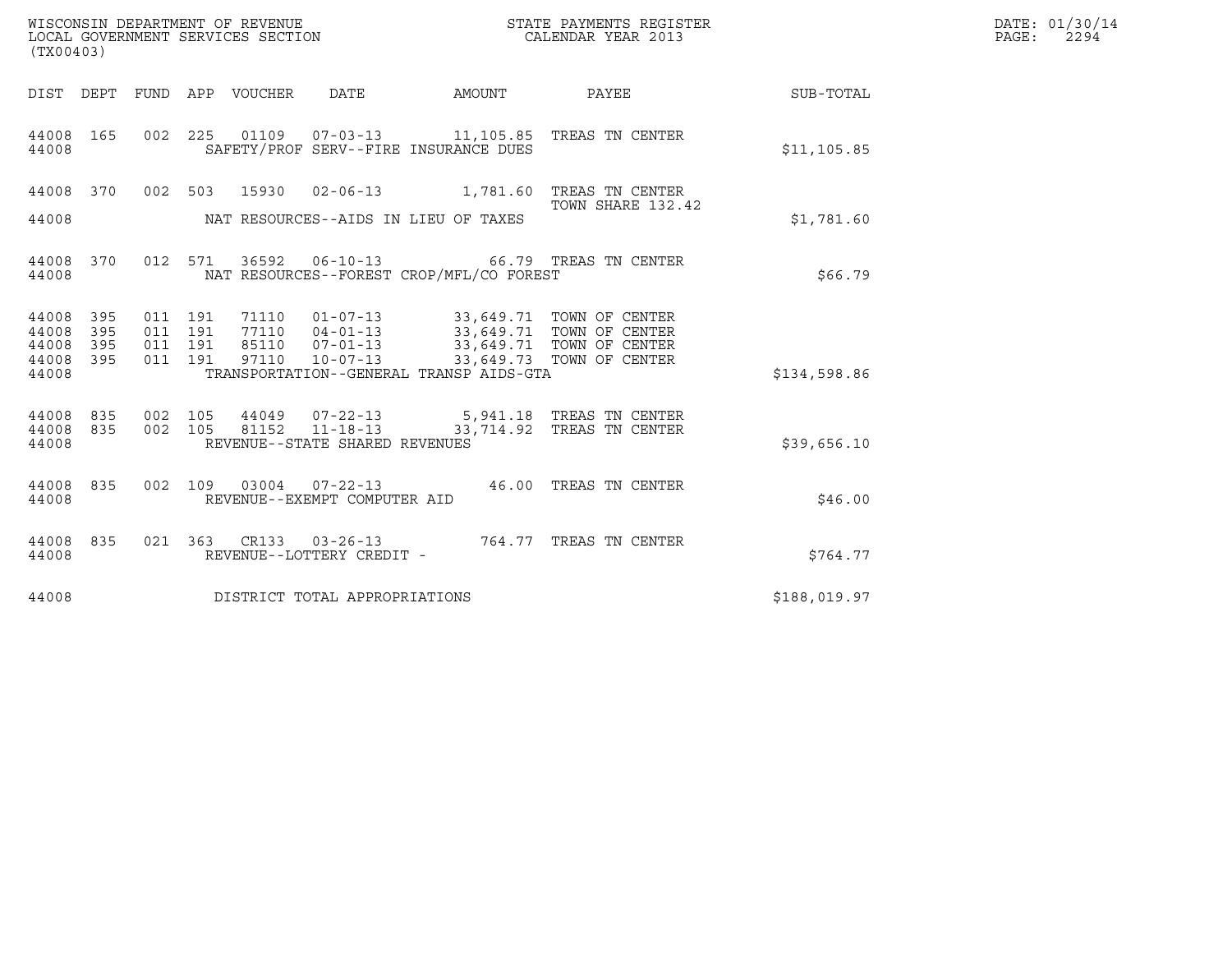| (TX00403)                                 |                          |                                          |         | WISCONSIN DEPARTMENT OF REVENUE<br>LOCAL GOVERNMENT SERVICES SECTION |                                                     |                                          | STATE PAYMENTS REGISTER<br>CALENDAR YEAR 2013                                                                                                    |              | DATE: 01/30/14<br>$\mathtt{PAGE:}$<br>2294 |
|-------------------------------------------|--------------------------|------------------------------------------|---------|----------------------------------------------------------------------|-----------------------------------------------------|------------------------------------------|--------------------------------------------------------------------------------------------------------------------------------------------------|--------------|--------------------------------------------|
|                                           |                          |                                          |         | DIST DEPT FUND APP VOUCHER DATE                                      |                                                     | AMOUNT                                   | PAYEE                                                                                                                                            | SUB-TOTAL    |                                            |
| 44008 165<br>44008                        |                          |                                          |         |                                                                      |                                                     | SAFETY/PROF SERV--FIRE INSURANCE DUES    | 002  225  01109  07-03-13  11,105.85  TREAS  TN CENTER                                                                                           | \$11, 105.85 |                                            |
| 44008<br>44008                            | 370                      |                                          |         |                                                                      |                                                     | NAT RESOURCES--AIDS IN LIEU OF TAXES     | 002 503 15930 02-06-13 1,781.60 TREAS TN CENTER<br>TOWN SHARE 132.42                                                                             | \$1,781.60   |                                            |
| 44008 370<br>44008                        |                          |                                          | 012 571 |                                                                      |                                                     | NAT RESOURCES--FOREST CROP/MFL/CO FOREST | 36592    06-10-13    66.79    TREAS TN CENTER                                                                                                    | \$66.79      |                                            |
| 44008<br>44008<br>44008<br>44008<br>44008 | 395<br>395<br>395<br>395 | 011 191<br>011 191<br>011 191<br>011 191 |         | 71110<br>77110<br>85110<br>97110                                     | $07 - 01 - 13$                                      | TRANSPORTATION--GENERAL TRANSP AIDS-GTA  | 01-07-13 33,649.71 TOWN OF CENTER<br>04-01-13 33,649.71 TOWN OF CENTER<br>07-01-13 33,649.71 TOWN OF CENTER<br>10-07-13 33,649.73 TOWN OF CENTER | \$134,598.86 |                                            |
| 44008<br>44008<br>44008                   | 835<br>835               | 002 105<br>002 105                       |         | 44049<br>81152                                                       | $11 - 18 - 13$<br>REVENUE--STATE SHARED REVENUES    |                                          | 07-22-13 5,941.18 TREAS TN CENTER<br>33,714.92 TREAS TN CENTER                                                                                   | \$39,656.10  |                                            |
| 44008<br>44008                            | 835                      | 002 109                                  |         | 03004                                                                | REVENUE--EXEMPT COMPUTER AID                        |                                          | 07-22-13   46.00 TREAS TN CENTER                                                                                                                 | \$46.00      |                                            |
| 44008 835<br>44008                        |                          |                                          |         |                                                                      | 021 363 CR133 03-26-13<br>REVENUE--LOTTERY CREDIT - |                                          | 764.77 TREAS TN CENTER                                                                                                                           | \$764.77     |                                            |
| 44008                                     |                          |                                          |         |                                                                      | DISTRICT TOTAL APPROPRIATIONS                       |                                          |                                                                                                                                                  | \$188,019.97 |                                            |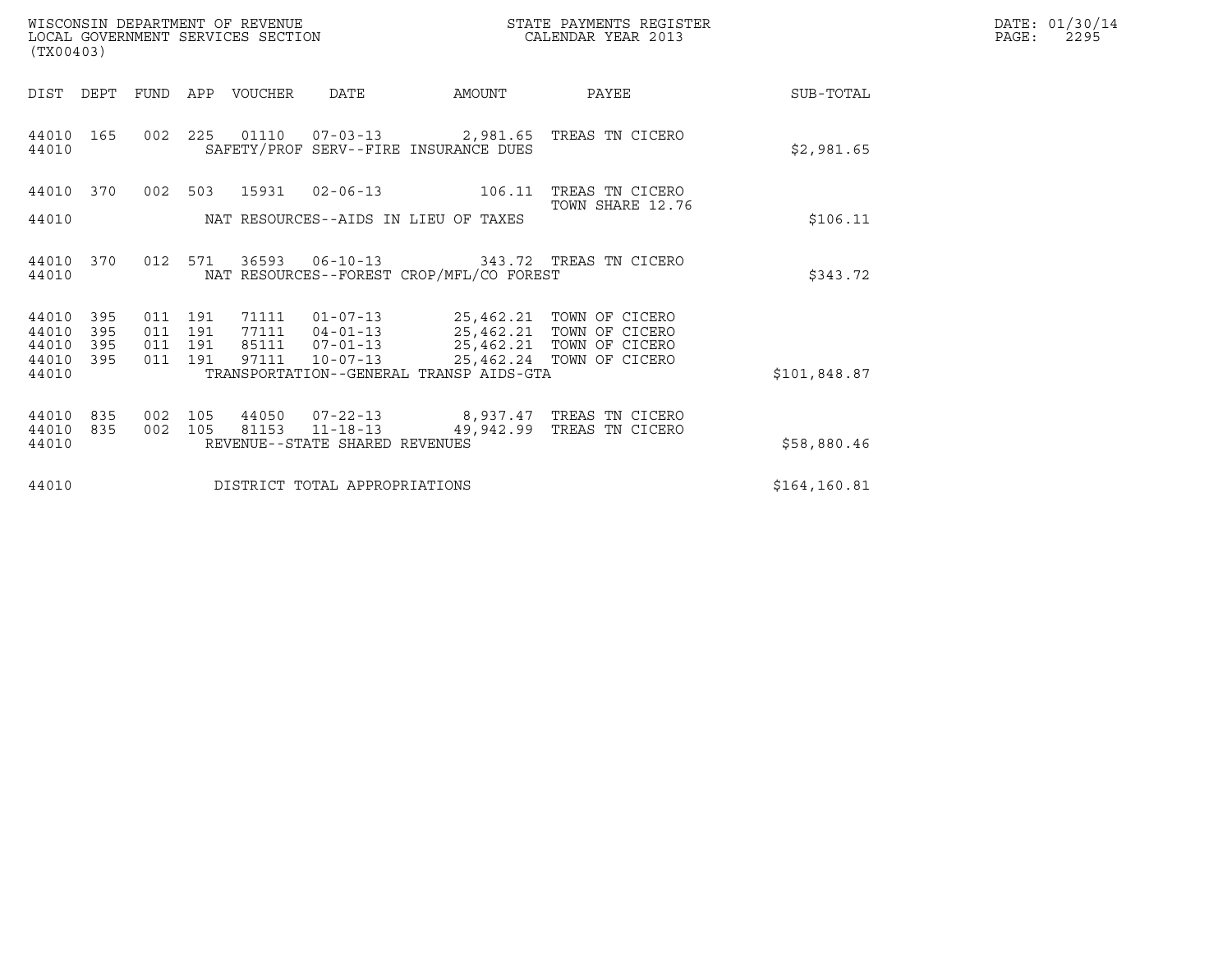| DATE: | 01/30/14 |
|-------|----------|
| PAGE: | 2295     |

|                                       |       |                                                                                                                                                                                                                                                                                                                                                                                                                                                                                         | DATE: 01/30/14<br>PAGE:<br>2295 |
|---------------------------------------|-------|-----------------------------------------------------------------------------------------------------------------------------------------------------------------------------------------------------------------------------------------------------------------------------------------------------------------------------------------------------------------------------------------------------------------------------------------------------------------------------------------|---------------------------------|
| AMOUNT                                | PAYEE | SUB-TOTAL                                                                                                                                                                                                                                                                                                                                                                                                                                                                               |                                 |
| SAFETY/PROF SERV--FIRE INSURANCE DUES |       | \$2,981.65                                                                                                                                                                                                                                                                                                                                                                                                                                                                              |                                 |
| $02 - 06 - 13$<br>106.11              |       |                                                                                                                                                                                                                                                                                                                                                                                                                                                                                         |                                 |
| NAT RESOURCES--AIDS IN LIEU OF TAXES  |       | \$106.11                                                                                                                                                                                                                                                                                                                                                                                                                                                                                |                                 |
|                                       |       | \$343.72                                                                                                                                                                                                                                                                                                                                                                                                                                                                                |                                 |
|                                       |       |                                                                                                                                                                                                                                                                                                                                                                                                                                                                                         |                                 |
|                                       |       |                                                                                                                                                                                                                                                                                                                                                                                                                                                                                         |                                 |
|                                       |       |                                                                                                                                                                                                                                                                                                                                                                                                                                                                                         |                                 |
|                                       |       |                                                                                                                                                                                                                                                                                                                                                                                                                                                                                         |                                 |
| REVENUE--STATE SHARED REVENUES        |       | \$58,880.46                                                                                                                                                                                                                                                                                                                                                                                                                                                                             |                                 |
| DISTRICT TOTAL APPROPRIATIONS         |       | \$164, 160.81                                                                                                                                                                                                                                                                                                                                                                                                                                                                           |                                 |
|                                       |       | STATE PAYMENTS REGISTER<br>CALENDAR YEAR 2013<br>002 225 01110 07-03-13 2,981.65 TREAS TN CICERO<br>TREAS TN CICERO<br>TOWN SHARE 12.76<br>06-10-13 343.72 TREAS TN CICERO<br>NAT RESOURCES--FOREST CROP/MFL/CO FOREST<br>01-07-13 25,462.21 TOWN OF CICERO<br>04-01-13 25,462.21 TOWN OF CICERO<br>07-01-13 25,462.21 TOWN OF CICERO<br>25,462.24 TOWN OF CICERO<br>TRANSPORTATION--GENERAL TRANSP AIDS-GTA<br>07-22-13 8,937.47 TREAS TN CICERO<br>11-18-13 49,942.99 TREAS TN CICERO | \$101,848.87                    |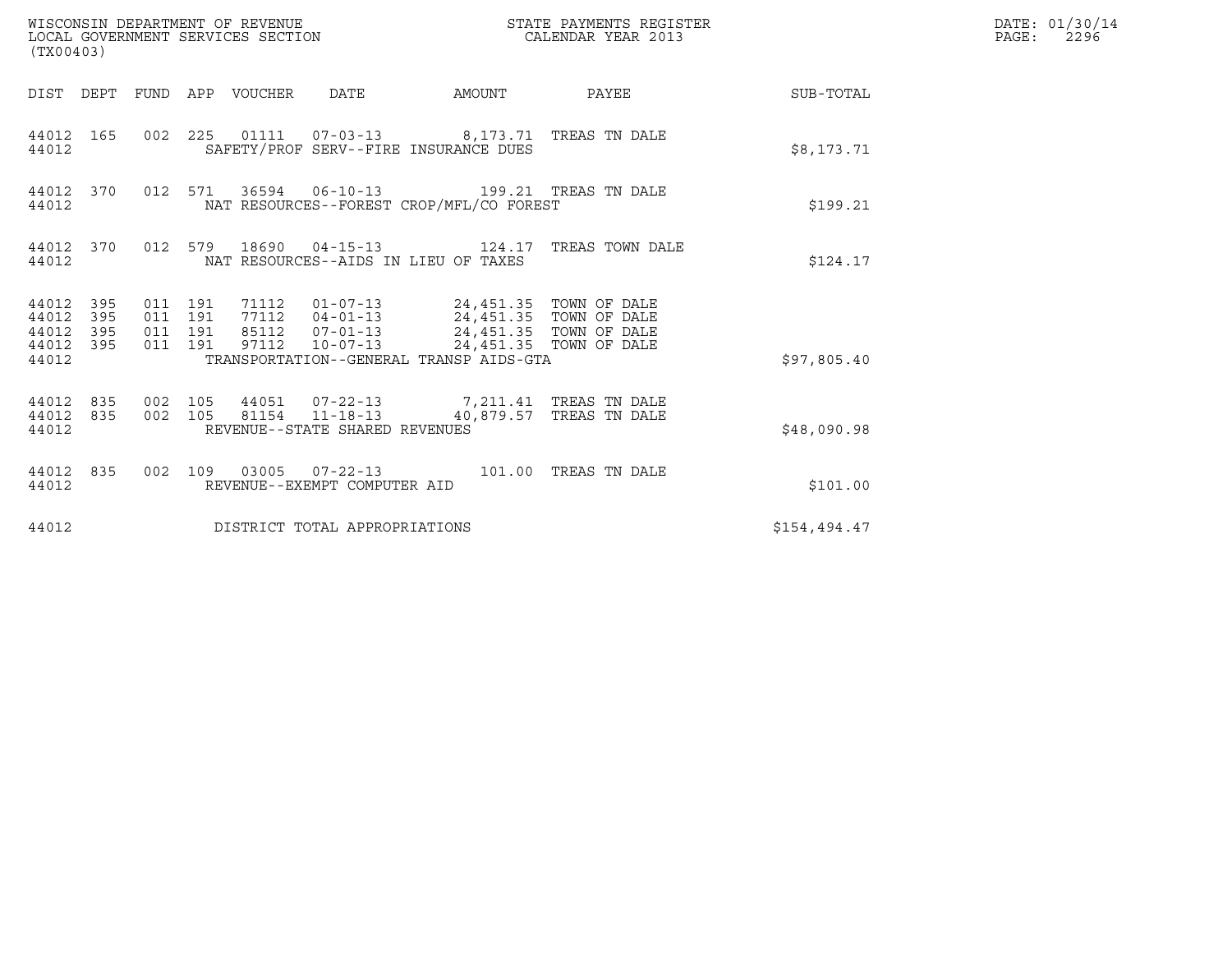| (TX00403)                                         |            |                                          | WISCONSIN DEPARTMENT OF REVENUE<br>LOCAL GOVERNMENT SERVICES SECTION |                                                          |                                                                                         | STATE PAYMENTS REGISTER<br>CALENDAR YEAR 2013 |              | DATE: 01/30/14<br>$\mathtt{PAGE:}$<br>2296 |
|---------------------------------------------------|------------|------------------------------------------|----------------------------------------------------------------------|----------------------------------------------------------|-----------------------------------------------------------------------------------------|-----------------------------------------------|--------------|--------------------------------------------|
|                                                   |            |                                          | DIST DEPT FUND APP VOUCHER DATE                                      |                                                          |                                                                                         | AMOUNT PAYEE SUB-TOTAL                        |              |                                            |
| 44012 165<br>44012                                |            |                                          |                                                                      |                                                          | 002 225 01111 07-03-13 8,173.71 TREAS TN DALE<br>SAFETY/PROF SERV--FIRE INSURANCE DUES  |                                               | \$8,173.71   |                                            |
| 44012 370<br>44012                                |            |                                          |                                                                      |                                                          | 012 571 36594 06-10-13 199.21 TREAS TN DALE<br>NAT RESOURCES--FOREST CROP/MFL/CO FOREST |                                               | \$199.21     |                                            |
| 44012 370<br>44012                                |            |                                          |                                                                      |                                                          | NAT RESOURCES--AIDS IN LIEU OF TAXES                                                    | 012 579 18690 04-15-13 124.17 TREAS TOWN DALE | \$124.17     |                                            |
| 44012 395<br>44012<br>44012<br>44012 395<br>44012 | 395<br>395 | 011 191<br>011 191<br>011 191<br>011 191 |                                                                      |                                                          | 97112  10-07-13  24,451.35  TOWN OF DALE<br>TRANSPORTATION--GENERAL TRANSP AIDS-GTA     |                                               | \$97,805.40  |                                            |
| 44012 835<br>44012 835<br>44012                   |            | 002 105                                  |                                                                      | 002 105 81154 11-18-13<br>REVENUE--STATE SHARED REVENUES | 44051  07-22-13  7,211.41 TREAS TN DALE                                                 | 40,879.57 TREAS TN DALE                       | \$48,090.98  |                                            |
| 44012 835<br>44012                                |            |                                          |                                                                      | REVENUE--EXEMPT COMPUTER AID                             | 002 109 03005 07-22-13 101.00 TREAS TN DALE                                             |                                               | \$101.00     |                                            |
| 44012                                             |            |                                          |                                                                      | DISTRICT TOTAL APPROPRIATIONS                            |                                                                                         |                                               | \$154,494.47 |                                            |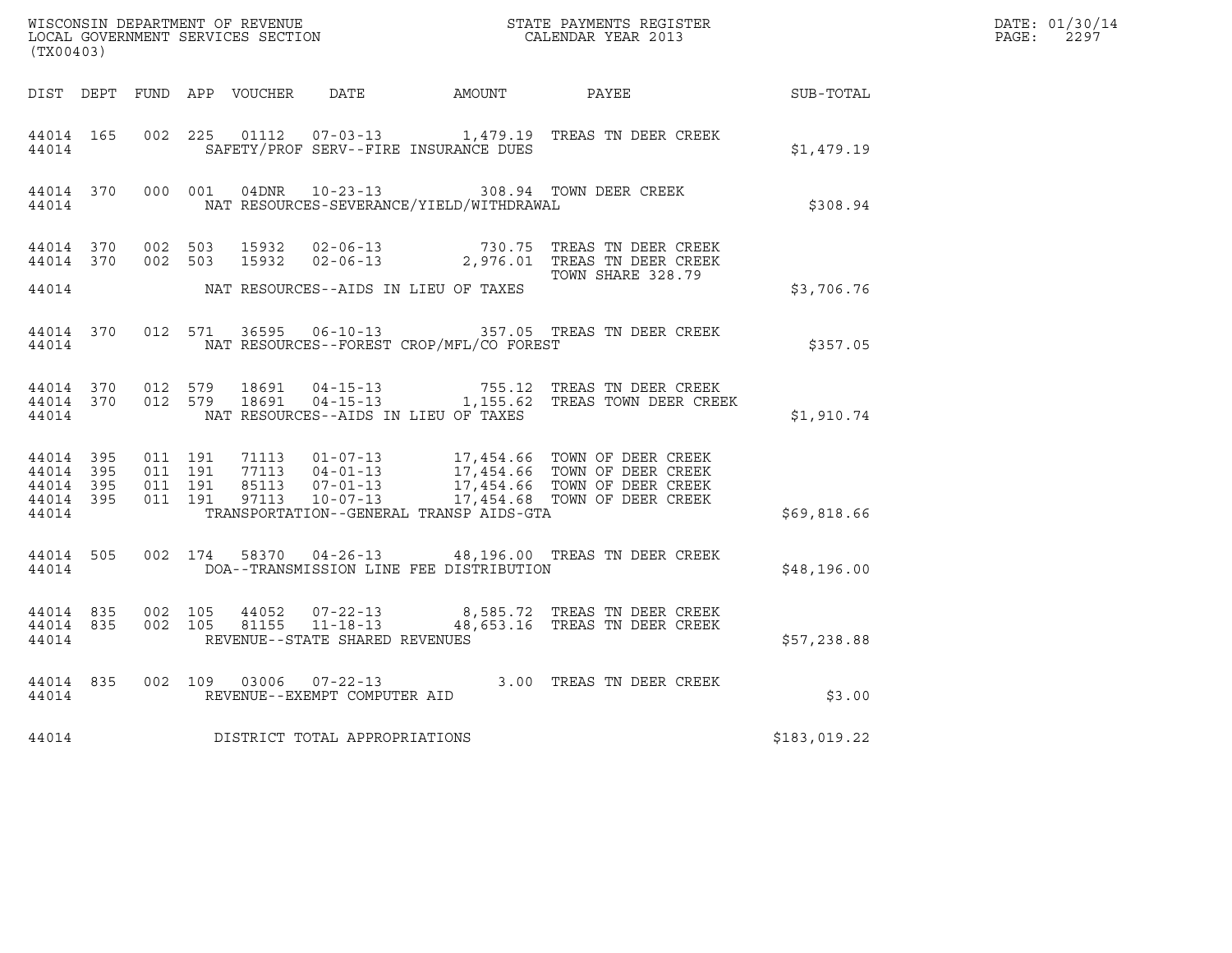| (TX00403) |       |  |                                      |                                                | WISCONSIN DEPARTMENT OF REVENUE<br>LOCAL GOVERNMENT SERVICES SECTION<br>CALENDAR YEAR 2013                                                                                                                                                                                                                   | R            | DATE: 01/30/14<br>PAGE: 2297 |
|-----------|-------|--|--------------------------------------|------------------------------------------------|--------------------------------------------------------------------------------------------------------------------------------------------------------------------------------------------------------------------------------------------------------------------------------------------------------------|--------------|------------------------------|
|           |       |  |                                      |                                                | DIST DEPT FUND APP VOUCHER DATE AMOUNT PAYEE PAYES                                                                                                                                                                                                                                                           |              |                              |
|           | 44014 |  |                                      | SAFETY/PROF SERV--FIRE INSURANCE DUES          | 44014 165 002 225 01112 07-03-13 1,479.19 TREAS TN DEER CREEK                                                                                                                                                                                                                                                | \$1,479.19   |                              |
|           |       |  |                                      | 44014 MAT RESOURCES-SEVERANCE/YIELD/WITHDRAWAL | 44014 370 000 001 04DNR 10-23-13 308.94 TOWN DEER CREEK                                                                                                                                                                                                                                                      | \$308.94     |                              |
|           |       |  |                                      |                                                | 44014 370 002 503 15932 02-06-13 730.75 TREAS TN DEER CREEK 44014 370 002 503 15932 02-06-13 2,976.01 TREAS TN DEER CREEK                                                                                                                                                                                    |              |                              |
|           |       |  |                                      | 44014 MAT RESOURCES--AIDS IN LIEU OF TAXES     |                                                                                                                                                                                                                                                                                                              | \$3,706.76   |                              |
|           |       |  |                                      | 44014 MAT RESOURCES--FOREST CROP/MFL/CO FOREST | 44014 370 012 571 36595 06-10-13 357.05 TREAS TN DEER CREEK                                                                                                                                                                                                                                                  | \$357.05     |                              |
|           |       |  |                                      | 44014 NAT RESOURCES--AIDS IN LIEU OF TAXES     | $\begin{array}{cccccc} 44014 & 370 & 012 & 579 & 18691 & 04-15-13 & & & & 755.12 & \text{TREAS TN DEER CREEK} \\ 44014 & 370 & 012 & 579 & 18691 & 04-15-13 & & & 1,155.62 & \text{TREAS TOWN DEER CREEK} \end{array}$                                                                                       | \$1,910.74   |                              |
|           |       |  |                                      |                                                | $\begin{tabular}{cccccc} 44\,014 & 395 & 011 & 191 & 71113 & 01-07-13 & 17,454.66 & TOWN OF DEER CREEK \\ 44\,014 & 395 & 011 & 191 & 77113 & 04-01-13 & 17,454.66 & TOWN OF DEER CREEK \\ 44\,014 & 395 & 011 & 191 & 85113 & 07-01-13 & 17,454.66 & TOWN OF DEER CREEK \\ 44\,014 & 395 & 011 & 191 & 971$ |              |                              |
|           |       |  |                                      | 44014 TRANSPORTATION--GENERAL TRANSP AIDS-GTA  |                                                                                                                                                                                                                                                                                                              | \$69,818.66  |                              |
| 44014     |       |  |                                      | DOA--TRANSMISSION LINE FEE DISTRIBUTION        | 44014 505 002 174 58370 04-26-13 48,196.00 TREAS TN DEER CREEK                                                                                                                                                                                                                                               | \$48,196.00  |                              |
|           |       |  | 44014 REVENUE--STATE SHARED REVENUES |                                                | 44014 835 002 105 44052 07-22-13 8,585.72 TREAS TN DEER CREEK<br>44014 835 002 105 81155 11-18-13 48,653.16 TREAS TN DEER CREEK                                                                                                                                                                              | \$57,238.88  |                              |
|           |       |  |                                      |                                                | $\begin{array}{cccc} 44014 & 835 & 002 & 109 & 03006 & 07-22-13 & 3.00 & \text{TREAS TN DEER CREEK} \\ 44014 & \text{REVENUE--EXEMPT COMPUTER AID & \end{array}$                                                                                                                                             | \$3.00       |                              |
|           |       |  | 44014 DISTRICT TOTAL APPROPRIATIONS  |                                                |                                                                                                                                                                                                                                                                                                              | \$183,019.22 |                              |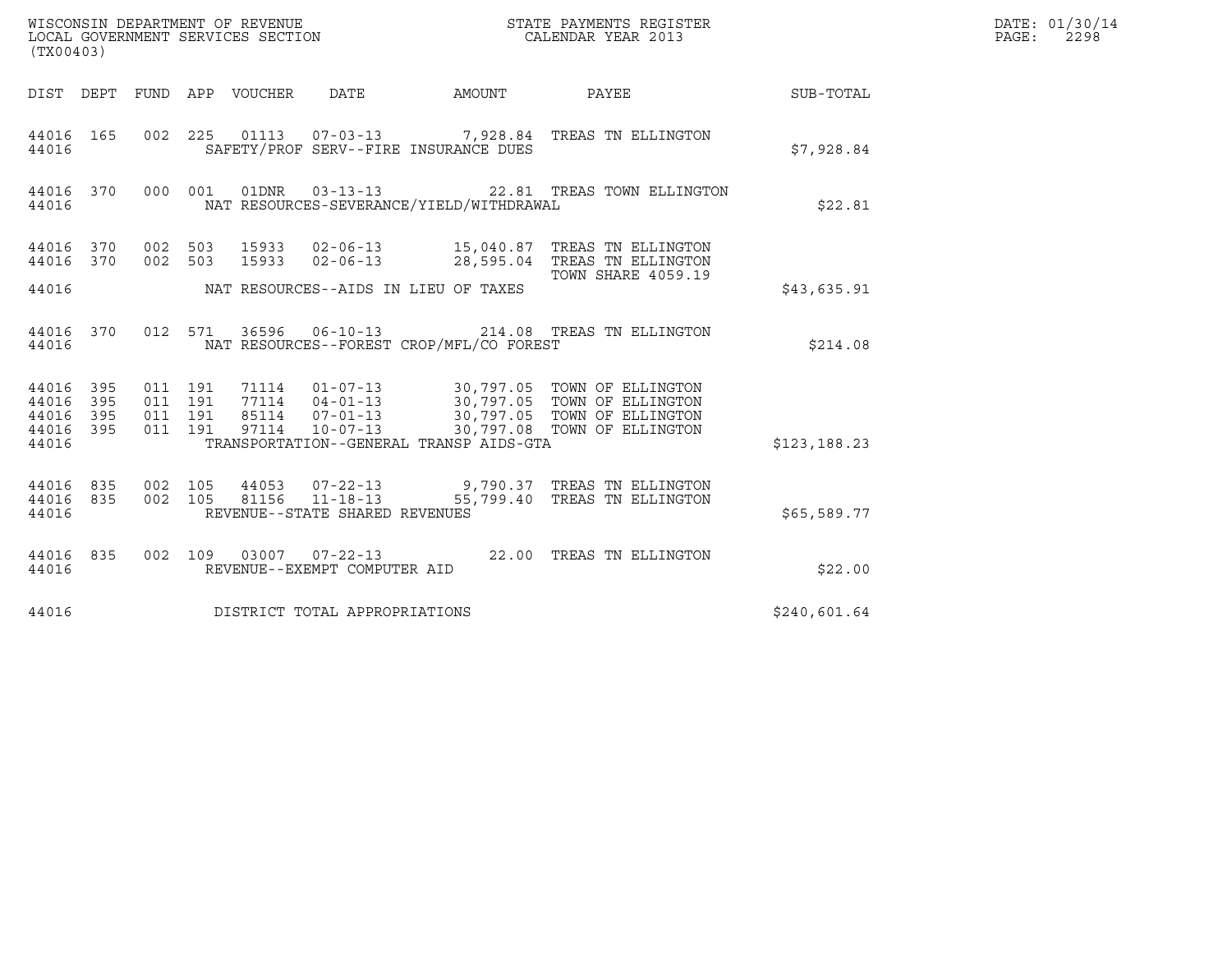| (TX00403)                                         |            |                                          |         | WISCONSIN DEPARTMENT OF REVENUE<br>LOCAL GOVERNMENT SERVICES SECTION |                                          | STATE PAYMENTS REGISTER<br>CALENDAR YEAR 2013                                                                                                                                                                       |              | DATE: 01/30/14<br>PAGE: 2298 |
|---------------------------------------------------|------------|------------------------------------------|---------|----------------------------------------------------------------------|------------------------------------------|---------------------------------------------------------------------------------------------------------------------------------------------------------------------------------------------------------------------|--------------|------------------------------|
|                                                   |            |                                          |         |                                                                      |                                          | DIST DEPT FUND APP VOUCHER DATE AMOUNT PAYEE THE SUB-TOTAL                                                                                                                                                          |              |                              |
| 44016 165<br>44016                                |            |                                          |         |                                                                      | SAFETY/PROF SERV--FIRE INSURANCE DUES    | 002  225  01113  07-03-13  7,928.84  TREAS TN ELLINGTON                                                                                                                                                             | \$7,928.84   |                              |
| 44016 370<br>44016                                |            |                                          |         |                                                                      | NAT RESOURCES-SEVERANCE/YIELD/WITHDRAWAL | 000 001 01DNR 03-13-13 22.81 TREAS TOWN ELLINGTON                                                                                                                                                                   | \$22.81      |                              |
| 44016 370                                         |            |                                          | 002 503 |                                                                      |                                          | 44016 370 002 503 15933 02-06-13 15,040.87 TREAS TN ELLINGTON<br>15933 02-06-13 28,595.04 TREAS TN ELLINGTON<br><b>TOWN SHARE 4059.19</b>                                                                           |              |                              |
| 44016                                             |            |                                          |         |                                                                      | NAT RESOURCES--AIDS IN LIEU OF TAXES     |                                                                                                                                                                                                                     | \$43,635.91  |                              |
| 44016 370<br>44016                                |            |                                          |         |                                                                      | NAT RESOURCES--FOREST CROP/MFL/CO FOREST | 012 571 36596 06-10-13 214.08 TREAS TN ELLINGTON                                                                                                                                                                    | \$214.08     |                              |
| 44016 395<br>44016<br>44016<br>44016 395<br>44016 | 395<br>395 | 011 191<br>011 191<br>011 191<br>011 191 |         |                                                                      | TRANSPORTATION--GENERAL TRANSP AIDS-GTA  | 71114  01-07-13  30,797.05  TOWN OF ELLINGTON<br>77114  04-01-13  30,797.05  TOWN OF ELLINGTON<br>85114  07-01-13  30,797.05  TOWN OF ELLINGTON<br>97114  10-07-13  30,797.08  TOWN OF ELLINGTON                    | \$123,188.23 |                              |
| 44016                                             |            |                                          |         | REVENUE--STATE SHARED REVENUES                                       |                                          | $\begin{array}{cccccc} 44016 & 835 & 002 & 105 & 44053 & 07-22-13 & & & 9,790.37 & \text{TREAS TN ELLINGTON} \\ 44016 & 835 & 002 & 105 & 81156 & 11-18-13 & & & 55,799.40 & \text{TREAS TN ELLINGTON} \end{array}$ | \$65,589.77  |                              |
| 44016 835<br>44016                                |            |                                          |         | REVENUE--EXEMPT COMPUTER AID                                         |                                          | 002 109 03007 07-22-13 22.00 TREAS TN ELLINGTON                                                                                                                                                                     | \$22.00      |                              |
| 44016                                             |            |                                          |         | DISTRICT TOTAL APPROPRIATIONS                                        |                                          |                                                                                                                                                                                                                     | \$240,601.64 |                              |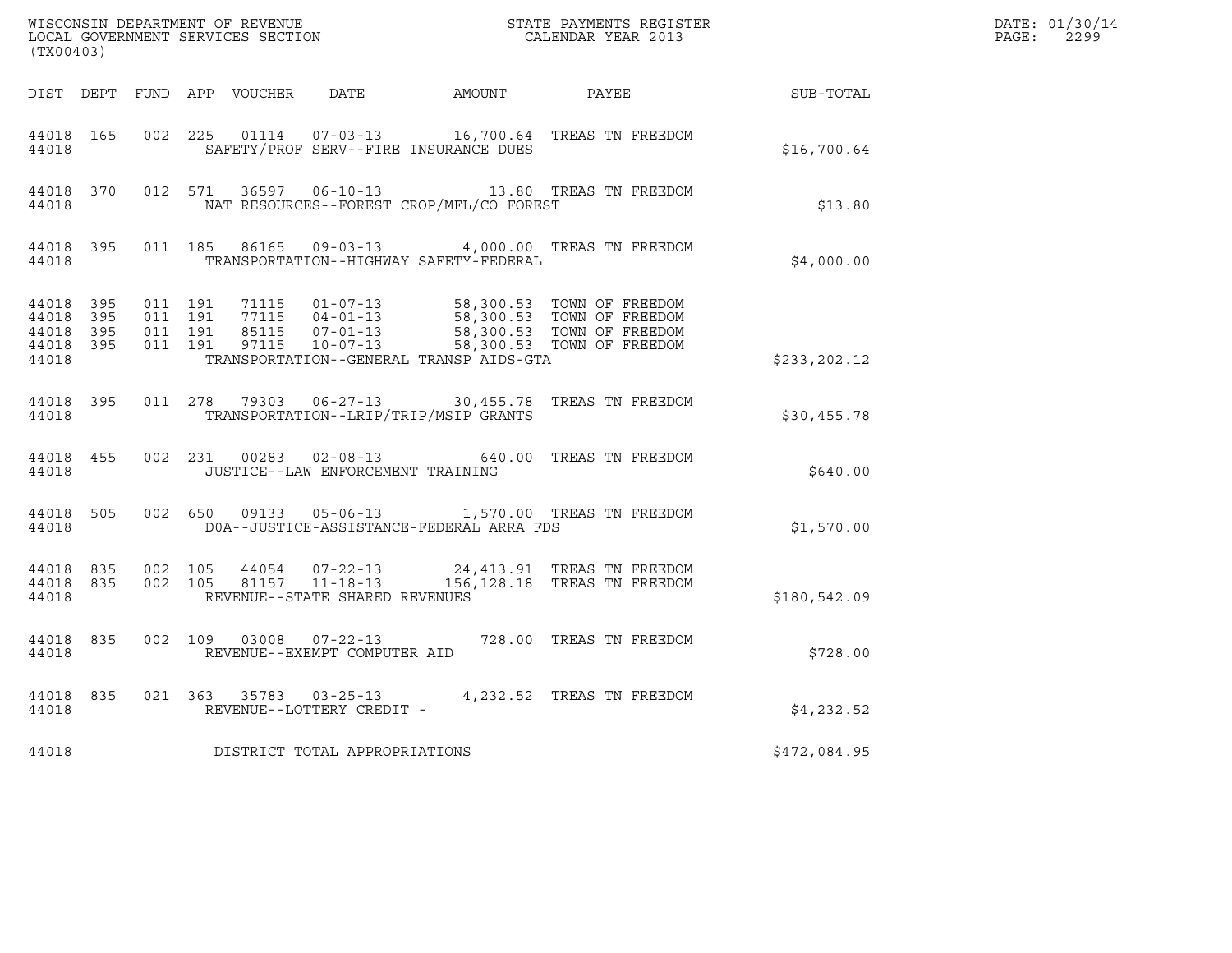| (TX00403)                                                 |                   |         |                                                                      |                                          | $\tt WISCONSIM DEPARTMENT OF REVENUE$ $\tt WISCONSIMENTS REGISTER$<br>LOCAL GOVERNMENT SERVICES SECTION $\tt CALENDAR YEAR$<br>2013 |                                                            | DATE: 01/30/14<br>$\mathtt{PAGE:}$<br>2299 |
|-----------------------------------------------------------|-------------------|---------|----------------------------------------------------------------------|------------------------------------------|-------------------------------------------------------------------------------------------------------------------------------------|------------------------------------------------------------|--------------------------------------------|
|                                                           |                   |         |                                                                      |                                          |                                                                                                                                     | DIST DEPT FUND APP VOUCHER DATE AMOUNT PAYEE THE SUB-TOTAL |                                            |
| 44018                                                     |                   |         |                                                                      | SAFETY/PROF SERV--FIRE INSURANCE DUES    | 44018 165 002 225 01114 07-03-13 16,700.64 TREAS TN FREEDOM                                                                         | \$16,700.64                                                |                                            |
| 44018 370<br>44018                                        |                   |         |                                                                      | NAT RESOURCES--FOREST CROP/MFL/CO FOREST | 012 571 36597 06-10-13 13.80 TREAS TN FREEDOM                                                                                       | \$13.80                                                    |                                            |
| 44018 395<br>44018                                        |                   |         |                                                                      | TRANSPORTATION--HIGHWAY SAFETY-FEDERAL   | 011 185 86165 09-03-13 4,000.00 TREAS TN FREEDOM                                                                                    | \$4,000.00                                                 |                                            |
| 44018 395<br>44018 395<br>44018 395<br>44018 395<br>44018 |                   |         |                                                                      | TRANSPORTATION--GENERAL TRANSP AIDS-GTA  |                                                                                                                                     | \$233, 202.12                                              |                                            |
| 44018 395<br>44018                                        |                   |         |                                                                      | TRANSPORTATION--LRIP/TRIP/MSIP GRANTS    | 011  278  79303  06-27-13  30,455.78  TREAS TN FREEDOM                                                                              | \$30,455.78                                                |                                            |
| 44018 455<br>44018                                        |                   |         | JUSTICE--LAW ENFORCEMENT TRAINING                                    |                                          | 002 231 00283 02-08-13 640.00 TREAS TN FREEDOM                                                                                      | \$640.00                                                   |                                            |
| 44018 505<br>44018                                        |                   |         |                                                                      | DOA--JUSTICE-ASSISTANCE-FEDERAL ARRA FDS | 002 650 09133 05-06-13 1,570.00 TREAS TN FREEDOM                                                                                    | \$1,570.00                                                 |                                            |
| 44018 835<br>44018                                        | 44018 835 002 105 | 002 105 | 44054 07-22-13<br>81157   11-18-13<br>REVENUE--STATE SHARED REVENUES |                                          | 24,413.91 TREAS TN FREEDOM<br>156,128.18 TREAS TN FREEDOM                                                                           | \$180,542.09                                               |                                            |
| 44018 835<br>44018                                        |                   |         | REVENUE--EXEMPT COMPUTER AID                                         |                                          | 002 109 03008 07-22-13 728.00 TREAS TN FREEDOM                                                                                      | \$728.00                                                   |                                            |
| 44018 835<br>44018                                        |                   |         | REVENUE--LOTTERY CREDIT -                                            |                                          | 021  363  35783  03-25-13  4, 232.52  TREAS TN FREEDOM                                                                              | \$4,232.52                                                 |                                            |
| 44018                                                     |                   |         | DISTRICT TOTAL APPROPRIATIONS                                        |                                          |                                                                                                                                     | \$472,084.95                                               |                                            |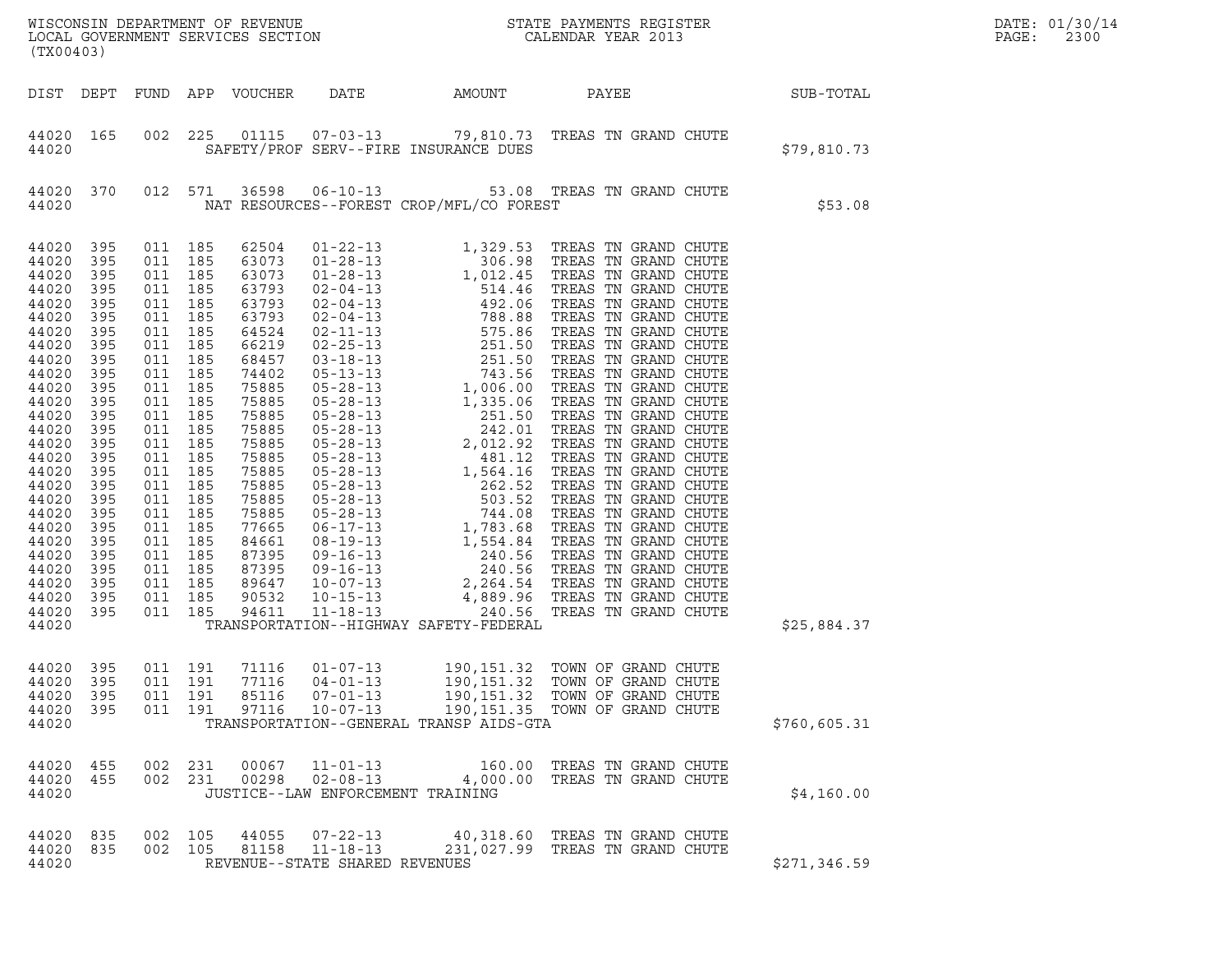| (TX00403)                                                                                                                                                                                                                                                |                                                                                                                                                                                           |                                                                                                                                                                                                                          |                                                                           |                                                                                                                                                                                                                                                 |                                                                       |                                          | WISCONSIN DEPARTMENT OF REVENUE<br>LOCAL GOVERNMENT SERVICES SECTION<br>CALENDAR YEAR 2013                                                             | R            | DATE: 01/30/14<br>PAGE:<br>2300 |
|----------------------------------------------------------------------------------------------------------------------------------------------------------------------------------------------------------------------------------------------------------|-------------------------------------------------------------------------------------------------------------------------------------------------------------------------------------------|--------------------------------------------------------------------------------------------------------------------------------------------------------------------------------------------------------------------------|---------------------------------------------------------------------------|-------------------------------------------------------------------------------------------------------------------------------------------------------------------------------------------------------------------------------------------------|-----------------------------------------------------------------------|------------------------------------------|--------------------------------------------------------------------------------------------------------------------------------------------------------|--------------|---------------------------------|
| DIST DEPT                                                                                                                                                                                                                                                |                                                                                                                                                                                           |                                                                                                                                                                                                                          |                                                                           | FUND APP VOUCHER                                                                                                                                                                                                                                |                                                                       |                                          | DATE AMOUNT PAYEE SUB-TOTAL                                                                                                                            |              |                                 |
| 44020 165<br>44020                                                                                                                                                                                                                                       |                                                                                                                                                                                           |                                                                                                                                                                                                                          |                                                                           |                                                                                                                                                                                                                                                 |                                                                       | SAFETY/PROF SERV--FIRE INSURANCE DUES    | 002 225 01115 07-03-13 79,810.73 TREAS TN GRAND CHUTE                                                                                                  | \$79,810.73  |                                 |
| 44020<br>44020                                                                                                                                                                                                                                           | 370                                                                                                                                                                                       |                                                                                                                                                                                                                          | 012 571                                                                   |                                                                                                                                                                                                                                                 |                                                                       | NAT RESOURCES--FOREST CROP/MFL/CO FOREST | 36598  06-10-13  53.08  TREAS TN GRAND CHUTE                                                                                                           | \$53.08      |                                 |
| 44020<br>44020<br>44020<br>44020<br>44020<br>44020<br>44020<br>44020<br>44020<br>44020<br>44020<br>44020<br>44020<br>44020<br>44020<br>44020<br>44020<br>44020<br>44020<br>44020<br>44020<br>44020<br>44020<br>44020<br>44020<br>44020<br>44020<br>44020 | 395<br>395<br>395<br>395<br>395<br>395<br>395<br>395<br>395<br>395<br>395<br>395<br>395<br>395<br>395<br>395<br>395<br>395<br>395<br>395<br>395<br>395<br>395<br>395<br>395<br>395<br>395 | 011 185<br>011 185<br>011 185<br>011 185<br>011 185<br>011 185<br>011 185<br>011 185<br>011 185<br>011 185<br>011 185<br>011 185<br>011 185<br>011 185<br>011 185<br>011 185<br>011 185<br>011 185<br>011 185<br>011 185 | 011 185<br>011 185<br>011 185<br>011 185<br>011 185<br>011 185<br>011 185 | 62504<br>63073<br>63073<br>63793<br>63793<br>63793<br>64524<br>66219<br>68457<br>74402<br>75885<br>75885<br>75885<br>75885<br>75885<br>75885<br>75885<br>75885<br>75885<br>75885<br>77665<br>84661<br>87395<br>87395<br>89647<br>90532<br>94611 |                                                                       | TRANSPORTATION--HIGHWAY SAFETY-FEDERAL   |                                                                                                                                                        | \$25,884.37  |                                 |
| 44020 395<br>44020<br>44020<br>44020<br>44020                                                                                                                                                                                                            | 395<br>395<br>395                                                                                                                                                                         | 011<br>011                                                                                                                                                                                                               | 011 191<br>191<br>191<br>011 191                                          | 77116<br>85116<br>97116                                                                                                                                                                                                                         | 04-01-13<br>$07 - 01 - 13$<br>$10 - 07 - 13$                          | TRANSPORTATION--GENERAL TRANSP AIDS-GTA  | 71116  01-07-13  190,151.32  TOWN OF GRAND CHUTE<br>190,151.32 TOWN OF GRAND CHUTE<br>190,151.32 TOWN OF GRAND CHUTE<br>190,151.35 TOWN OF GRAND CHUTE | \$760,605.31 |                                 |
| 44020<br>44020 455<br>44020                                                                                                                                                                                                                              | 455                                                                                                                                                                                       | 002                                                                                                                                                                                                                      | 231<br>002 231                                                            | 00067<br>00298                                                                                                                                                                                                                                  | $11 - 01 - 13$<br>$02 - 08 - 13$<br>JUSTICE--LAW ENFORCEMENT TRAINING |                                          | 160.00 TREAS TN GRAND CHUTE<br>4,000.00 TREAS TN GRAND CHUTE                                                                                           | \$4,160.00   |                                 |
| 44020 835<br>44020<br>44020                                                                                                                                                                                                                              | 835                                                                                                                                                                                       |                                                                                                                                                                                                                          | 002 105<br>002 105                                                        | 44055<br>81158                                                                                                                                                                                                                                  | $07 - 22 - 13$<br>11-18-13<br>REVENUE--STATE SHARED REVENUES          |                                          | 40,318.60 TREAS TN GRAND CHUTE<br>231,027.99 TREAS TN GRAND CHUTE                                                                                      | \$271,346.59 |                                 |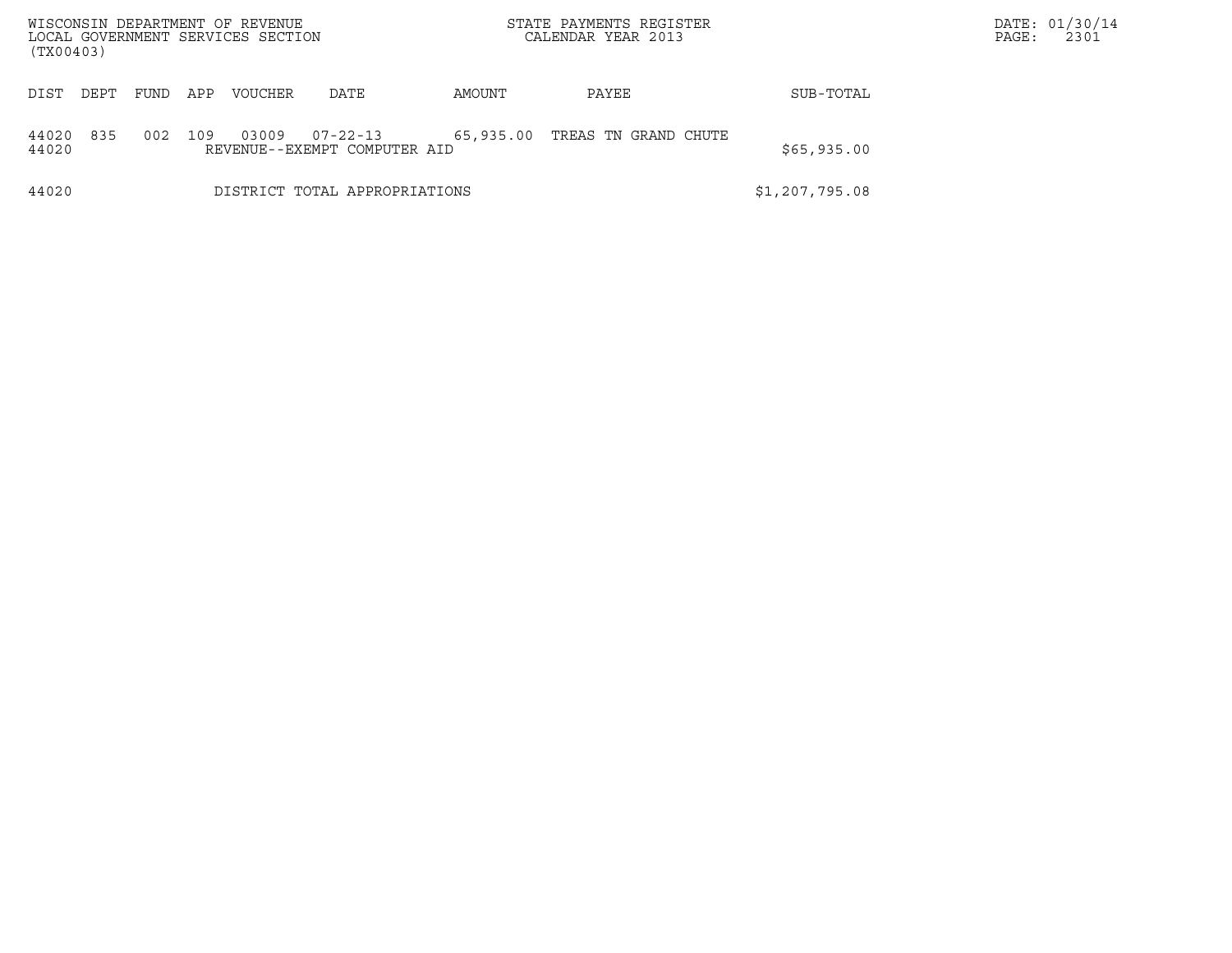| WISCONSIN DEPARTMENT OF REVENUE<br>LOCAL GOVERNMENT SERVICES SECTION<br>(TX00403) |             |     |                |                                                |           | STATE PAYMENTS REGISTER<br>CALENDAR YEAR 2013 |                | DATE: 01/30/14<br>2301<br>PAGE: |
|-----------------------------------------------------------------------------------|-------------|-----|----------------|------------------------------------------------|-----------|-----------------------------------------------|----------------|---------------------------------|
| DIST<br>DEPT                                                                      | <b>FUND</b> | APP | <b>VOUCHER</b> | DATE                                           | AMOUNT    | PAYEE                                         | SUB-TOTAL      |                                 |
| 835<br>44020<br>44020                                                             | 002         | 109 | 03009          | $07 - 22 - 13$<br>REVENUE--EXEMPT COMPUTER AID | 65,935.00 | TREAS TN GRAND CHUTE                          | \$65,935.00    |                                 |
| 44020                                                                             |             |     |                | DISTRICT TOTAL APPROPRIATIONS                  |           |                                               | \$1,207,795.08 |                                 |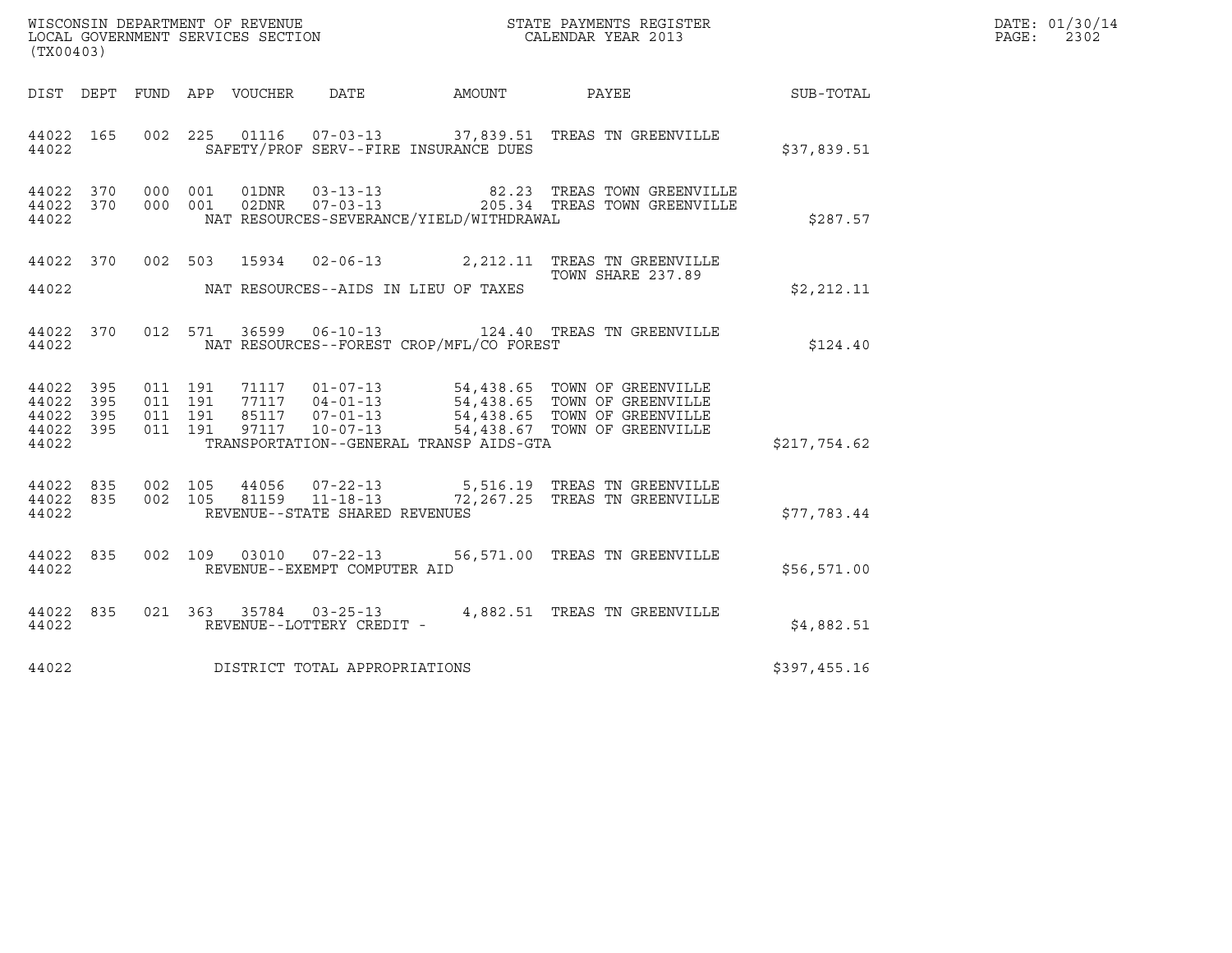|                                                       |     |         |                               |                        |                                                  |                                          |                                                                          | DATE: 01/30/14<br>PAGE:<br>2302 |  |
|-------------------------------------------------------|-----|---------|-------------------------------|------------------------|--------------------------------------------------|------------------------------------------|--------------------------------------------------------------------------|---------------------------------|--|
| (TX00403)                                             |     |         |                               |                        |                                                  |                                          |                                                                          |                                 |  |
| DIST DEPT                                             |     |         |                               | FUND APP VOUCHER DATE  |                                                  | AMOUNT                                   | PAYEE                                                                    | <b>SUB-TOTAL</b>                |  |
| 44022 165<br>44022                                    |     |         |                               |                        |                                                  | SAFETY/PROF SERV--FIRE INSURANCE DUES    | 002 225 01116 07-03-13 37,839.51 TREAS TN GREENVILLE                     | \$37,839.51                     |  |
| 44022 370<br>44022 370<br>44022                       |     |         | 000 001                       | 01DNR<br>000 001 02DNR | $03 - 13 - 13$<br>$07 - 03 - 13$                 | NAT RESOURCES-SEVERANCE/YIELD/WITHDRAWAL | 82.23 TREAS TOWN GREENVILLE<br>205.34 TREAS TOWN GREENVILLE              | \$287.57                        |  |
| 44022 370<br>44022                                    |     |         |                               |                        |                                                  | NAT RESOURCES--AIDS IN LIEU OF TAXES     | 002 503 15934 02-06-13 2,212.11 TREAS TN GREENVILLE<br>TOWN SHARE 237.89 | \$2,212.11                      |  |
|                                                       |     |         |                               |                        |                                                  |                                          |                                                                          |                                 |  |
| 44022 370<br>44022                                    |     |         |                               |                        |                                                  | NAT RESOURCES--FOREST CROP/MFL/CO FOREST | 012 571 36599 06-10-13 124.40 TREAS TN GREENVILLE                        | \$124.40                        |  |
| 44022<br>44022 395<br>44022 395<br>44022 395<br>44022 | 395 | 011 191 | 011 191<br>011 191<br>011 191 |                        |                                                  | TRANSPORTATION--GENERAL TRANSP AIDS-GTA  |                                                                          | \$217,754.62                    |  |
| 44022 835<br>44022 835<br>44022                       |     |         | 002 105<br>002 105            | 44056                  | 81159 11-18-13<br>REVENUE--STATE SHARED REVENUES |                                          | 07-22-13 5,516.19 TREAS TN GREENVILLE<br>72,267.25 TREAS TN GREENVILLE   | \$77,783.44                     |  |
| 44022 835<br>44022                                    |     |         |                               |                        | REVENUE--EXEMPT COMPUTER AID                     |                                          | 002 109 03010 07-22-13 56,571.00 TREAS TN GREENVILLE                     | \$56,571.00                     |  |
| 44022 835<br>44022                                    |     |         |                               |                        | REVENUE--LOTTERY CREDIT -                        |                                          | 021  363  35784  03-25-13  4,882.51  TREAS TN GREENVILLE                 | \$4,882.51                      |  |
| 44022                                                 |     |         |                               |                        | DISTRICT TOTAL APPROPRIATIONS                    |                                          |                                                                          | \$397,455.16                    |  |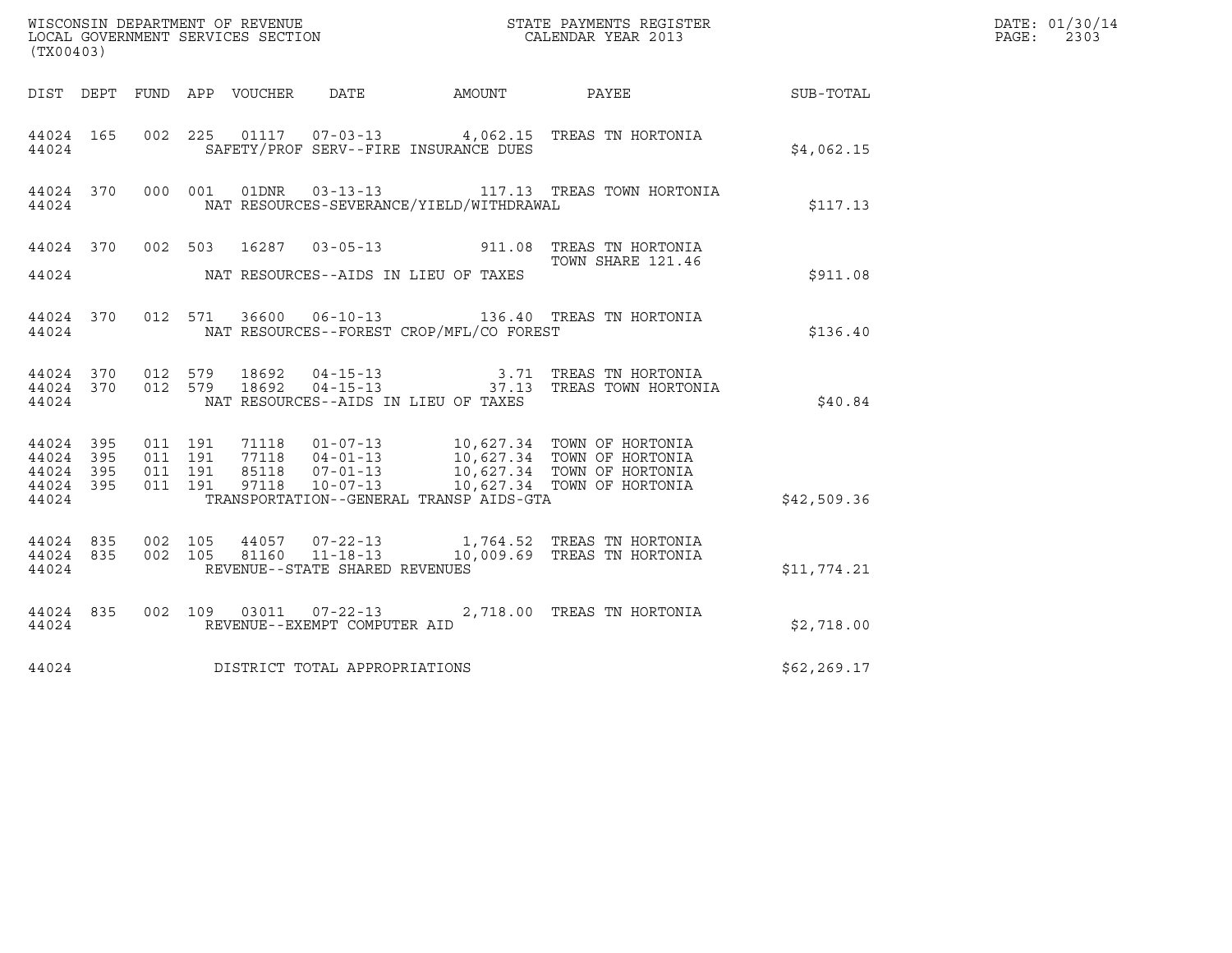| (TX00403)                                             |           |                    |                    |                                  |                                                  |                                                | WISCONSIN DEPARTMENT OF REVENUE<br>LOCAL GOVERNMENT SERVICES SECTION<br>CALENDAR YEAR 2013                                    |              | DATE: 01/30/14<br>PAGE:<br>2303 |
|-------------------------------------------------------|-----------|--------------------|--------------------|----------------------------------|--------------------------------------------------|------------------------------------------------|-------------------------------------------------------------------------------------------------------------------------------|--------------|---------------------------------|
|                                                       |           |                    |                    |                                  |                                                  |                                                |                                                                                                                               |              |                                 |
| 44024                                                 | 44024 165 |                    |                    |                                  |                                                  | SAFETY/PROF SERV--FIRE INSURANCE DUES          | 002 225 01117 07-03-13 4,062.15 TREAS TN HORTONIA                                                                             | \$4,062.15   |                                 |
| 44024                                                 | 44024 370 |                    |                    |                                  |                                                  | NAT RESOURCES-SEVERANCE/YIELD/WITHDRAWAL       | 000 001 01DNR 03-13-13 117.13 TREAS TOWN HORTONIA                                                                             | \$117.13     |                                 |
|                                                       |           |                    |                    |                                  |                                                  | 44024 MAT RESOURCES--AIDS IN LIEU OF TAXES     | 44024 370 002 503 16287 03-05-13 911.08 TREAS TN HORTONIA<br>TOWN SHARE 121.46                                                | \$911.08     |                                 |
|                                                       |           |                    |                    |                                  |                                                  | 44024 NAT RESOURCES--FOREST CROP/MFL/CO FOREST | 44024 370 012 571 36600 06-10-13 136.40 TREAS TN HORTONIA                                                                     | \$136.40     |                                 |
| 44024                                                 | 44024 370 |                    | 012 579            | 44024 370 012 579 18692<br>18692 |                                                  | NAT RESOURCES--AIDS IN LIEU OF TAXES           | 04-15-13                             3.71   TREAS TN HORTONIA<br>04-15-13                         37.13   TREAS TOWN HORTONIA | \$40.84      |                                 |
| 44024 395<br>44024 395<br>44024<br>44024 395<br>44024 | 395       | 011 191<br>011 191 | 011 191<br>011 191 |                                  |                                                  | TRANSPORTATION--GENERAL TRANSP AIDS-GTA        |                                                                                                                               | \$42,509.36  |                                 |
| 44024 835<br>44024                                    | 44024 835 | 002 105<br>002 105 |                    |                                  | 81160 11-18-13<br>REVENUE--STATE SHARED REVENUES |                                                | 44057  07-22-13   1,764.52  TREAS TN HORTONIA<br>10,009.69 TREAS TN HORTONIA                                                  | \$11,774.21  |                                 |
| 44024 835<br>44024                                    |           |                    |                    |                                  | REVENUE--EXEMPT COMPUTER AID                     |                                                | 002 109 03011 07-22-13 2,718.00 TREAS TN HORTONIA                                                                             | \$2,718.00   |                                 |
| 44024                                                 |           |                    |                    |                                  | DISTRICT TOTAL APPROPRIATIONS                    |                                                |                                                                                                                               | \$62, 269.17 |                                 |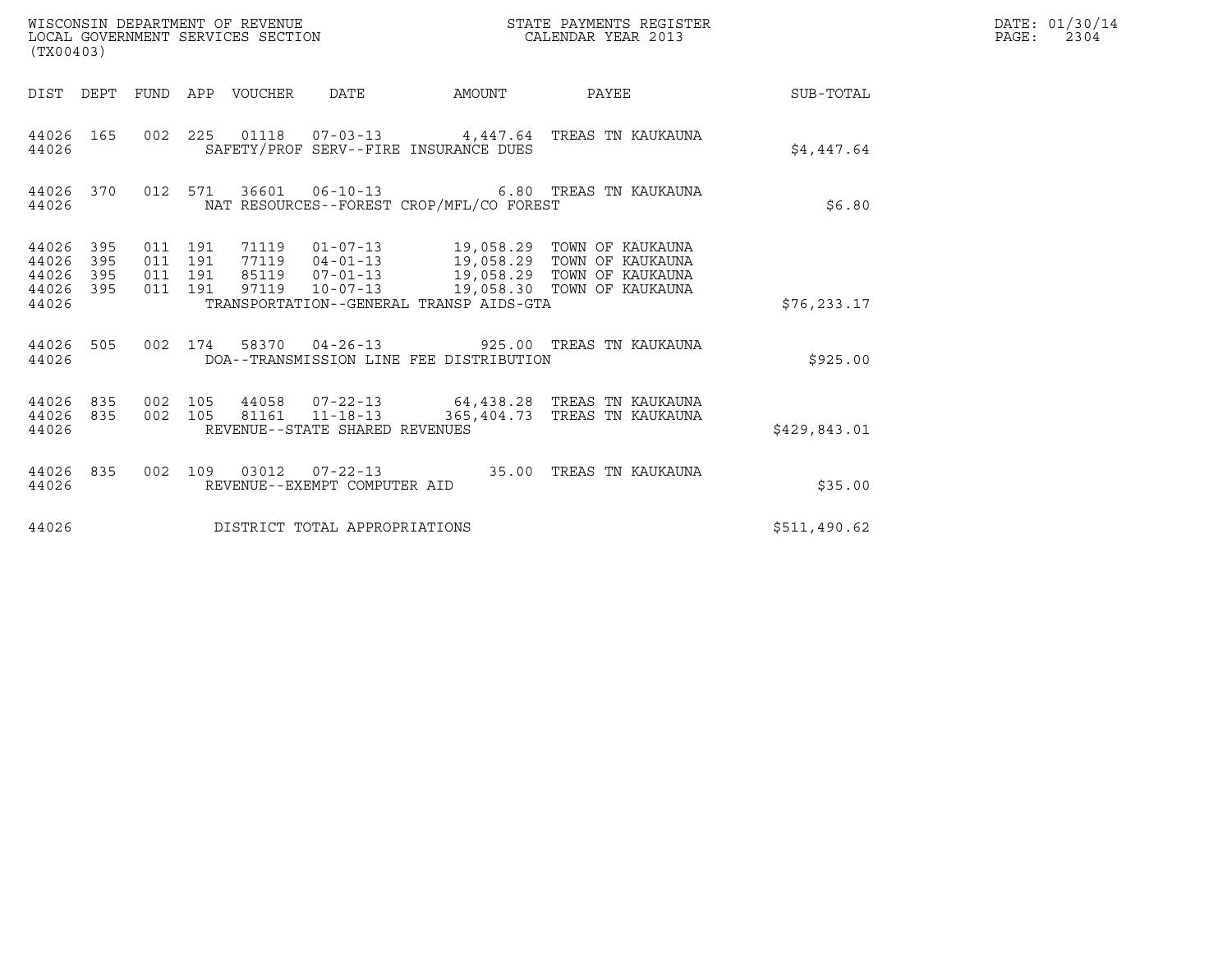| (TX00403)                                     |                        |                                          |         | WISCONSIN DEPARTMENT OF REVENUE<br>LOCAL GOVERNMENT SERVICES SECTION |                                                          |                                          | STATE PAYMENTS REGISTER<br>CALENDAR YEAR 2013                                                                                                                                      |              | DATE: 01/30/14<br>$\mathtt{PAGE:}$<br>2304 |
|-----------------------------------------------|------------------------|------------------------------------------|---------|----------------------------------------------------------------------|----------------------------------------------------------|------------------------------------------|------------------------------------------------------------------------------------------------------------------------------------------------------------------------------------|--------------|--------------------------------------------|
|                                               |                        |                                          |         | DIST DEPT FUND APP VOUCHER DATE                                      |                                                          |                                          | AMOUNT PAYEE SUB-TOTAL                                                                                                                                                             |              |                                            |
| 44026 165<br>44026                            |                        |                                          |         |                                                                      |                                                          | SAFETY/PROF SERV--FIRE INSURANCE DUES    | 002 225 01118 07-03-13 4,447.64 TREAS TN KAUKAUNA                                                                                                                                  | \$4,447.64   |                                            |
| 44026                                         | 44026 370              |                                          |         |                                                                      |                                                          | NAT RESOURCES--FOREST CROP/MFL/CO FOREST | 012 571 36601 06-10-13 6.80 TREAS TN KAUKAUNA                                                                                                                                      | \$6.80       |                                            |
| 44026 395<br>44026<br>44026<br>44026<br>44026 | 395<br>395<br>395      | 011 191<br>011 191<br>011 191<br>011 191 |         | 71119<br>85119<br>97119                                              |                                                          | TRANSPORTATION--GENERAL TRANSP AIDS-GTA  | 01-07-13 19,058.29 TOWN OF KAUKAUNA<br>77119  04-01-13  19,058.29  TOWN OF KAUKAUNA<br>07-01-13         19,058.29  TOWN OF KAUKAUNA<br>10-07-13        19,058.30  TOWN OF KAUKAUNA | \$76, 233.17 |                                            |
| 44026 505<br>44026                            |                        |                                          |         |                                                                      |                                                          | DOA--TRANSMISSION LINE FEE DISTRIBUTION  | 002 174 58370 04-26-13 925.00 TREAS TN KAUKAUNA                                                                                                                                    | \$925.00     |                                            |
| 44026                                         | 44026 835<br>44026 835 |                                          | 002 105 |                                                                      | 002 105 81161 11-18-13<br>REVENUE--STATE SHARED REVENUES |                                          | 44058 07-22-13 64,438.28 TREAS TN KAUKAUNA<br>365,404.73 TREAS TN KAUKAUNA                                                                                                         | \$429,843.01 |                                            |
| 44026                                         | 44026 835              |                                          |         |                                                                      | REVENUE--EXEMPT COMPUTER AID                             |                                          | 002 109 03012 07-22-13 35.00 TREAS TN KAUKAUNA                                                                                                                                     | \$35.00      |                                            |
| 44026                                         |                        |                                          |         |                                                                      | DISTRICT TOTAL APPROPRIATIONS                            |                                          |                                                                                                                                                                                    | \$511,490.62 |                                            |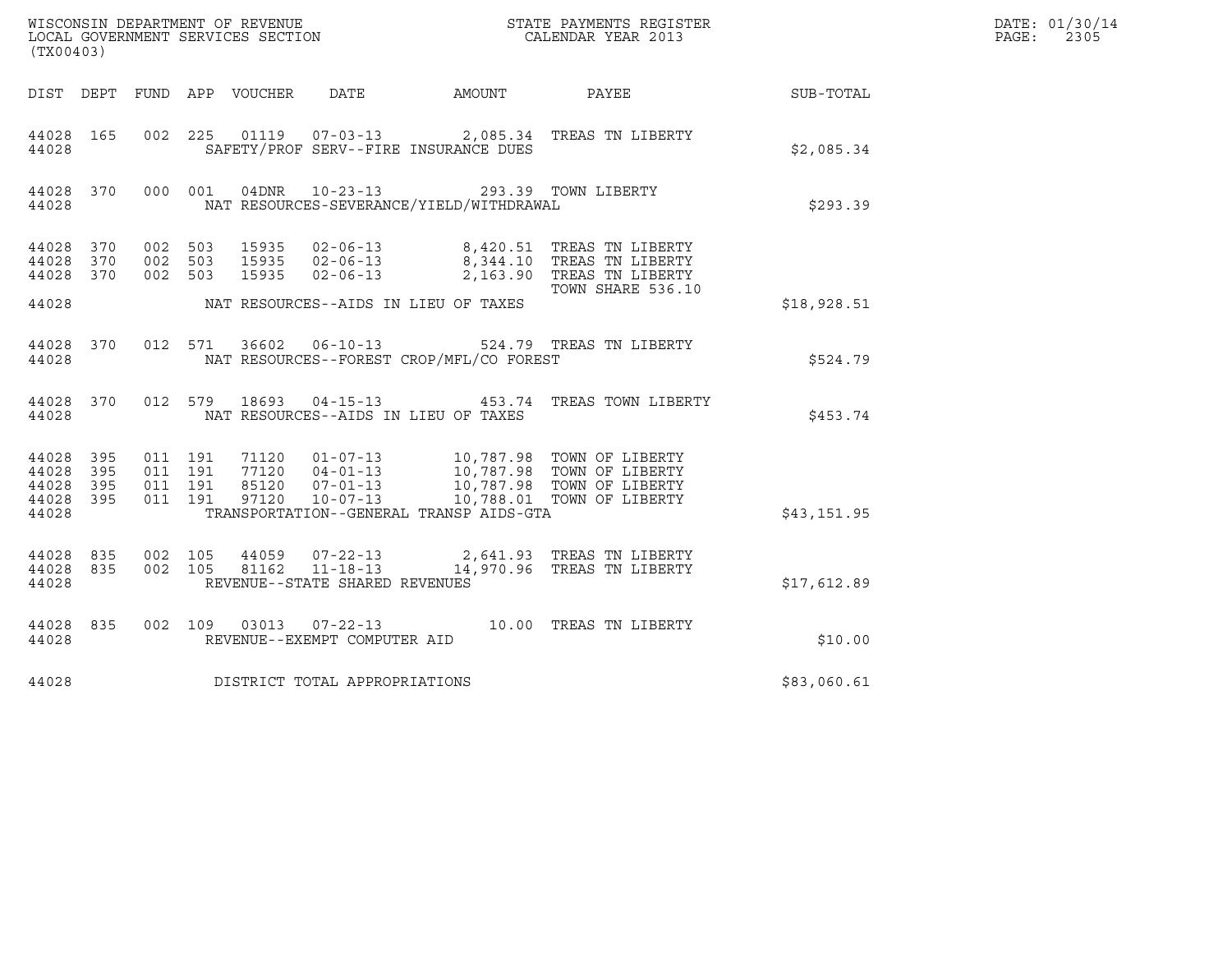|                                 |                         |                                          |  |       |                                |                                                                                                  |                                                                                                                                                                                          |             | DATE: 01/30/14            |
|---------------------------------|-------------------------|------------------------------------------|--|-------|--------------------------------|--------------------------------------------------------------------------------------------------|------------------------------------------------------------------------------------------------------------------------------------------------------------------------------------------|-------------|---------------------------|
| (TX00403)                       |                         |                                          |  |       |                                |                                                                                                  |                                                                                                                                                                                          |             | $\mathtt{PAGE}$ :<br>2305 |
|                                 |                         |                                          |  |       |                                |                                                                                                  | DIST DEPT FUND APP VOUCHER DATE AMOUNT PAYEE                                                                                                                                             | SUB-TOTAL   |                           |
| 44028 165<br>44028              |                         |                                          |  |       |                                | SAFETY/PROF SERV--FIRE INSURANCE DUES                                                            | 002  225  01119  07-03-13  2,085.34  TREAS TN LIBERTY                                                                                                                                    | \$2,085.34  |                           |
| 44028                           |                         |                                          |  |       |                                | 44028 370 000 001 04DNR 10-23-13 293.39 TOWN LIBERTY<br>NAT RESOURCES-SEVERANCE/YIELD/WITHDRAWAL |                                                                                                                                                                                          | \$293.39    |                           |
| 44028 370<br>44028<br>44028 370 | 370                     | 002 503<br>002 503<br>002 503            |  | 15935 |                                |                                                                                                  | 15935 02-06-13 8,420.51 TREAS TN LIBERTY<br>15935 02-06-13 8,344.10 TREAS TN LIBERTY<br>02-06-13 2,163.90 TREAS TN LIBERTY<br>TOWN SHARE 536.10                                          |             |                           |
| 44028                           |                         |                                          |  |       |                                | NAT RESOURCES--AIDS IN LIEU OF TAXES                                                             |                                                                                                                                                                                          | \$18,928.51 |                           |
| 44028                           |                         |                                          |  |       |                                | NAT RESOURCES--FOREST CROP/MFL/CO FOREST                                                         | 44028 370 012 571 36602 06-10-13 524.79 TREAS TN LIBERTY                                                                                                                                 | \$524.79    |                           |
| 44028                           |                         |                                          |  |       |                                | NAT RESOURCES--AIDS IN LIEU OF TAXES                                                             | 44028 370 012 579 18693 04-15-13 453.74 TREAS TOWN LIBERTY                                                                                                                               | \$453.74    |                           |
| 44028 395<br>44028<br>44028     | 395<br>395<br>44028 395 | 011 191<br>011 191<br>011 191<br>011 191 |  |       |                                |                                                                                                  | 71120  01-07-13  10,787.98  TOWN OF LIBERTY<br>77120  04-01-13  10,787.98  TOWN OF LIBERTY<br>85120  07-01-13  10,787.98  TOWN OF LIBERTY<br>97120  10-07-13  10,788.01  TOWN OF LIBERTY |             |                           |
| 44028                           |                         |                                          |  |       |                                | TRANSPORTATION--GENERAL TRANSP AIDS-GTA                                                          |                                                                                                                                                                                          | \$43,151.95 |                           |
| 44028 835<br>44028              | 44028 835               | 002 105<br>002 105                       |  |       | REVENUE--STATE SHARED REVENUES |                                                                                                  | 44059  07-22-13  2,641.93  TREAS TN LIBERTY<br>81162  11-18-13  14,970.96  TREAS TN LIBERTY                                                                                              | \$17,612.89 |                           |
| 44028                           | 44028 835               |                                          |  |       | REVENUE--EXEMPT COMPUTER AID   |                                                                                                  | 002 109 03013 07-22-13 10.00 TREAS TN LIBERTY                                                                                                                                            | \$10.00     |                           |
| 44028                           |                         |                                          |  |       | DISTRICT TOTAL APPROPRIATIONS  |                                                                                                  |                                                                                                                                                                                          | \$83,060.61 |                           |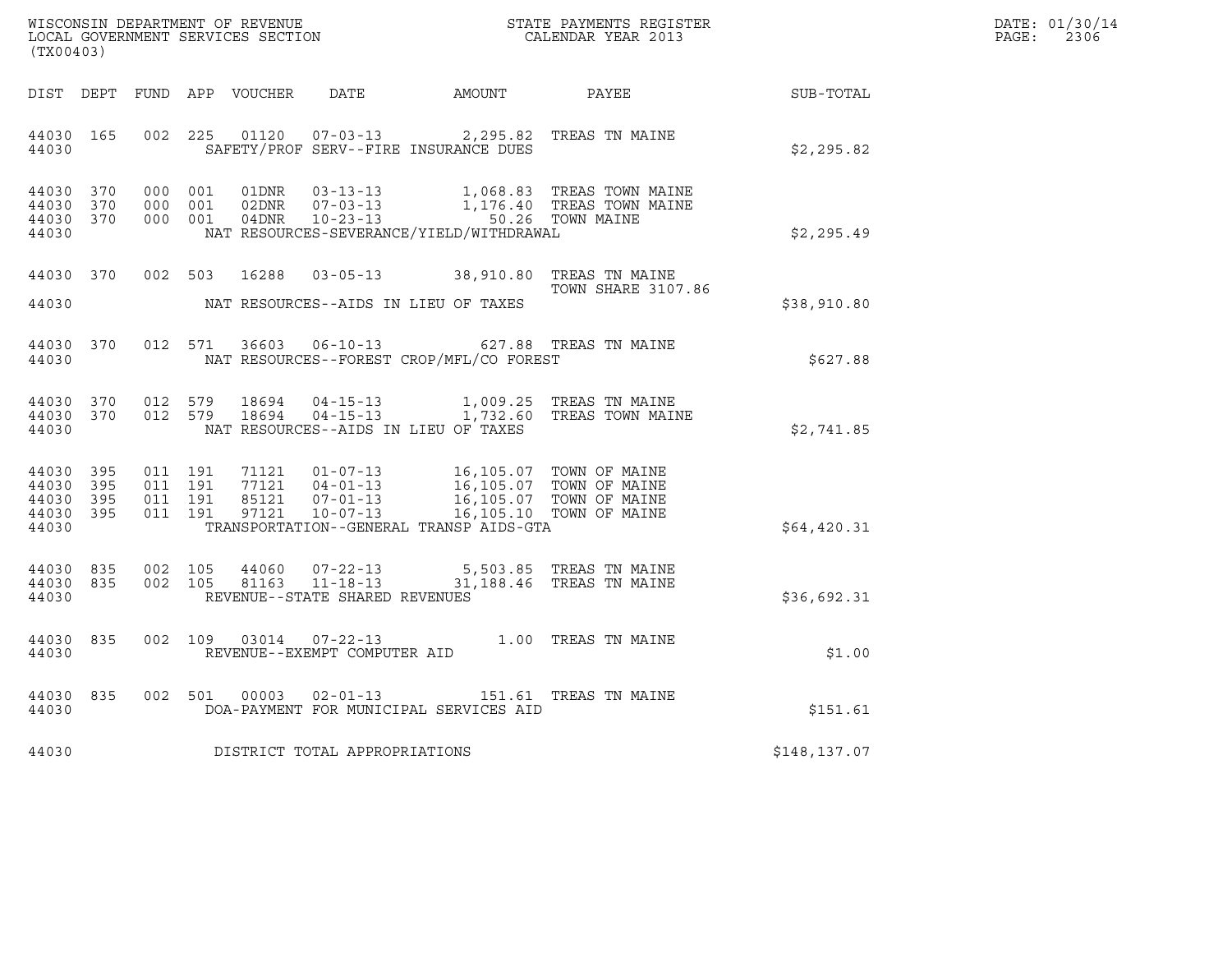| DATE: | 01/30/14 |
|-------|----------|
| PAGE: | 2306     |

| (TX00403)                                                 |     |                               |                    |                                 |                                                  |                                                                                                                                                                                                                         |                                                                                                                                                 |              | DATE: 01/30/14<br>$\mathtt{PAGE:}$<br>2306 |
|-----------------------------------------------------------|-----|-------------------------------|--------------------|---------------------------------|--------------------------------------------------|-------------------------------------------------------------------------------------------------------------------------------------------------------------------------------------------------------------------------|-------------------------------------------------------------------------------------------------------------------------------------------------|--------------|--------------------------------------------|
|                                                           |     |                               |                    | DIST DEPT FUND APP VOUCHER DATE |                                                  |                                                                                                                                                                                                                         | AMOUNT PAYEE SUB-TOTAL                                                                                                                          |              |                                            |
| 44030 165<br>44030                                        |     |                               |                    |                                 |                                                  | 002 225 01120 07-03-13 2,295.82 TREAS TN MAINE<br>SAFETY/PROF SERV--FIRE INSURANCE DUES                                                                                                                                 |                                                                                                                                                 | \$2,295.82   |                                            |
| 44030 370<br>44030 370<br>44030 370<br>44030              |     |                               |                    |                                 |                                                  | NAT RESOURCES-SEVERANCE/YIELD/WITHDRAWAL                                                                                                                                                                                | 000 001 01DNR 03-13-13 1,068.83 TREAS TOWN MAINE<br>000 001 02DNR 07-03-13 1,176.40 TREAS TOWN MAINE<br>000 001 04DNR 10-23-13 50.26 TOWN MAINE | \$2,295.49   |                                            |
| 44030                                                     |     |                               |                    |                                 |                                                  | NAT RESOURCES--AIDS IN LIEU OF TAXES                                                                                                                                                                                    | 44030 370 002 503 16288 03-05-13 38,910.80 TREAS TN MAINE<br><b>TOWN SHARE 3107.86</b>                                                          | \$38,910.80  |                                            |
| 44030 370<br>44030                                        |     |                               |                    |                                 |                                                  | 012 571 36603 06-10-13 627.88 TREAS TN MAINE<br>NAT RESOURCES--FOREST CROP/MFL/CO FOREST                                                                                                                                |                                                                                                                                                 | \$627.88     |                                            |
| 44030 370<br>44030                                        |     |                               | 012 579            | 44030 370 012 579 18694         |                                                  | NAT RESOURCES--AIDS IN LIEU OF TAXES                                                                                                                                                                                    |                                                                                                                                                 | \$2,741.85   |                                            |
| 44030 395<br>44030 395<br>44030 395<br>44030 395<br>44030 |     | 011 191<br>011 191<br>011 191 | 011 191            |                                 |                                                  | 71121  01-07-13  16,105.07 TOWN OF MAINE<br>77121  04-01-13  16,105.07 TOWN OF MAINE<br>85121  07-01-13  16,105.07 TOWN OF MAINE<br>97121  10-07-13  16,105.10 TOWN OF MAINE<br>TRANSPORTATION--GENERAL TRANSP AIDS-GTA |                                                                                                                                                 | \$64,420.31  |                                            |
| 44030 835<br>44030 835<br>44030                           |     |                               | 002 105<br>002 105 |                                 | 44060 07-22-13<br>REVENUE--STATE SHARED REVENUES | 81163  11-18-13  31,188.46  TREAS TN MAINE                                                                                                                                                                              | 5,503.85 TREAS TN MAINE                                                                                                                         | \$36,692.31  |                                            |
| 44030 835<br>44030                                        |     |                               | 002 109            |                                 | REVENUE--EXEMPT COMPUTER AID                     | 03014  07-22-13  1.00 TREAS TN MAINE                                                                                                                                                                                    |                                                                                                                                                 | \$1.00       |                                            |
| 44030<br>44030                                            | 835 |                               |                    |                                 |                                                  | 002 501 00003 02-01-13 151.61 TREAS TN MAINE<br>DOA-PAYMENT FOR MUNICIPAL SERVICES AID                                                                                                                                  |                                                                                                                                                 | \$151.61     |                                            |
| 44030                                                     |     |                               |                    |                                 | DISTRICT TOTAL APPROPRIATIONS                    |                                                                                                                                                                                                                         |                                                                                                                                                 | \$148,137.07 |                                            |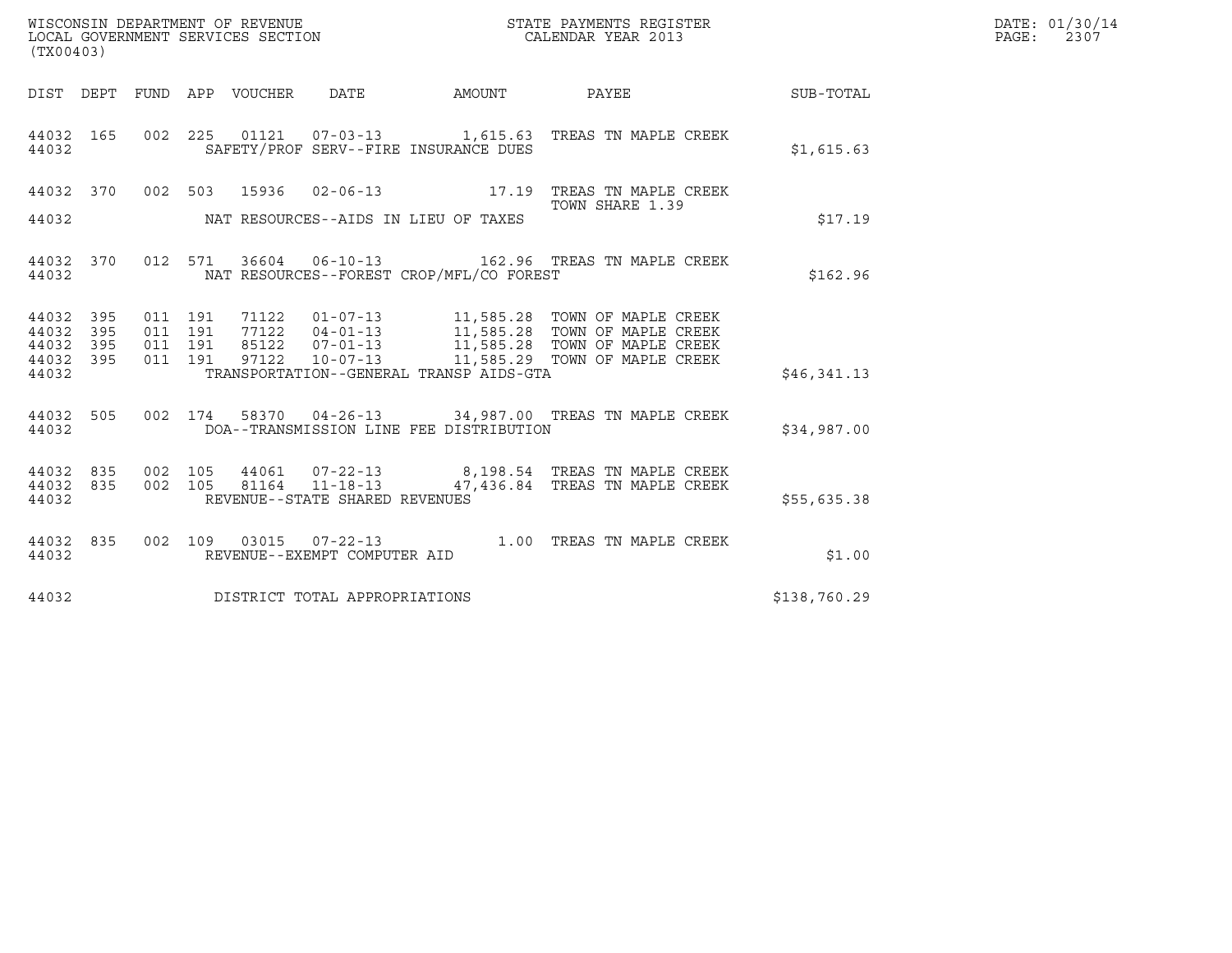| (TX00403)                                |            |                               |         | WISCONSIN DEPARTMENT OF REVENUE<br>LOCAL GOVERNMENT SERVICES SECTION |                                              | STATE PAYMENTS REGISTER<br>CALENDAR YEAR 2013                                                                                                                                                                        |                  | DATE: 01/30/14<br>PAGE: 2307 |
|------------------------------------------|------------|-------------------------------|---------|----------------------------------------------------------------------|----------------------------------------------|----------------------------------------------------------------------------------------------------------------------------------------------------------------------------------------------------------------------|------------------|------------------------------|
|                                          |            |                               |         |                                                                      | DIST DEPT FUND APP VOUCHER DATE AMOUNT PAYEE |                                                                                                                                                                                                                      | <b>SUB-TOTAL</b> |                              |
| 44032 165<br>44032                       |            |                               |         |                                                                      | SAFETY/PROF SERV--FIRE INSURANCE DUES        | 002 225 01121 07-03-13 1,615.63 TREAS TN MAPLE CREEK                                                                                                                                                                 | \$1,615.63       |                              |
|                                          |            |                               |         |                                                                      |                                              | 44032 370 002 503 15936 02-06-13 17.19 TREAS TN MAPLE CREEK                                                                                                                                                          |                  |                              |
| 44032                                    |            |                               |         |                                                                      | NAT RESOURCES--AIDS IN LIEU OF TAXES         | TOWN SHARE 1.39                                                                                                                                                                                                      | \$17.19          |                              |
| 44032                                    |            |                               |         |                                                                      | NAT RESOURCES--FOREST CROP/MFL/CO FOREST     | 44032 370 012 571 36604 06-10-13 162.96 TREAS TN MAPLE CREEK                                                                                                                                                         | \$162.96         |                              |
| 44032 395<br>44032<br>44032<br>44032 395 | 395<br>395 | 011 191<br>011 191<br>011 191 | 011 191 |                                                                      |                                              | 71122   01-07-13   11,585.28   TOWN OF MAPLE CREEK<br>77122   04-01-13   11,585.28   TOWN OF MAPLE CREEK<br>85122   07-01-13   11,585.28   TOWN OF MAPLE CREEK<br>97122   10-07-13   11,585.29   TOWN OF MAPLE CREEK |                  |                              |
| 44032                                    |            |                               |         |                                                                      | TRANSPORTATION--GENERAL TRANSP AIDS-GTA      |                                                                                                                                                                                                                      | \$46,341.13      |                              |
| 44032 505<br>44032                       |            |                               |         |                                                                      | DOA--TRANSMISSION LINE FEE DISTRIBUTION      | 002 174 58370 04-26-13 34,987.00 TREAS TN MAPLE CREEK                                                                                                                                                                | \$34,987.00      |                              |
| 44032 835<br>44032 835<br>44032          |            | 002 105                       |         | REVENUE--STATE SHARED REVENUES                                       |                                              | 002  105  44061  07-22-13  8,198.54  TREAS TN MAPLE CREEK<br>81164  11-18-13  47,436.84  TREAS TN MAPLE CREEK                                                                                                        | \$55,635.38      |                              |
| 44032 835<br>44032                       |            |                               |         | REVENUE--EXEMPT COMPUTER AID                                         |                                              | 002 109 03015 07-22-13 1.00 TREAS TN MAPLE CREEK                                                                                                                                                                     | \$1.00           |                              |
| 44032                                    |            |                               |         | DISTRICT TOTAL APPROPRIATIONS                                        |                                              |                                                                                                                                                                                                                      | \$138,760.29     |                              |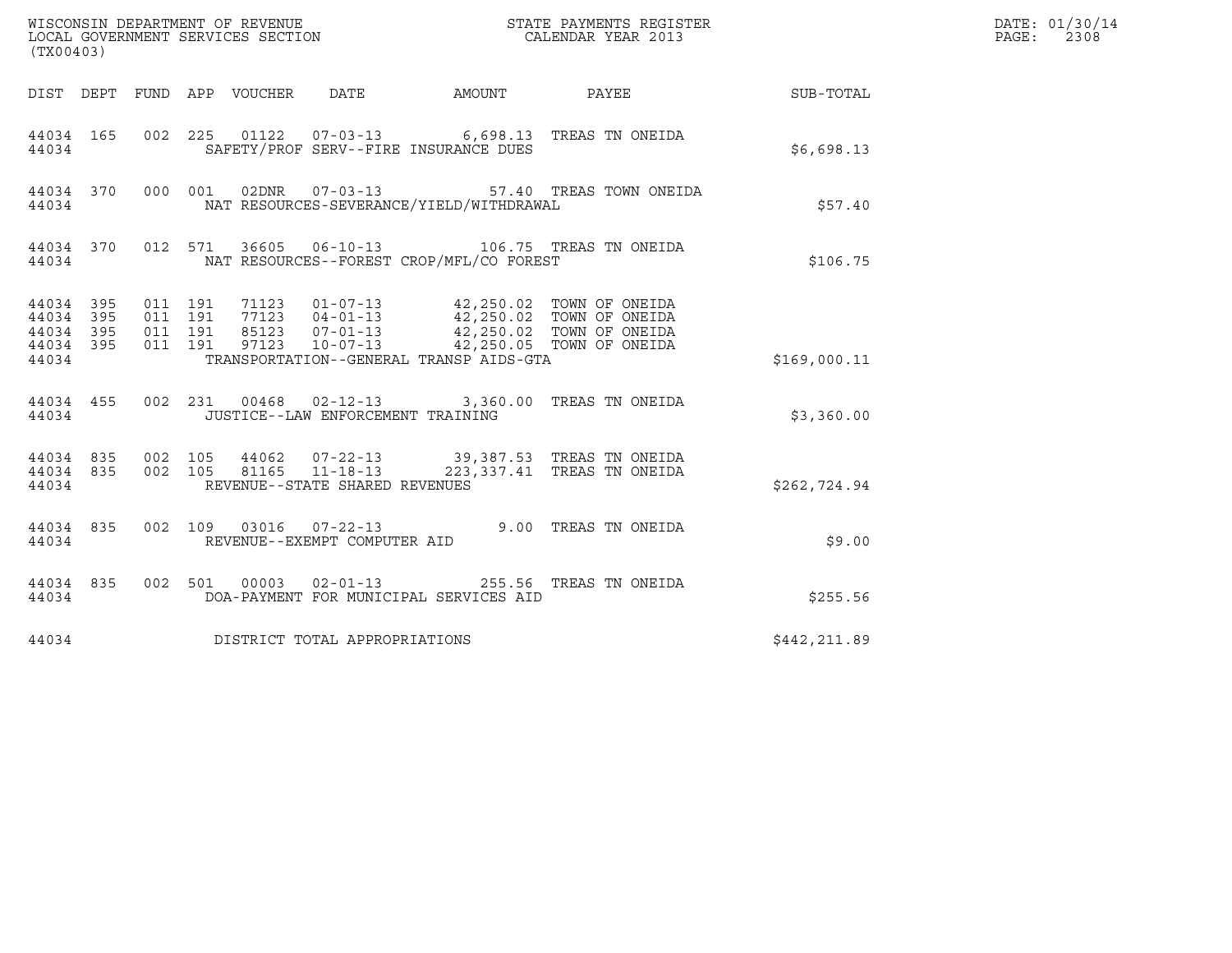| (TX00403)                                         |            |         |                                                                                                                                                                                                                                                 |              | DATE: 01/30/14<br>PAGE:<br>2308 |
|---------------------------------------------------|------------|---------|-------------------------------------------------------------------------------------------------------------------------------------------------------------------------------------------------------------------------------------------------|--------------|---------------------------------|
|                                                   |            |         | DIST DEPT FUND APP VOUCHER DATE<br>AMOUNT PAYEE SUB-TOTAL                                                                                                                                                                                       |              |                                 |
| 44034 165<br>44034                                |            |         | 002 225 01122 07-03-13 6,698.13 TREAS TN ONEIDA<br>SAFETY/PROF SERV--FIRE INSURANCE DUES                                                                                                                                                        | \$6,698.13   |                                 |
| 44034                                             |            |         | 44034 370 000 001 02DNR 07-03-13<br>57.40 TREAS TOWN ONEIDA<br>NAT RESOURCES-SEVERANCE/YIELD/WITHDRAWAL                                                                                                                                         | \$57.40      |                                 |
| 44034                                             |            |         | 44034 370 012 571 36605 06-10-13 106.75 TREAS TN ONEIDA<br>NAT RESOURCES--FOREST CROP/MFL/CO FOREST                                                                                                                                             | \$106.75     |                                 |
| 44034 395<br>44034<br>44034<br>44034 395<br>44034 | 395<br>395 | 011 191 | TRANSPORTATION--GENERAL TRANSP AIDS-GTA                                                                                                                                                                                                         | \$169,000.11 |                                 |
| 44034                                             |            |         | 44034 455 002 231 00468 02-12-13 3,360.00 TREAS TN ONEIDA<br>JUSTICE--LAW ENFORCEMENT TRAINING                                                                                                                                                  | \$3,360.00   |                                 |
| 44034                                             |            |         | $\begin{array}{cccccccc} 44034 & 835 & 002 & 105 & 44062 & 07-22-13 & & 39,387.53 & \text{TREAS TN ONEIDA} \\ 44034 & 835 & 002 & 105 & 81165 & 11-18-13 & & 223,337.41 & \text{TREAS TN ONEIDA} \end{array}$<br>REVENUE--STATE SHARED REVENUES | \$262,724.94 |                                 |
| 44034 835<br>44034                                |            |         | 002 109 03016 07-22-13 9.00 TREAS TN ONEIDA<br>REVENUE--EXEMPT COMPUTER AID                                                                                                                                                                     | \$9.00       |                                 |
| 44034 835<br>44034                                |            |         | 002 501 00003 02-01-13 255.56 TREAS TN ONEIDA<br>DOA-PAYMENT FOR MUNICIPAL SERVICES AID                                                                                                                                                         | \$255.56     |                                 |
| 44034                                             |            |         | DISTRICT TOTAL APPROPRIATIONS                                                                                                                                                                                                                   | \$442,211.89 |                                 |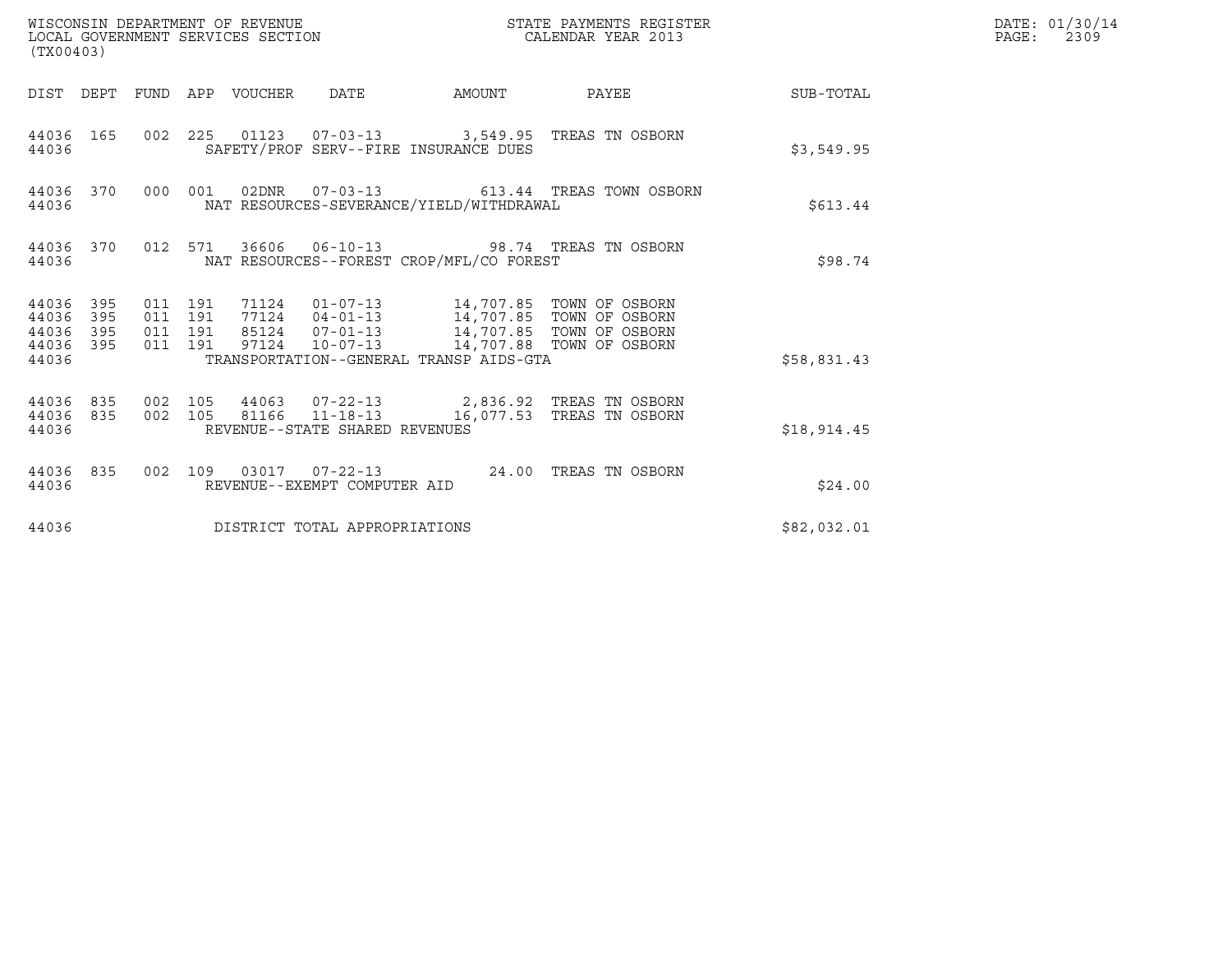| (TX00403)      |                                            |         | WISCONSIN DEPARTMENT OF REVENUE<br>LOCAL GOVERNMENT SERVICES SECTION |                                                                                       | STATE PAYMENTS REGISTER<br>CALENDAR YEAR 2013                                                                                                                        |             | DATE: 01/30/14<br>$\mathtt{PAGE:}$<br>2309 |
|----------------|--------------------------------------------|---------|----------------------------------------------------------------------|---------------------------------------------------------------------------------------|----------------------------------------------------------------------------------------------------------------------------------------------------------------------|-------------|--------------------------------------------|
|                |                                            |         |                                                                      |                                                                                       | DIST DEPT FUND APP VOUCHER DATE AMOUNT PAYEE SUB-TOTAL                                                                                                               |             |                                            |
| 44036          |                                            |         |                                                                      | SAFETY/PROF SERV--FIRE INSURANCE DUES                                                 | 44036 165 002 225 01123 07-03-13 3,549.95 TREAS TN OSBORN                                                                                                            | \$3,549.95  |                                            |
| 44036          |                                            |         |                                                                      | NAT RESOURCES-SEVERANCE/YIELD/WITHDRAWAL                                              | 44036 370 000 001 02DNR 07-03-13 613.44 TREAS TOWN OSBORN                                                                                                            | \$613.44    |                                            |
| 44036          |                                            |         |                                                                      | NAT RESOURCES--FOREST CROP/MFL/CO FOREST                                              | 44036 370 012 571 36606 06-10-13 98.74 TREAS TN OSBORN                                                                                                               | \$98.74     |                                            |
| 44036<br>44036 | 44036 395<br>395<br>44036 395<br>44036 395 | 011 191 |                                                                      | 97124  10-07-13  14,707.88  TOWN OF OSBORN<br>TRANSPORTATION--GENERAL TRANSP AIDS-GTA | 011  191  71124  01-07-13  14,707.85  TOWN OF OSBORN<br>011  191  77124  04-01-13  14,707.85  TOWN OF OSBORN<br>011  191  85124  07-01-13  14,707.85  TOWN OF OSBORN | \$58,831.43 |                                            |
| 44036          | 44036 835                                  |         | REVENUE--STATE SHARED REVENUES                                       |                                                                                       | 44036 835 002 105 44063 07-22-13 2,836.92 TREAS TN OSBORN<br>002 105 81166 11-18-13 16,077.53 TREAS TN OSBORN                                                        | \$18,914.45 |                                            |
| 44036          |                                            |         | REVENUE--EXEMPT COMPUTER AID                                         |                                                                                       | 44036 835 002 109 03017 07-22-13 24.00 TREAS TN OSBORN                                                                                                               | \$24.00     |                                            |
| 44036          |                                            |         | DISTRICT TOTAL APPROPRIATIONS                                        |                                                                                       |                                                                                                                                                                      | \$82,032.01 |                                            |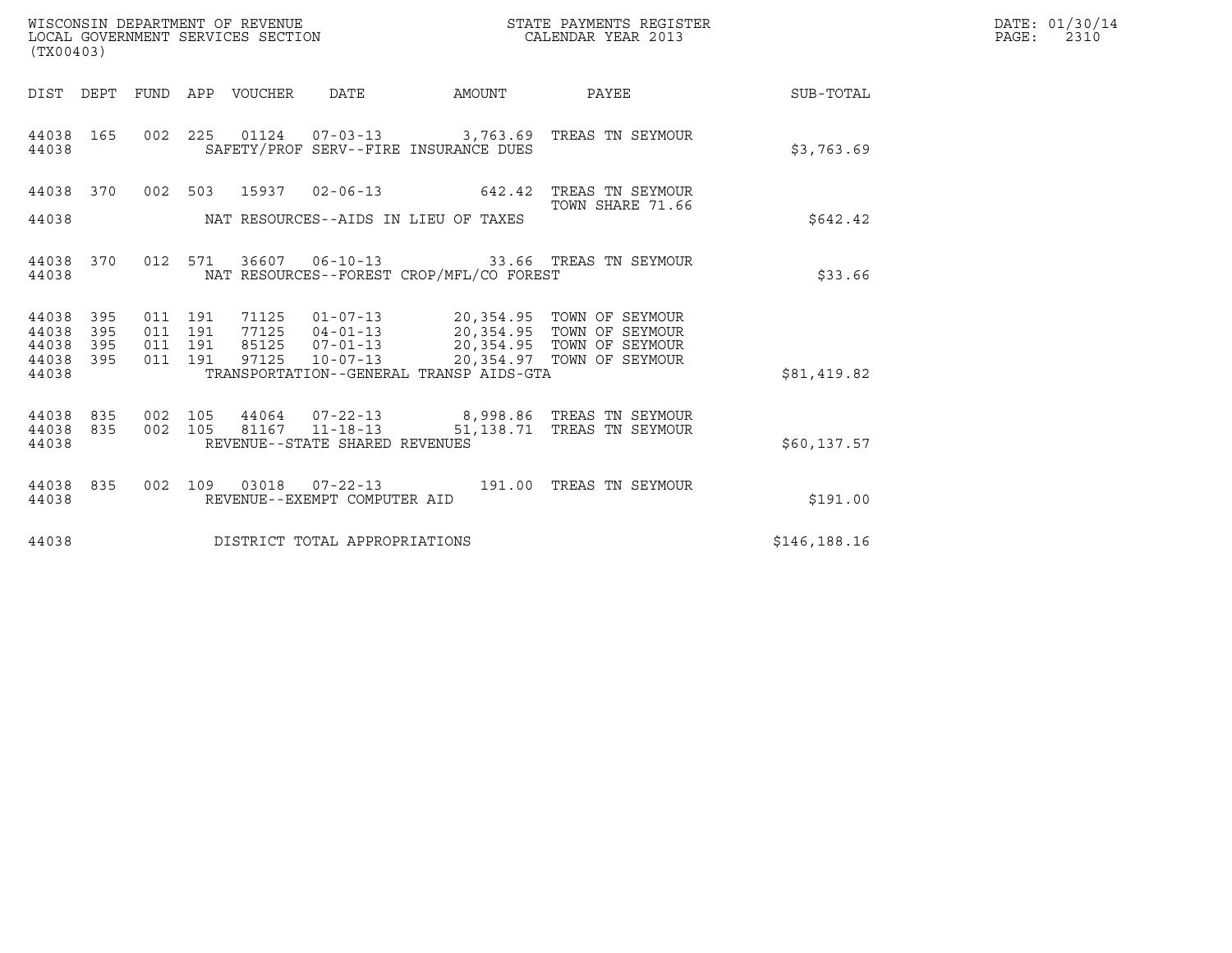| WISCONSIN DEPARTMENT OF REVENUE   | STATE PAYMENTS REGISTER | DATE: 01/30/14 |
|-----------------------------------|-------------------------|----------------|
| LOCAL GOVERNMENT SERVICES SECTION | CALENDAR YEAR 2013      | 2310<br>PAGE:  |

| WISCONSIN DEPARTMENT OF REVENUE<br>LOCAL GOVERNMENT SERVICES SECTION FOR THE STATE PAYMENTS REGISTER<br>CALENDAR YEAR 2013<br>(TX00403) |            |  |  |  |                                |                                                        |                                                                                                                                                                                                                                                                                                                                                       |              | DATE: 01/30/14<br>$\mathtt{PAGE:}$<br>2310 |
|-----------------------------------------------------------------------------------------------------------------------------------------|------------|--|--|--|--------------------------------|--------------------------------------------------------|-------------------------------------------------------------------------------------------------------------------------------------------------------------------------------------------------------------------------------------------------------------------------------------------------------------------------------------------------------|--------------|--------------------------------------------|
|                                                                                                                                         |            |  |  |  |                                | DIST DEPT FUND APP VOUCHER DATE AMOUNT                 | PAYEE SUB-TOTAL                                                                                                                                                                                                                                                                                                                                       |              |                                            |
| 44038 165<br>44038                                                                                                                      |            |  |  |  |                                | SAFETY/PROF SERV--FIRE INSURANCE DUES                  | 002 225 01124 07-03-13 3,763.69 TREAS TN SEYMOUR                                                                                                                                                                                                                                                                                                      | \$3,763.69   |                                            |
| 44038 370                                                                                                                               |            |  |  |  |                                | 002 503 15937 02-06-13 642.42                          | TREAS TN SEYMOUR<br>TOWN SHARE 71.66                                                                                                                                                                                                                                                                                                                  |              |                                            |
| 44038                                                                                                                                   |            |  |  |  |                                | NAT RESOURCES--AIDS IN LIEU OF TAXES                   |                                                                                                                                                                                                                                                                                                                                                       | \$642.42     |                                            |
| 44038 370<br>44038                                                                                                                      |            |  |  |  |                                | NAT RESOURCES--FOREST CROP/MFL/CO FOREST               | 012 571 36607 06-10-13 33.66 TREAS TN SEYMOUR                                                                                                                                                                                                                                                                                                         | \$33.66      |                                            |
| 44038<br>44038                                                                                                                          | 395<br>395 |  |  |  |                                |                                                        |                                                                                                                                                                                                                                                                                                                                                       |              |                                            |
| 44038<br>44038 395                                                                                                                      | 395        |  |  |  |                                |                                                        | $\begin{array}{cccc} 011 & 191 & 71125 & 01\text{--}07\text{--}13 & 20\text{,}354\text{--}95 & \text{TOWN OF SEYMOUR} \\ 011 & 191 & 77125 & 04\text{--}01\text{--}13 & 20\text{,}354\text{--}95 & \text{TOWN OF SEYMOUR} \\ 011 & 191 & 85125 & 07\text{--}01\text{--}13 & 20\text{,}354\text{--}95 & \text{TOWN OF SEYMOUR} \\ 011 & 191 & 97125 &$ |              |                                            |
| 44038                                                                                                                                   |            |  |  |  |                                | TRANSPORTATION--GENERAL TRANSP AIDS-GTA                |                                                                                                                                                                                                                                                                                                                                                       | \$81,419.82  |                                            |
| 44038 835<br>44038 835                                                                                                                  |            |  |  |  |                                | $002 \quad 105 \quad 81167 \quad 11-18-13$ $51,138.71$ | 002  105  44064  07-22-13  8,998.86 TREAS TN SEYMOUR<br>TREAS TN SEYMOUR                                                                                                                                                                                                                                                                              |              |                                            |
| 44038                                                                                                                                   |            |  |  |  | REVENUE--STATE SHARED REVENUES |                                                        |                                                                                                                                                                                                                                                                                                                                                       | \$60,137.57  |                                            |
| 44038 835<br>44038                                                                                                                      |            |  |  |  | REVENUE--EXEMPT COMPUTER AID   |                                                        | 002 109 03018 07-22-13 191.00 TREAS TN SEYMOUR                                                                                                                                                                                                                                                                                                        | \$191.00     |                                            |
| 44038                                                                                                                                   |            |  |  |  | DISTRICT TOTAL APPROPRIATIONS  |                                                        |                                                                                                                                                                                                                                                                                                                                                       | \$146,188.16 |                                            |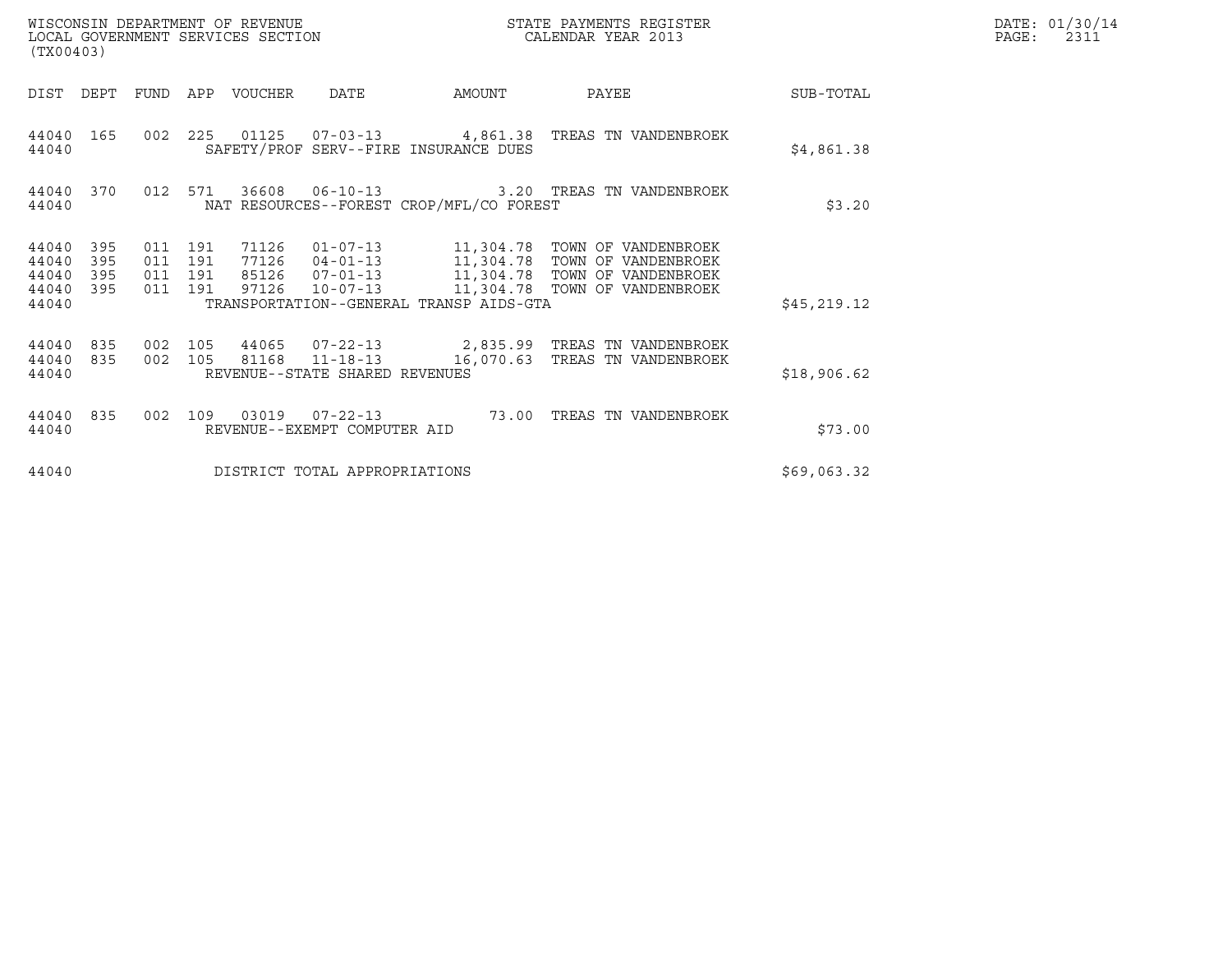| (TX00403)                                                             |                                          | WISCONSIN DEPARTMENT OF REVENUE<br>LOCAL GOVERNMENT SERVICES SECTION                                                                                | STATE PAYMENTS REGISTER<br>CALENDAR YEAR 2013 |                                                                                                                                  |              | DATE: 01/30/14<br>PAGE:<br>2311 |
|-----------------------------------------------------------------------|------------------------------------------|-----------------------------------------------------------------------------------------------------------------------------------------------------|-----------------------------------------------|----------------------------------------------------------------------------------------------------------------------------------|--------------|---------------------------------|
| DIST<br>DEPT                                                          | FUND                                     | APP<br>VOUCHER<br>DATE                                                                                                                              | AMOUNT                                        | PAYEE                                                                                                                            | SUB-TOTAL    |                                 |
| 44040<br>165<br>44040                                                 | 002 225                                  | SAFETY/PROF SERV--FIRE INSURANCE DUES                                                                                                               |                                               |                                                                                                                                  | \$4,861.38   |                                 |
| 44040<br>370<br>44040                                                 | 012                                      | 571<br>36608<br>NAT RESOURCES--FOREST CROP/MFL/CO FOREST                                                                                            |                                               | 06-10-13                         3.20   TREAS TN VANDENBROEK                                                                     | \$3.20       |                                 |
| 44040<br>395<br>44040<br>395<br>44040<br>395<br>395<br>44040<br>44040 | 011 191<br>011 191<br>011 191<br>011 191 | $01 - 07 - 13$<br>71126<br>77126<br>$04 - 01 - 13$<br>$07 - 01 - 13$<br>85126<br>97126<br>$10 - 07 - 13$<br>TRANSPORTATION--GENERAL TRANSP AIDS-GTA |                                               | 11,304.78 TOWN OF VANDENBROEK<br>11,304.78 TOWN OF VANDENBROEK<br>11,304.78 TOWN OF VANDENBROEK<br>11,304.78 TOWN OF VANDENBROEK | \$45, 219.12 |                                 |
| 835<br>44040<br>835<br>44040<br>44040                                 | 002 105<br>002                           | 81168 11-18-13<br>105<br>REVENUE--STATE SHARED REVENUES                                                                                             |                                               | 44065 07-22-13 2,835.99 TREAS TN VANDENBROEK<br>16,070.63 TREAS TN VANDENBROEK                                                   | \$18,906.62  |                                 |
| 44040<br>835<br>44040                                                 | 002                                      | 109<br>REVENUE--EXEMPT COMPUTER AID                                                                                                                 | 73.00                                         | TREAS TN VANDENBROEK                                                                                                             | \$73.00      |                                 |
| 44040                                                                 |                                          | DISTRICT TOTAL APPROPRIATIONS                                                                                                                       |                                               |                                                                                                                                  | \$69,063.32  |                                 |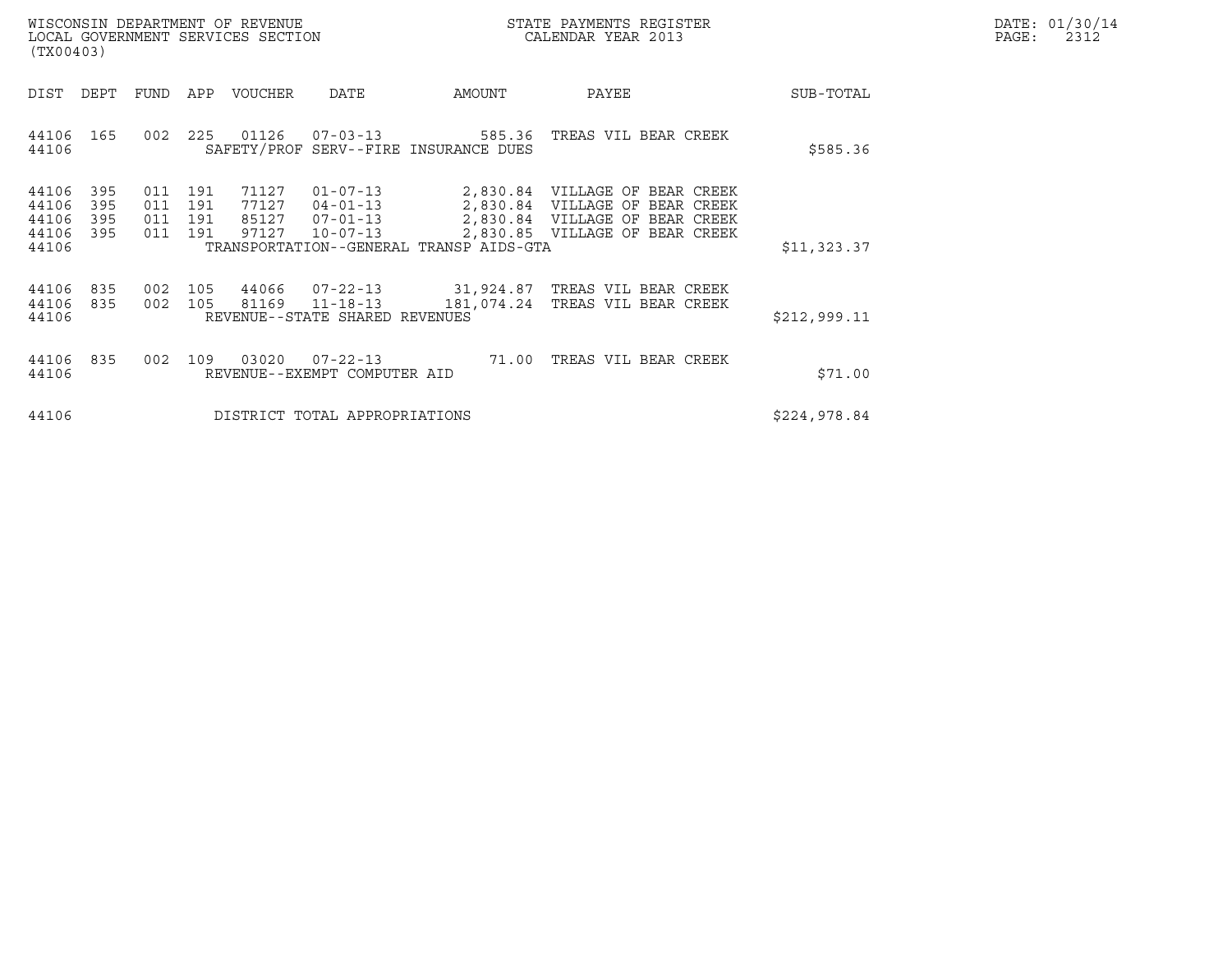| WISCONSIN DEPARTMENT OF REVENUE   | STATE PAYMENTS REGISTER | DATE: 01/30/14 |
|-----------------------------------|-------------------------|----------------|
| LOCAL GOVERNMENT SERVICES SECTION | CALENDAR YEAR 2013      | 2312<br>PAGE:  |

| WISCONSIN DEPARTMENT OF REVENUE<br>LOCAL GOVERNMENT SERVICES SECTION<br>(TX00403)                                             |                                                                                                                                                     | STATE PAYMENTS REGISTER<br>CALENDAR YEAR 2013                                                                                                 |              | DATE: 01/30/14<br>PAGE:<br>2312 |
|-------------------------------------------------------------------------------------------------------------------------------|-----------------------------------------------------------------------------------------------------------------------------------------------------|-----------------------------------------------------------------------------------------------------------------------------------------------|--------------|---------------------------------|
| FUND APP<br>DIST<br>DEPT                                                                                                      | VOUCHER<br>DATE<br>AMOUNT                                                                                                                           | PAYEE                                                                                                                                         | SUB-TOTAL    |                                 |
| 225<br>44106<br>165<br>002<br>44106                                                                                           | 01126<br>$07 - 03 - 13$<br>SAFETY/PROF SERV--FIRE INSURANCE DUES                                                                                    | TREAS VIL BEAR CREEK<br>585.36                                                                                                                | \$585.36     |                                 |
| 44106<br>395<br>191<br>011<br>44106<br>395<br>011<br>191<br>44106<br>395<br>011<br>191<br>44106<br>395<br>011<br>191<br>44106 | 71127<br>$01 - 07 - 13$<br>77127<br>$04 - 01 - 13$<br>$07 - 01 - 13$<br>85127<br>97127<br>$10 - 07 - 13$<br>TRANSPORTATION--GENERAL TRANSP AIDS-GTA | 2,830.84<br>VILLAGE OF BEAR CREEK<br>VILLAGE OF BEAR CREEK<br>2,830.84<br>VILLAGE OF BEAR CREEK<br>2,830.84<br>2,830.85 VILLAGE OF BEAR CREEK | \$11,323.37  |                                 |
| 44106<br>835<br>002<br>44106<br>002<br>105<br>835<br>44106                                                                    | 105 44066 07-22-13 31,924.87<br>81169 11-18-13<br>181,074.24<br>REVENUE--STATE SHARED REVENUES                                                      | TREAS VIL BEAR CREEK<br>TREAS VIL BEAR CREEK                                                                                                  | \$212,999.11 |                                 |
| 44106<br>835<br>002<br>109<br>44106                                                                                           | 03020<br>$07 - 22 - 13$ 71.00<br>REVENUE--EXEMPT COMPUTER AID                                                                                       | TREAS VIL BEAR CREEK                                                                                                                          | \$71.00      |                                 |
| 44106                                                                                                                         | DISTRICT TOTAL APPROPRIATIONS                                                                                                                       |                                                                                                                                               | \$224,978.84 |                                 |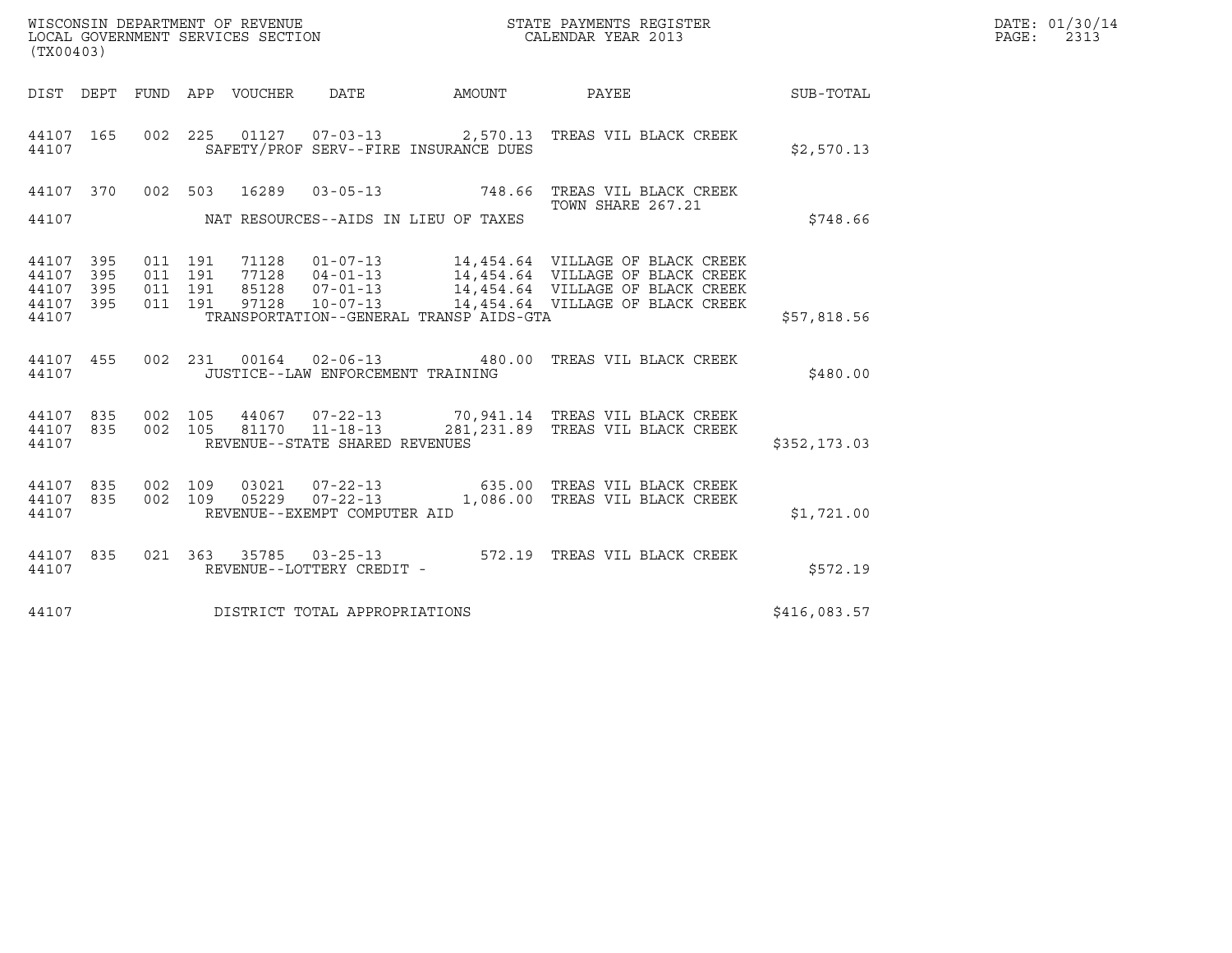| (TX00403)                                 |                          |                                          |         |                                 |                                                   |                                         | $\tt WISCONSIM DEPARTMENT OF REVENUE$ $\tt WISCONMIN SERS THE RUSTER$<br>LOCAL GOVERNMENT SERVICES SECTION $\tt CALENDAR$<br>YEAR 2013 |                  | DATE: 01/30/14<br>PAGE: 2313 |
|-------------------------------------------|--------------------------|------------------------------------------|---------|---------------------------------|---------------------------------------------------|-----------------------------------------|----------------------------------------------------------------------------------------------------------------------------------------|------------------|------------------------------|
|                                           |                          |                                          |         | DIST DEPT FUND APP VOUCHER DATE |                                                   | AMOUNT PAYEE                            |                                                                                                                                        | <b>SUB-TOTAL</b> |                              |
| 44107 165<br>44107                        |                          |                                          |         |                                 |                                                   | SAFETY/PROF SERV--FIRE INSURANCE DUES   | 002  225  01127  07-03-13  2,570.13  TREAS VIL BLACK CREEK                                                                             | \$2,570.13       |                              |
| 44107 370                                 |                          | 002 503                                  |         | 16289                           |                                                   |                                         | 03-05-13 748.66 TREAS VIL BLACK CREEK                                                                                                  |                  |                              |
| 44107                                     |                          |                                          |         |                                 |                                                   | NAT RESOURCES--AIDS IN LIEU OF TAXES    | TOWN SHARE 267.21                                                                                                                      | \$748.66         |                              |
| 44107<br>44107<br>44107<br>44107<br>44107 | 395<br>395<br>395<br>395 | 011 191<br>011 191<br>011 191<br>011 191 |         | 97128                           | 10-07-13                                          | TRANSPORTATION--GENERAL TRANSP AIDS-GTA | 14,454.64 VILLAGE OF BLACK CREEK                                                                                                       | \$57,818.56      |                              |
| 44107 455<br>44107                        |                          |                                          |         |                                 | JUSTICE--LAW ENFORCEMENT TRAINING                 |                                         | 002  231  00164  02-06-13  480.00 TREAS VIL BLACK CREEK                                                                                | \$480.00         |                              |
| 44107 835<br>44107 835<br>44107           |                          | 002 105                                  | 002 105 |                                 | 81170  11-18-13<br>REVENUE--STATE SHARED REVENUES |                                         | 44067 07-22-13 70,941.14 TREAS VIL BLACK CREEK<br>281, 231.89 TREAS VIL BLACK CREEK                                                    | \$352, 173.03    |                              |
| 44107 835<br>44107 835<br>44107           |                          | 002 109<br>002 109                       |         |                                 | REVENUE--EXEMPT COMPUTER AID                      |                                         | 03021  07-22-13  635.00 TREAS VIL BLACK CREEK<br>05229  07-22-13   1,086.00 TREAS VIL BLACK CREEK                                      | \$1,721.00       |                              |
| 44107 835<br>44107                        |                          |                                          |         |                                 | REVENUE--LOTTERY CREDIT -                         |                                         | 021 363 35785 03-25-13 572.19 TREAS VIL BLACK CREEK                                                                                    | \$572.19         |                              |
| 44107                                     |                          |                                          |         |                                 | DISTRICT TOTAL APPROPRIATIONS                     |                                         |                                                                                                                                        | \$416,083.57     |                              |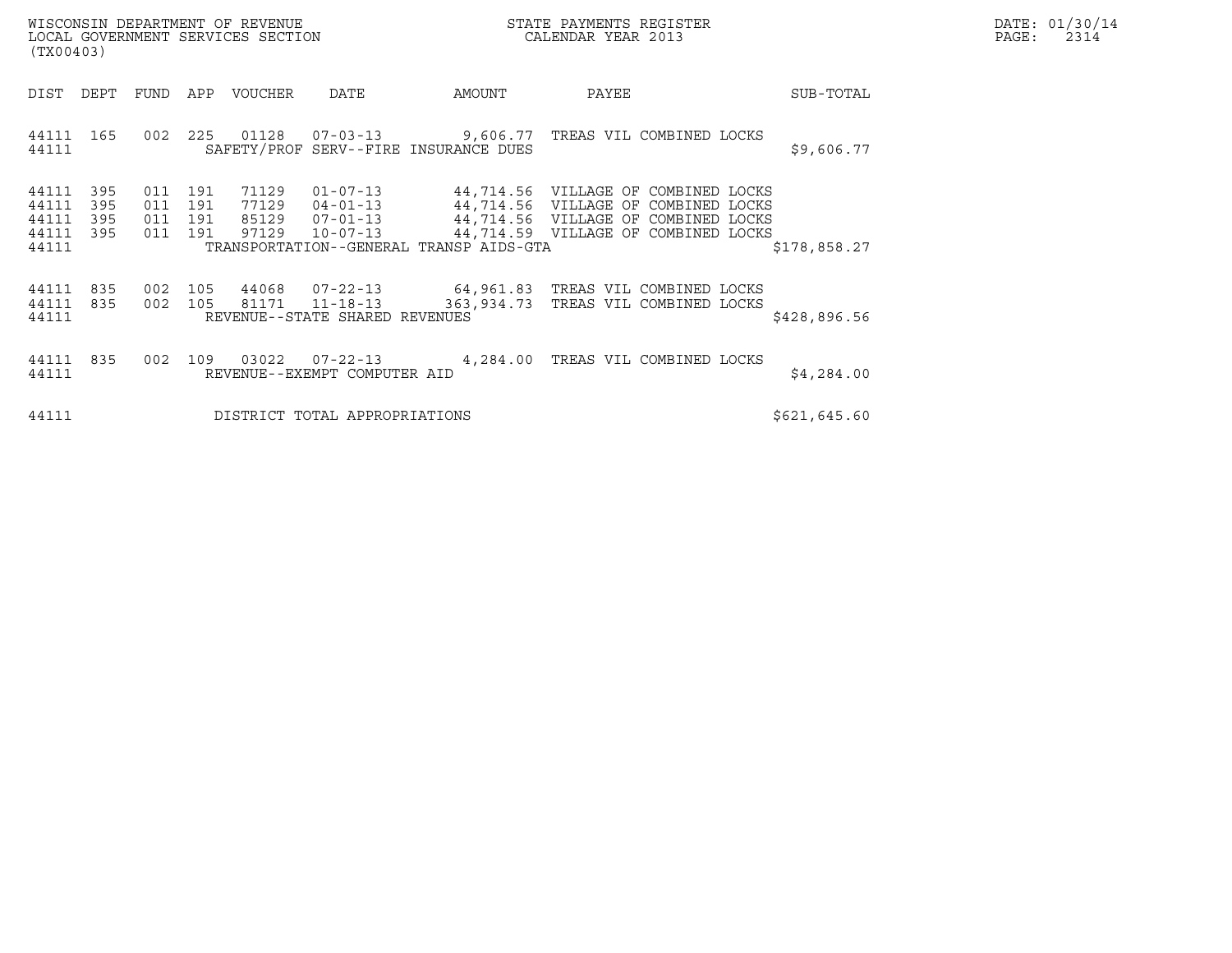| WISCONSIN DEPARTMENT OF REVENUE<br>(TX00403)                          | LOCAL GOVERNMENT SERVICES SECTION                                                                                                                                                               | STATE PAYMENTS REGISTER<br>CALENDAR YEAR 2013                                                                                                              |               | DATE: 01/30/14<br>$\mathtt{PAGE}$ :<br>2314 |
|-----------------------------------------------------------------------|-------------------------------------------------------------------------------------------------------------------------------------------------------------------------------------------------|------------------------------------------------------------------------------------------------------------------------------------------------------------|---------------|---------------------------------------------|
| FUND<br>DIST<br>DEPT                                                  | APP<br>VOUCHER<br>DATE                                                                                                                                                                          | AMOUNT<br>PAYEE                                                                                                                                            | SUB-TOTAL     |                                             |
| 44111 165<br>002<br>44111                                             | 225<br>SAFETY/PROF SERV--FIRE INSURANCE DUES                                                                                                                                                    | 01128  07-03-13  9,606.77  TREAS VIL COMBINED LOCKS                                                                                                        | \$9,606.77    |                                             |
| 44111<br>395<br>44111<br>395<br>395<br>44111<br>395<br>44111<br>44111 | 011 191<br>71129<br>$01 - 07 - 13$<br>011 191<br>77129<br>$04 - 01 - 13$<br>011 191<br>85129<br>$07 - 01 - 13$<br>011 191<br>97129<br>$10 - 07 - 13$<br>TRANSPORTATION--GENERAL TRANSP AIDS-GTA | 44,714.56   VILLAGE OF COMBINED LOCKS<br>44,714.56 VILLAGE OF COMBINED LOCKS<br>44,714.56 VILLAGE OF COMBINED LOCKS<br>44,714.59 VILLAGE OF COMBINED LOCKS | \$178,858.27  |                                             |
| 835<br>44111<br>835<br>44111<br>44111                                 | 002 105<br>002 105<br>81171 11-18-13<br>REVENUE--STATE SHARED REVENUES                                                                                                                          | 44068  07-22-13  64, 961.83  TREAS VIL COMBINED LOCKS<br>363,934.73 TREAS VIL COMBINED LOCKS                                                               | \$428,896.56  |                                             |
| 44111<br>835<br>002<br>44111                                          | 03022<br>109<br>REVENUE--EXEMPT COMPUTER AID                                                                                                                                                    | 07-22-13 4,284.00 TREAS VIL COMBINED LOCKS                                                                                                                 | \$4,284.00    |                                             |
| 44111                                                                 | DISTRICT TOTAL APPROPRIATIONS                                                                                                                                                                   |                                                                                                                                                            | \$621, 645.60 |                                             |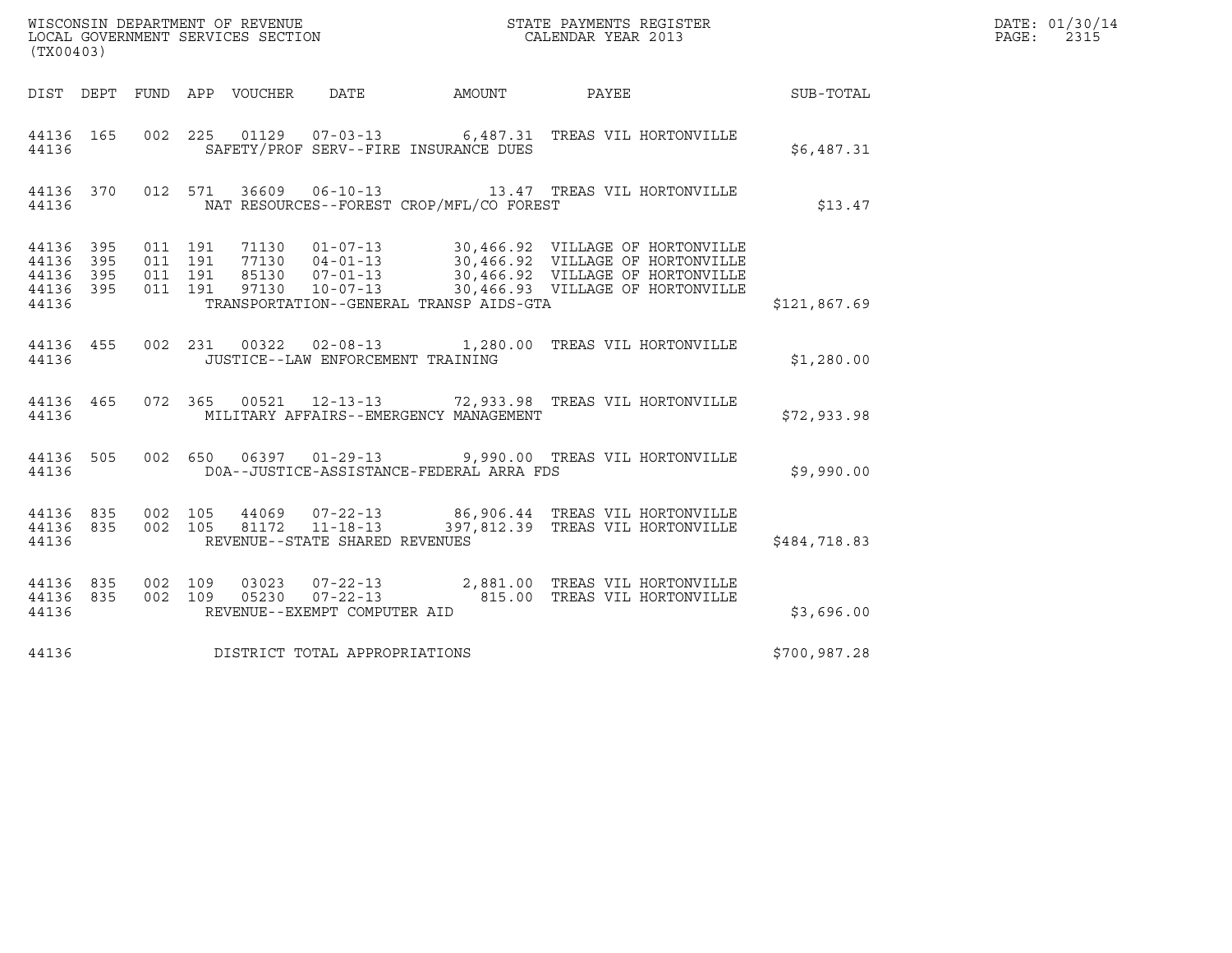| (TX00403)                                 |                          |                                          |         |                            |                                                                     |                                          |                                                                                          |              | DATE: 01/30/14<br>PAGE:<br>2315 |
|-------------------------------------------|--------------------------|------------------------------------------|---------|----------------------------|---------------------------------------------------------------------|------------------------------------------|------------------------------------------------------------------------------------------|--------------|---------------------------------|
|                                           |                          |                                          |         | DIST DEPT FUND APP VOUCHER | <b>DATE</b>                                                         |                                          | AMOUNT PAYEE                                                                             | SUB-TOTAL    |                                 |
| 44136 165<br>44136                        |                          |                                          |         |                            |                                                                     | SAFETY/PROF SERV--FIRE INSURANCE DUES    | 002 225 01129 07-03-13 6,487.31 TREAS VIL HORTONVILLE                                    | \$6,487.31   |                                 |
| 44136 370<br>44136                        |                          |                                          | 012 571 |                            |                                                                     | NAT RESOURCES--FOREST CROP/MFL/CO FOREST |                                                                                          | \$13.47      |                                 |
| 44136<br>44136<br>44136<br>44136<br>44136 | 395<br>395<br>395<br>395 | 011 191<br>011 191<br>011 191<br>011 191 |         |                            |                                                                     | TRANSPORTATION--GENERAL TRANSP AIDS-GTA  |                                                                                          | \$121,867.69 |                                 |
| 44136 455<br>44136                        |                          |                                          |         |                            | JUSTICE--LAW ENFORCEMENT TRAINING                                   |                                          | 002 231 00322 02-08-13 1,280.00 TREAS VIL HORTONVILLE                                    | \$1,280.00   |                                 |
| 44136 465<br>44136                        |                          |                                          |         |                            |                                                                     | MILITARY AFFAIRS--EMERGENCY MANAGEMENT   | 072  365  00521  12-13-13  72,933.98  TREAS VIL HORTONVILLE                              | \$72,933.98  |                                 |
| 44136 505<br>44136                        |                          |                                          |         |                            |                                                                     | DOA--JUSTICE-ASSISTANCE-FEDERAL ARRA FDS | 002 650 06397 01-29-13 9,990.00 TREAS VIL HORTONVILLE                                    | \$9,990.00   |                                 |
| 44136 835<br>44136<br>44136               | 835                      | 002 105<br>002 105                       |         |                            | 44069 07-22-13<br>81172  11-18-13<br>REVENUE--STATE SHARED REVENUES |                                          | 86,906.44 TREAS VIL HORTONVILLE<br>397,812.39 TREAS VIL HORTONVILLE                      | \$484,718.83 |                                 |
| 44136 835<br>44136 835<br>44136           |                          | 002 109                                  | 002 109 | 03023                      | REVENUE--EXEMPT COMPUTER AID                                        |                                          | 07-22-13 2,881.00 TREAS VIL HORTONVILLE<br>05230  07-22-13  815.00 TREAS VIL HORTONVILLE | \$3,696.00   |                                 |
| 44136                                     |                          |                                          |         |                            | DISTRICT TOTAL APPROPRIATIONS                                       |                                          |                                                                                          | \$700,987.28 |                                 |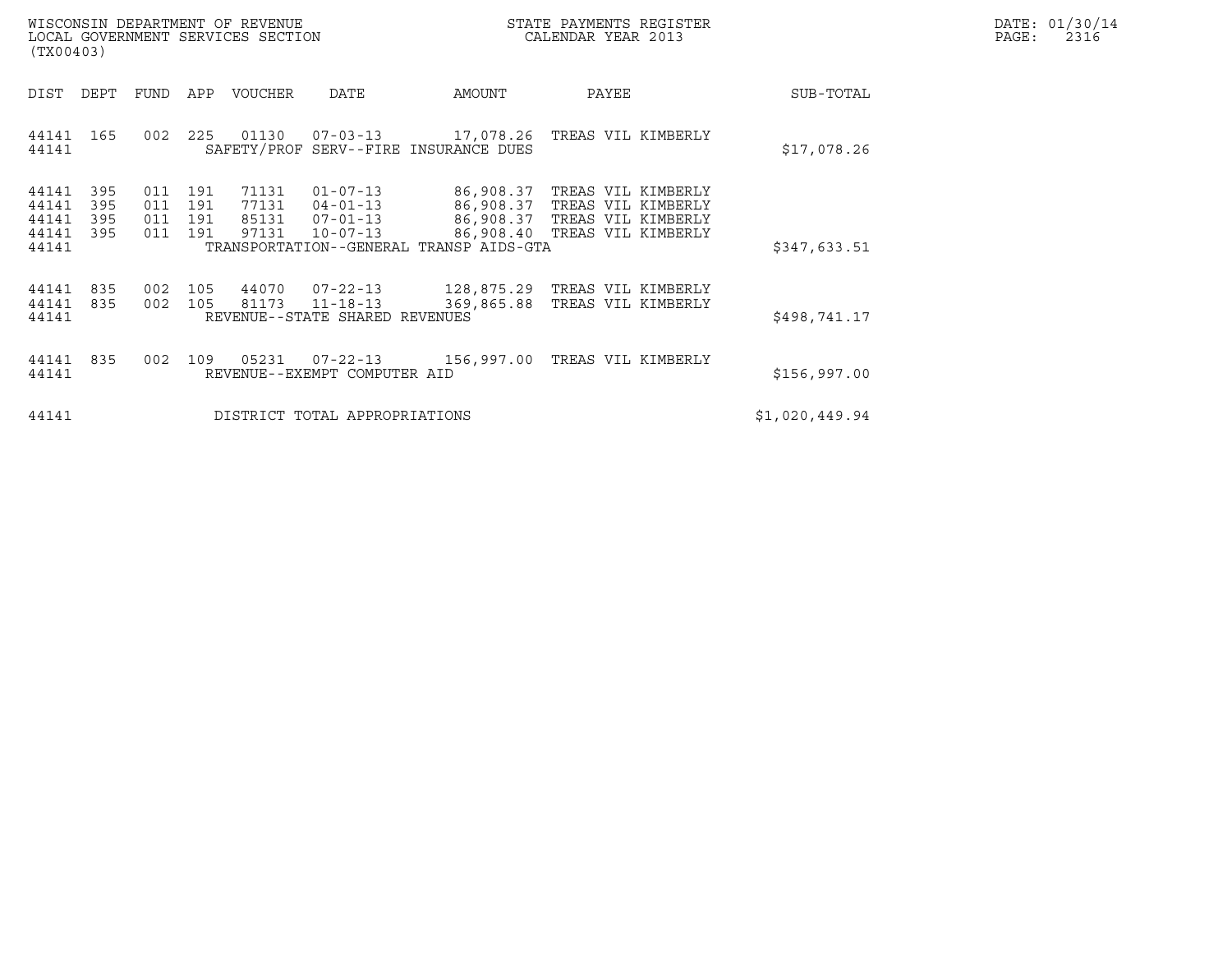|       | DATE: 01/30/14 |
|-------|----------------|
| PAGE: | 2316           |

| WISCONSIN DEPARTMENT OF REVENUE<br>LOCAL GOVERNMENT SERVICES SECTION<br>(TX00403)                                                                        |                                                                                                                                           | STATE PAYMENTS REGISTER<br>CALENDAR YEAR 2013                                                            |                | DATE: 01/30/14<br>$\mathtt{PAGE}$ :<br>2316 |
|----------------------------------------------------------------------------------------------------------------------------------------------------------|-------------------------------------------------------------------------------------------------------------------------------------------|----------------------------------------------------------------------------------------------------------|----------------|---------------------------------------------|
| DIST<br>DEPT<br>APP<br>VOUCHER<br>FUND                                                                                                                   | AMOUNT<br>DATE                                                                                                                            | PAYEE                                                                                                    | SUB-TOTAL      |                                             |
| 225<br>01130<br>44141<br>165<br>002<br>44141                                                                                                             | 07-03-13 17,078.26 TREAS VIL KIMBERLY<br>SAFETY/PROF SERV--FIRE INSURANCE DUES                                                            |                                                                                                          | \$17,078.26    |                                             |
| 44141<br>395<br>71131<br>011<br>191<br>44141<br>395<br>011<br>191<br>77131<br>44141<br>395<br>191<br>011<br>97131<br>44141<br>395<br>191<br>011<br>44141 | $01 - 07 - 13$<br>$04 - 01 - 13$<br>86,908.37<br>85131 07-01-13<br>86,908.40<br>$10 - 07 - 13$<br>TRANSPORTATION--GENERAL TRANSP AIDS-GTA | 86,908.37 TREAS VIL KIMBERLY<br>TREAS VIL KIMBERLY<br>86,908.37 TREAS VIL KIMBERLY<br>TREAS VIL KIMBERLY | \$347,633.51   |                                             |
| 44070<br>44141<br>835<br>105<br>002<br>44141<br>002 105<br>81173<br>835<br>44141                                                                         | $07 - 22 - 13$<br>$11 - 18 - 13$<br>369,865.88<br>REVENUE--STATE SHARED REVENUES                                                          | 128,875.29 TREAS VIL KIMBERLY<br>TREAS VIL KIMBERLY                                                      | \$498,741.17   |                                             |
| 05231<br>44141<br>835<br>002<br>109<br>44141                                                                                                             | $07 - 22 - 13$<br>156,997.00<br>REVENUE--EXEMPT COMPUTER AID                                                                              | TREAS VIL KIMBERLY                                                                                       | \$156,997.00   |                                             |
| 44141                                                                                                                                                    | DISTRICT TOTAL APPROPRIATIONS                                                                                                             |                                                                                                          | \$1,020,449.94 |                                             |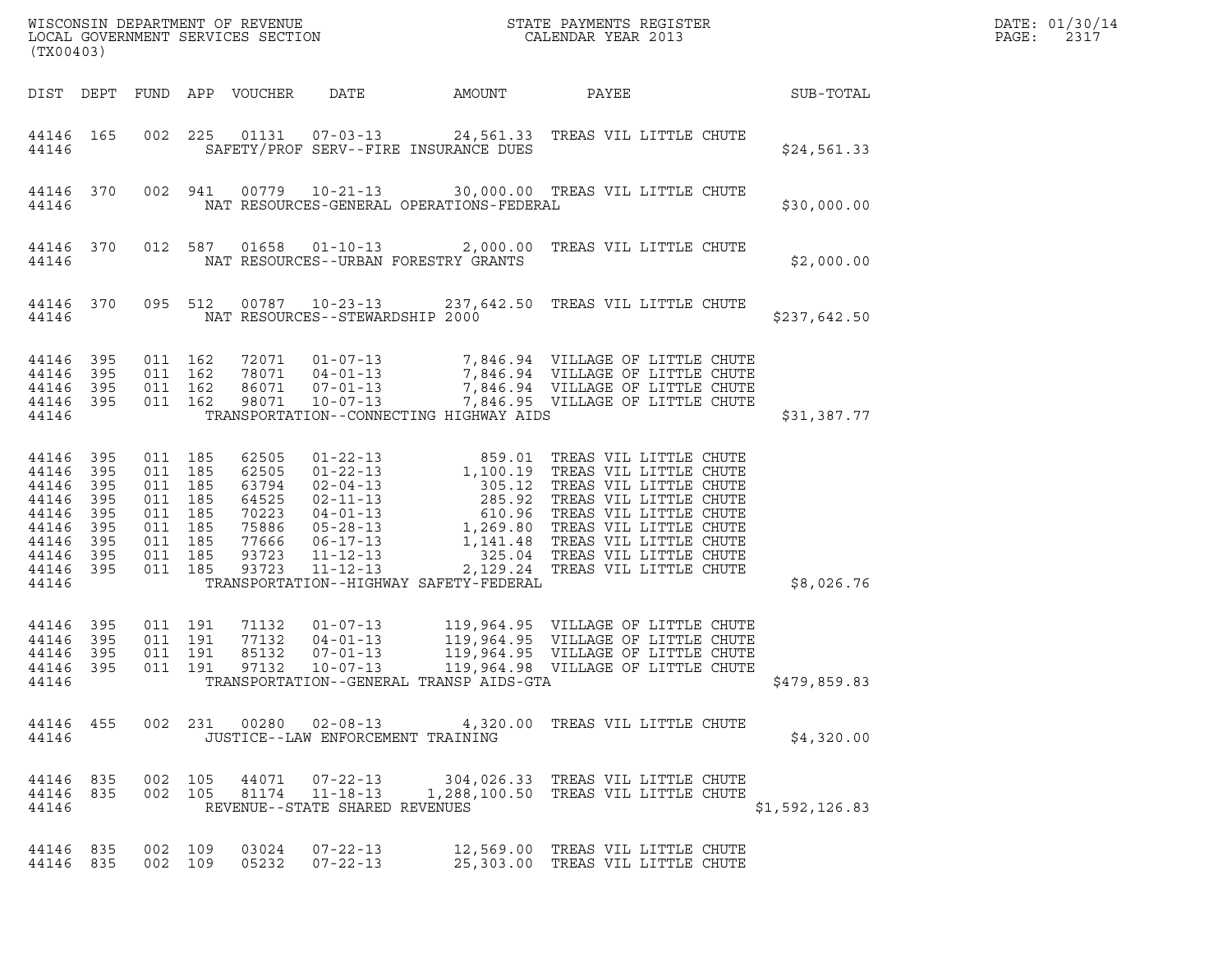| (TX00403)                                                                              |                                                             |                                                                                             |         |                                                                               |                                                          |                                          |                                                                                                                                                                                                                                                                                                       | DATE: 01/30/14<br>PAGE:<br>2317 |                |  |
|----------------------------------------------------------------------------------------|-------------------------------------------------------------|---------------------------------------------------------------------------------------------|---------|-------------------------------------------------------------------------------|----------------------------------------------------------|------------------------------------------|-------------------------------------------------------------------------------------------------------------------------------------------------------------------------------------------------------------------------------------------------------------------------------------------------------|---------------------------------|----------------|--|
|                                                                                        |                                                             |                                                                                             |         | DIST DEPT FUND APP VOUCHER                                                    | DATE                                                     | AMOUNT                                   | PAYEE                                                                                                                                                                                                                                                                                                 |                                 | SUB-TOTAL      |  |
| 44146 165<br>44146                                                                     |                                                             | 002 225                                                                                     |         |                                                                               |                                                          | SAFETY/PROF SERV--FIRE INSURANCE DUES    | 01131  07-03-13  24,561.33  TREAS VIL LITTLE CHUTE                                                                                                                                                                                                                                                    |                                 | \$24,561.33    |  |
| 44146 370<br>44146                                                                     |                                                             |                                                                                             | 002 941 |                                                                               |                                                          | NAT RESOURCES-GENERAL OPERATIONS-FEDERAL | 00779  10-21-13  30,000.00  TREAS VIL LITTLE CHUTE                                                                                                                                                                                                                                                    |                                 | \$30,000.00    |  |
| 44146 370<br>44146                                                                     |                                                             |                                                                                             | 012 587 |                                                                               |                                                          | NAT RESOURCES--URBAN FORESTRY GRANTS     | 01658  01-10-13  2,000.00 TREAS VIL LITTLE CHUTE                                                                                                                                                                                                                                                      |                                 | \$2,000.00     |  |
| 44146 370<br>44146                                                                     |                                                             |                                                                                             | 095 512 |                                                                               | 00787 10-23-13<br>NAT RESOURCES--STEWARDSHIP 2000        |                                          | 237,642.50 TREAS VIL LITTLE CHUTE                                                                                                                                                                                                                                                                     |                                 | \$237,642.50   |  |
| 44146<br>44146<br>44146<br>44146<br>44146                                              | 395<br>395<br>395<br>395                                    | 011 162<br>011 162<br>011 162<br>011 162                                                    |         |                                                                               |                                                          | TRANSPORTATION--CONNECTING HIGHWAY AIDS  | 72071  01-07-13  7,846.94  VILLAGE OF LITTLE CHUTE<br>78071  04-01-13  7,846.94  VILLAGE OF LITTLE CHUTE<br>86071  07-01-13  7,846.94  VILLAGE OF LITTLE CHUTE<br>98071  10-07-13  7,846.95  VILLAGE OF LITTLE CHUTE                                                                                  |                                 | \$31,387.77    |  |
| 44146<br>44146<br>44146<br>44146<br>44146<br>44146<br>44146<br>44146<br>44146<br>44146 | 395<br>395<br>395<br>395<br>395<br>395<br>395<br>395<br>395 | 011 185<br>011 185<br>011 185<br>011 185<br>011 185<br>011 185<br>011<br>011 185<br>011 185 | 185     | 62505<br>62505<br>63794<br>64525<br>70223<br>75886<br>77666<br>93723<br>93723 | $11 - 12 - 13$                                           | TRANSPORTATION--HIGHWAY SAFETY-FEDERAL   | 01-22-13<br>01-22-13<br>01-22-13<br>02-04-13<br>02-04-13<br>02-11-13<br>04-01-13<br>05-28-13<br>1,269.80<br>TREAS VIL LITTLE CHUTE<br>06-17-13<br>1,269.80<br>TREAS VIL LITTLE CHUTE<br>06-17-13<br>1,141.48<br>TREAS VIL LITTLE CHUTE<br>06-17-13<br>1,141.48<br><br>2,129.24 TREAS VIL LITTLE CHUTE |                                 | \$8,026.76     |  |
| 44146<br>44146<br>44146<br>44146<br>44146                                              | 395<br>395<br>395<br>- 395                                  | 011 191<br>011 191<br>011 191<br>011 191                                                    |         | 71132<br>77132<br>85132<br>97132                                              | $01 - 07 - 13$<br>04-01-13<br>07-01-13<br>$10 - 07 - 13$ | TRANSPORTATION--GENERAL TRANSP AIDS-GTA  | 119,964.95 VILLAGE OF LITTLE CHUTE<br>119,964.95 VILLAGE OF LITTLE CHUTE<br>119,964.95 VILLAGE OF LITTLE CHUTE<br>119,964.98 VILLAGE OF LITTLE CHUTE                                                                                                                                                  |                                 | \$479,859.83   |  |
| 44146                                                                                  |                                                             |                                                                                             |         |                                                                               |                                                          | JUSTICE--LAW ENFORCEMENT TRAINING        | 44146 455 002 231 00280 02-08-13 4,320.00 TREAS VIL LITTLE CHUTE                                                                                                                                                                                                                                      |                                 | \$4,320.00     |  |
| 44146                                                                                  |                                                             |                                                                                             |         |                                                                               | REVENUE--STATE SHARED REVENUES                           |                                          | 44146 835 002 105 44071 07-22-13 304,026.33 TREAS VIL LITTLE CHUTE<br>44146 835 002 105 81174 11-18-13 1,288,100.50 TREAS VIL LITTLE CHUTE                                                                                                                                                            |                                 | \$1,592,126.83 |  |
|                                                                                        |                                                             | 44146 835 002 109<br>44146 835 002 109                                                      |         |                                                                               |                                                          |                                          | 25,303.00 TREAS VIL LITTLE CHUTE                                                                                                                                                                                                                                                                      |                                 |                |  |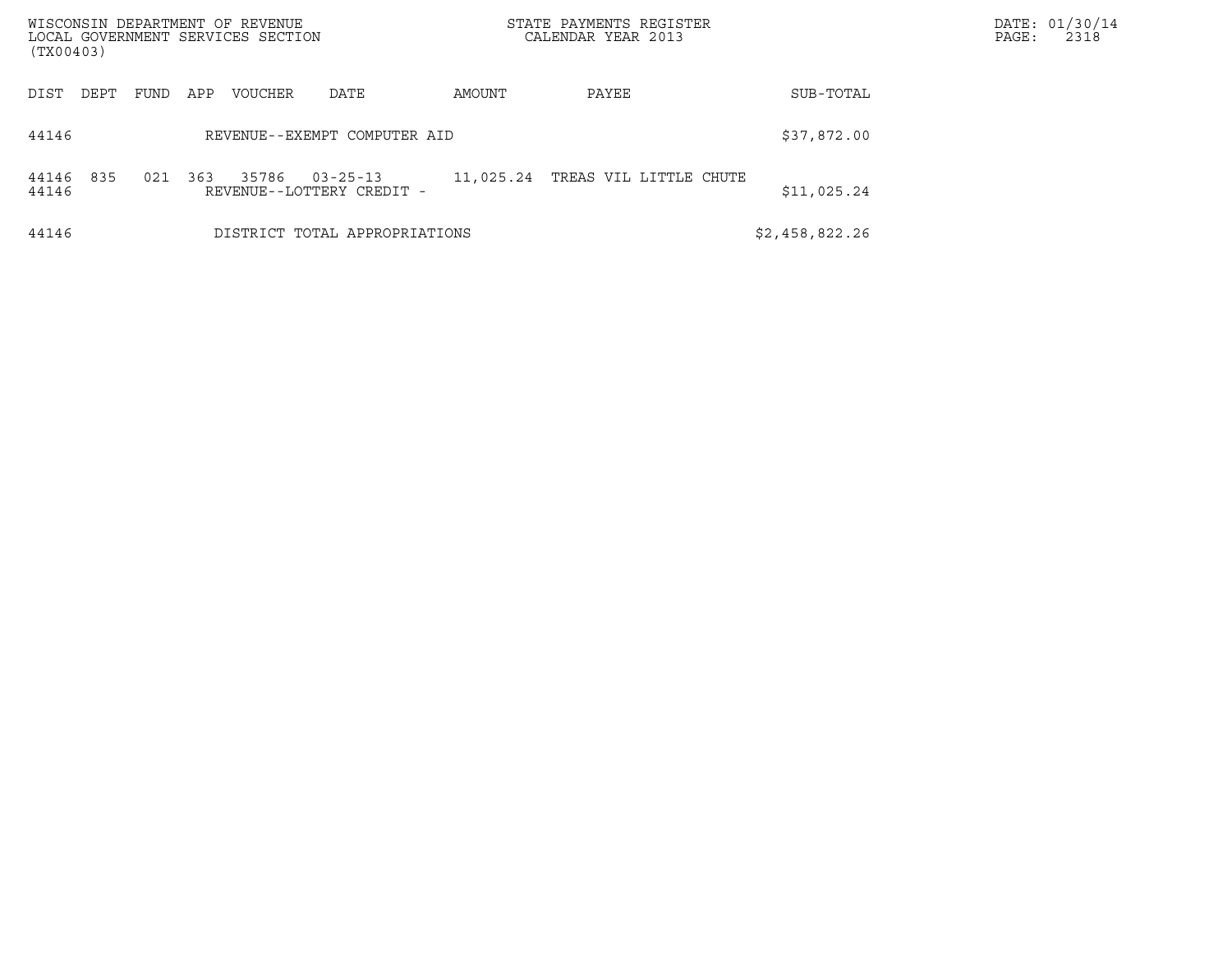| WISCONSIN DEPARTMENT OF REVENUE<br>LOCAL GOVERNMENT SERVICES SECTION<br>(TX00403) |      |     |         |                                             |           | STATE PAYMENTS REGISTER<br>CALENDAR YEAR 2013 |                | DATE: 01/30/14<br>PAGE:<br>2318 |
|-----------------------------------------------------------------------------------|------|-----|---------|---------------------------------------------|-----------|-----------------------------------------------|----------------|---------------------------------|
| DIST<br>DEPT                                                                      | FUND | APP | VOUCHER | DATE                                        | AMOUNT    | PAYEE                                         | SUB-TOTAL      |                                 |
| 44146                                                                             |      |     |         | REVENUE--EXEMPT COMPUTER AID                |           |                                               | \$37,872.00    |                                 |
| 835<br>44146<br>44146                                                             | 021  | 363 | 35786   | $03 - 25 - 13$<br>REVENUE--LOTTERY CREDIT - | 11,025.24 | TREAS VIL LITTLE CHUTE                        | \$11,025.24    |                                 |
| 44146                                                                             |      |     |         | DISTRICT TOTAL APPROPRIATIONS               |           |                                               | \$2,458,822.26 |                                 |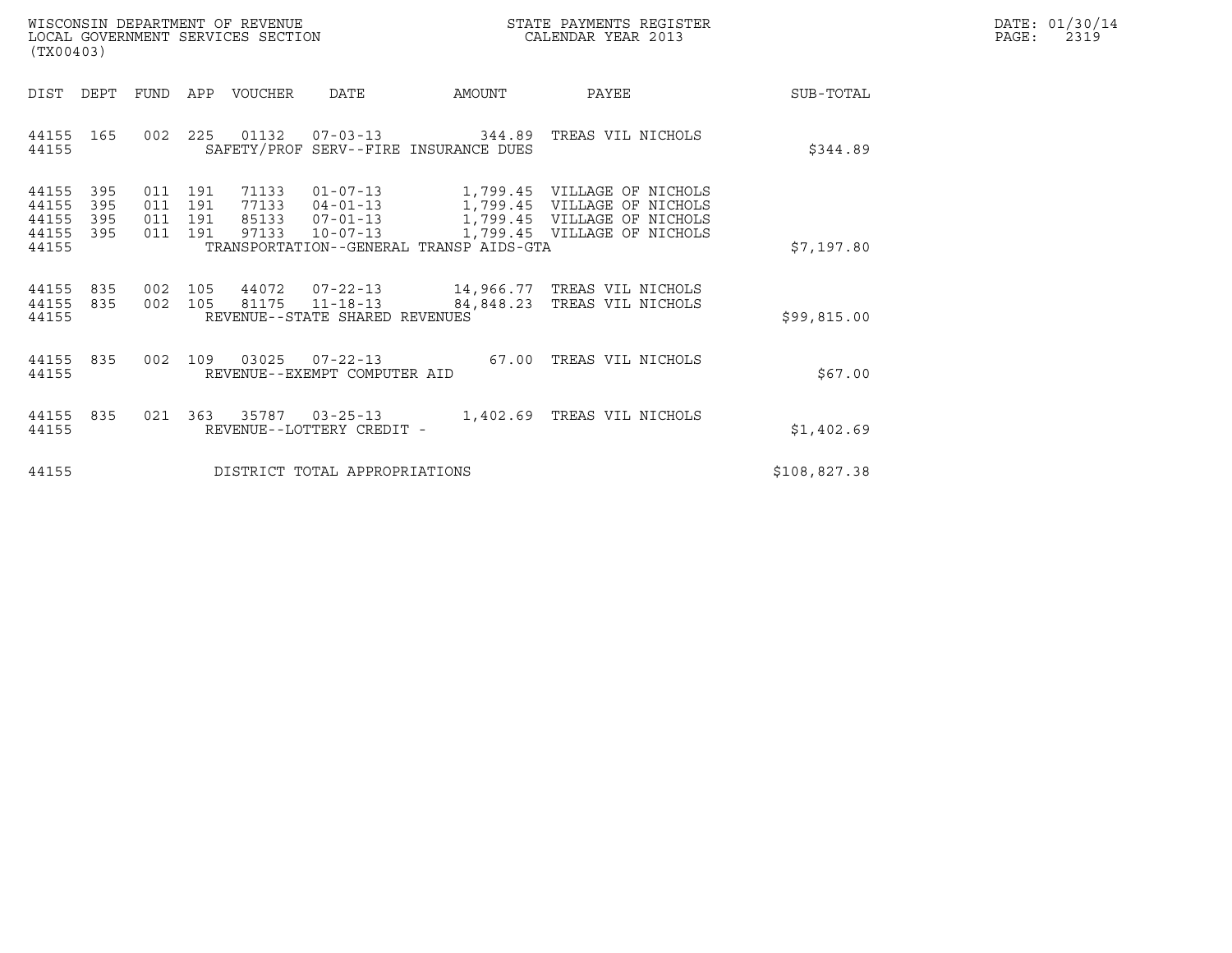| WISCONSIN DEPARTMENT OF REVENUE   | STATE PAYMENTS REGISTER | DATE: 01/30/14 |
|-----------------------------------|-------------------------|----------------|
| LOCAL GOVERNMENT SERVICES SECTION | CALENDAR YEAR 2013      | 2319<br>PAGE:  |

| WISCONSIN DEPARTMENT OF REVENUE<br>LOCAL GOVERNMENT SERVICES SECTION<br>(TX00403) |            |                                  |                                  |                                                                      |                                         | STATE PAYMENTS REGISTER<br>CALENDAR YEAR 2013                                                                            |              | DATE: 01/30/14<br>$\mathtt{PAGE}$ :<br>2319 |
|-----------------------------------------------------------------------------------|------------|----------------------------------|----------------------------------|----------------------------------------------------------------------|-----------------------------------------|--------------------------------------------------------------------------------------------------------------------------|--------------|---------------------------------------------|
| DIST<br>DEPT                                                                      |            |                                  | FUND APP VOUCHER                 | DATE                                                                 | AMOUNT                                  | PAYEE                                                                                                                    | SUB-TOTAL    |                                             |
| 44155 165<br>44155                                                                |            |                                  |                                  |                                                                      | SAFETY/PROF SERV--FIRE INSURANCE DUES   | 002  225  01132  07-03-13  344.89  TREAS VIL NICHOLS                                                                     | \$344.89     |                                             |
| 44155<br>395<br>44155<br>395<br>44155<br>395<br>44155<br>395<br>44155             | 011<br>011 | 011 191<br>191<br>011 191<br>191 | 71133<br>77133<br>85133<br>97133 | $01 - 07 - 13$<br>$04 - 01 - 13$<br>$07 - 01 - 13$<br>$10 - 07 - 13$ | TRANSPORTATION--GENERAL TRANSP AIDS-GTA | 1,799.45 VILLAGE OF NICHOLS<br>1,799.45 VILLAGE OF NICHOLS<br>1,799.45 VILLAGE OF NICHOLS<br>1,799.45 VILLAGE OF NICHOLS | \$7,197.80   |                                             |
| 44155 835<br>44155 835<br>44155                                                   |            |                                  |                                  | 002 105 81175 11-18-13<br>REVENUE--STATE SHARED REVENUES             | 84,848.23                               | 002 105 44072 07-22-13 14,966.77 TREAS VIL NICHOLS<br>TREAS VIL NICHOLS                                                  | \$99,815.00  |                                             |
| 44155 835<br>44155                                                                |            |                                  |                                  | 002 109 03025 07-22-13<br>REVENUE--EXEMPT COMPUTER AID               |                                         | 67.00 TREAS VIL NICHOLS                                                                                                  | \$67.00      |                                             |
| 44155 835<br>44155                                                                |            |                                  | 021 363 35787 03-25-13           | REVENUE--LOTTERY CREDIT -                                            |                                         | 1,402.69 TREAS VIL NICHOLS                                                                                               | \$1,402.69   |                                             |
| 44155                                                                             |            |                                  |                                  | DISTRICT TOTAL APPROPRIATIONS                                        |                                         |                                                                                                                          | \$108,827.38 |                                             |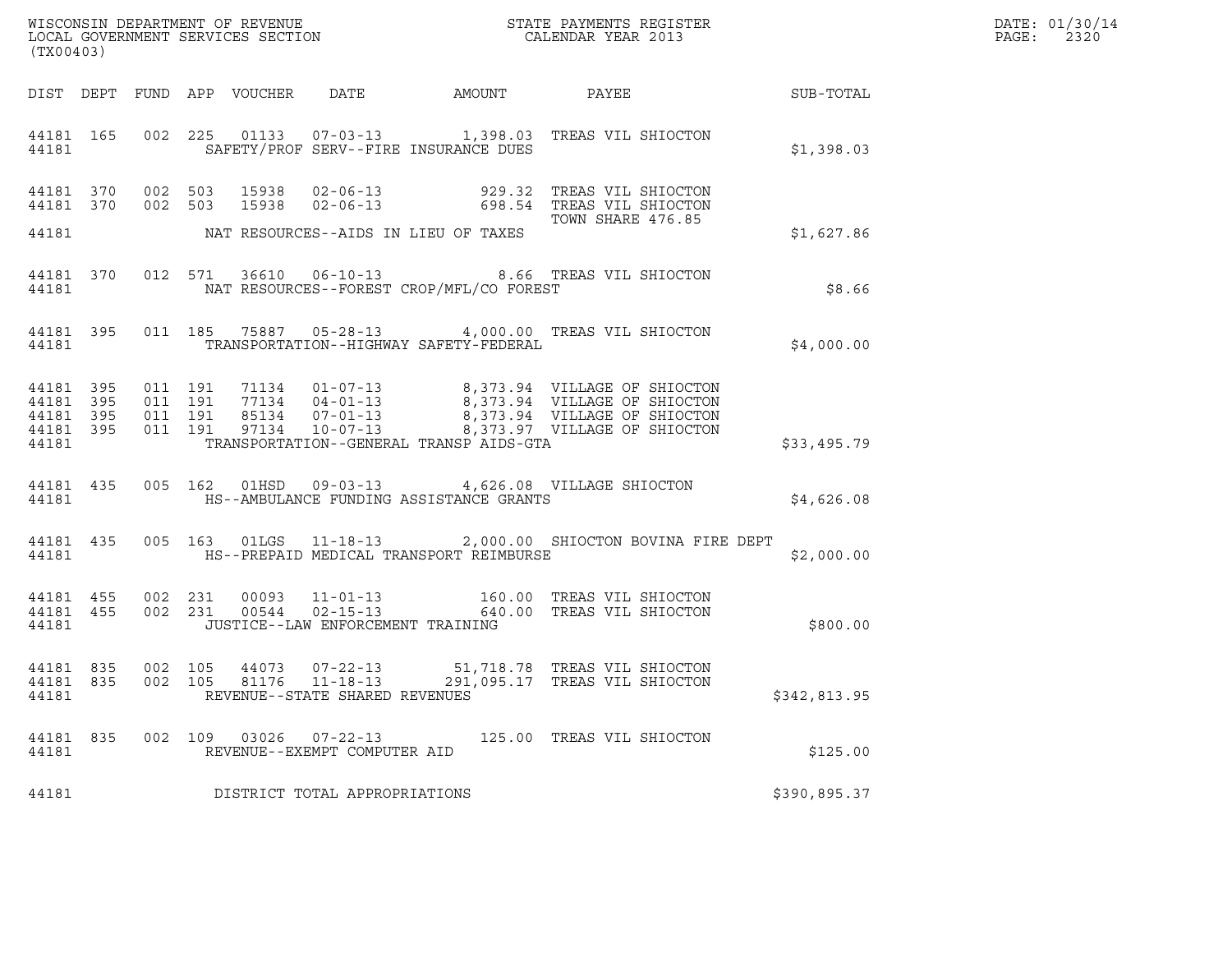| WISCONSIN DEPARTMENT OF REVENUE   | STATE PAYMENTS REGISTER | DATE: 01/30/14 |
|-----------------------------------|-------------------------|----------------|
| LOCAL GOVERNMENT SERVICES SECTION | CALENDAR YEAR 2013      | 2320<br>PAGE:  |

| WISCONSIN DEPARTMENT OF REVENUE<br>LOCAL GOVERNMENT SERVICES SECTION THE STATE PAYMENTS REGISTER<br>(TYAQAQQ)<br>(TX00403) |  |  |  |  |                                                        |                                                |                                                                                                                                                                                                                                                                                                                       | DATE: 01/30/14<br>PAGE: 2320                           |  |
|----------------------------------------------------------------------------------------------------------------------------|--|--|--|--|--------------------------------------------------------|------------------------------------------------|-----------------------------------------------------------------------------------------------------------------------------------------------------------------------------------------------------------------------------------------------------------------------------------------------------------------------|--------------------------------------------------------|--|
|                                                                                                                            |  |  |  |  |                                                        |                                                |                                                                                                                                                                                                                                                                                                                       | DIST DEPT FUND APP VOUCHER DATE AMOUNT PAYEE SUB-TOTAL |  |
|                                                                                                                            |  |  |  |  |                                                        | 44181 SAFETY/PROF SERV--FIRE INSURANCE DUES    | 44181 165 002 225 01133 07-03-13 1,398.03 TREAS VIL SHIOCTON                                                                                                                                                                                                                                                          | \$1,398.03                                             |  |
|                                                                                                                            |  |  |  |  |                                                        | 44181 MAT RESOURCES--AIDS IN LIEU OF TAXES     |                                                                                                                                                                                                                                                                                                                       | \$1,627.86                                             |  |
|                                                                                                                            |  |  |  |  |                                                        | 44181 MAT RESOURCES--FOREST CROP/MFL/CO FOREST | 44181 370 012 571 36610 06-10-13 8.66 TREAS VIL SHIOCTON                                                                                                                                                                                                                                                              | \$8.66                                                 |  |
|                                                                                                                            |  |  |  |  |                                                        | 44181 TRANSPORTATION--HIGHWAY SAFETY-FEDERAL   | 44181 395 011 185 75887 05-28-13 4,000.00 TREAS VIL SHIOCTON                                                                                                                                                                                                                                                          | \$4,000.00                                             |  |
|                                                                                                                            |  |  |  |  |                                                        | 44181 TRANSPORTATION--GENERAL TRANSP AIDS-GTA  | $\begin{array}{cccccccc} 44181 & 395 & 011 & 191 & 71134 & 01-07-13 & & 8,373.94 & \text{VILLAGE OF SHIOCTON} \\ 44181 & 395 & 011 & 191 & 77134 & 04-01-13 & & 8,373.94 & \text{VILLAGE OF SHIOCTON} \\ 44181 & 395 & 011 & 191 & 85134 & 07-01-13 & & 8,373.94 & \text{VILLAGE OF SHIOCTON} \\ 44181 & 395 & 011 &$ | \$33,495.79                                            |  |
|                                                                                                                            |  |  |  |  |                                                        |                                                | 44181 435 005 162 01HSD 09-03-13 4,626.08 VILLAGE SHIOCTON<br>44181 HS--AMBULANCE FUNDING ASSISTANCE GRANTS                                                                                                                                                                                                           | \$4,626.08                                             |  |
|                                                                                                                            |  |  |  |  |                                                        |                                                | 44181 435 005 163 01LGS 11-18-13 2,000.00 SHIOCTON BOVINA FIRE DEPT                                                                                                                                                                                                                                                   | \$2,000.00                                             |  |
|                                                                                                                            |  |  |  |  | 44181 JUSTICE--LAW ENFORCEMENT TRAINING                |                                                | $\begin{array}{cccccccc} 44181 & 455 & 002 & 231 & 00093 & 11\mbox{-}01\mbox{-}13 & & & 160.00 & \mbox{TREAS VII SHIOCTON} \\ 44181 & 455 & 002 & 231 & 00544 & 02\mbox{-}15\mbox{-}13 & & & 640.00 & \mbox{TREAS VII SHIOCTON} \end{array}$                                                                          | \$800.00                                               |  |
| 44181                                                                                                                      |  |  |  |  | REVENUE--STATE SHARED REVENUES                         |                                                | $\begin{array}{cccccc} 44181 & 835 & 002 & 105 & 44073 & 07-22-13 & & 51,718.78 & \text{TREAS VII SHIOCTON} \\ 44181 & 835 & 002 & 105 & 81176 & 11-18-13 & & 291,095.17 & \text{TREAS VII SHIOCTON} \end{array}$                                                                                                     | \$342,813.95                                           |  |
| 44181 835<br>44181                                                                                                         |  |  |  |  | 002 109 03026 07-22-13<br>REVENUE--EXEMPT COMPUTER AID |                                                | 125.00 TREAS VIL SHIOCTON                                                                                                                                                                                                                                                                                             | \$125.00                                               |  |
| 44181                                                                                                                      |  |  |  |  | DISTRICT TOTAL APPROPRIATIONS                          |                                                |                                                                                                                                                                                                                                                                                                                       | \$390,895.37                                           |  |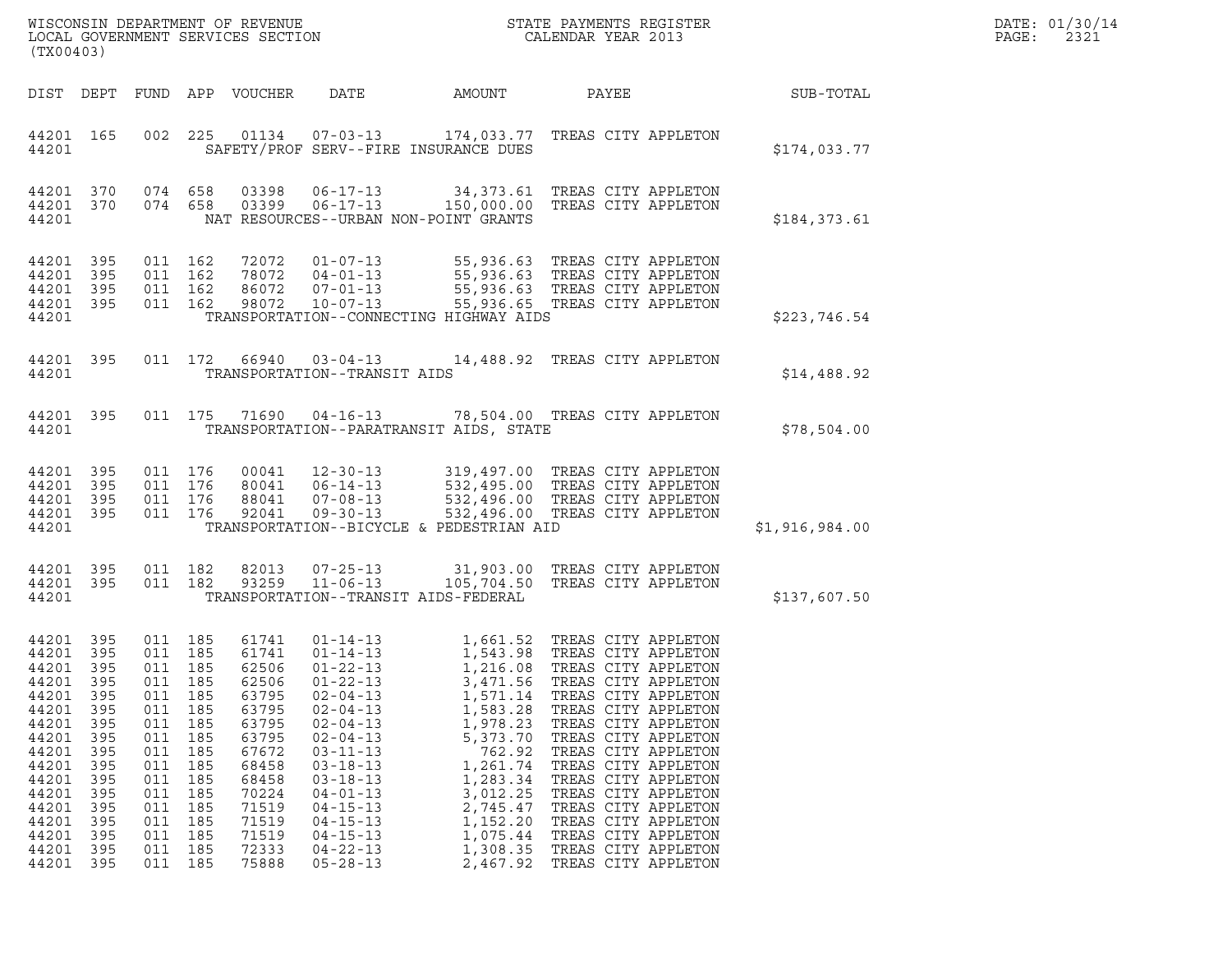| DATE: | 01/30/14 |
|-------|----------|
| PAGE: | 2321     |

| WISCONSIN DEPARTMENT OF REVENUE<br>LOCAL GOVERNMENT SERVICES SECTION<br>STATE PAYMENTS REGISTER<br>CALENDAR YEAR 2013<br>(TX00403)                            |                                                                                                           |                                                                                                                                                 |                                                                    |                                                                                                                                                       |                                                                                                                                                                                                                                                                                              |                                                                                                                                                                    |                                                                                                                                                                                                                                                                                                                                                                                                                                         |                | DATE: 01/30/14<br>PAGE:<br>2321 |
|---------------------------------------------------------------------------------------------------------------------------------------------------------------|-----------------------------------------------------------------------------------------------------------|-------------------------------------------------------------------------------------------------------------------------------------------------|--------------------------------------------------------------------|-------------------------------------------------------------------------------------------------------------------------------------------------------|----------------------------------------------------------------------------------------------------------------------------------------------------------------------------------------------------------------------------------------------------------------------------------------------|--------------------------------------------------------------------------------------------------------------------------------------------------------------------|-----------------------------------------------------------------------------------------------------------------------------------------------------------------------------------------------------------------------------------------------------------------------------------------------------------------------------------------------------------------------------------------------------------------------------------------|----------------|---------------------------------|
|                                                                                                                                                               |                                                                                                           |                                                                                                                                                 |                                                                    | DIST DEPT FUND APP VOUCHER                                                                                                                            | DATE                                                                                                                                                                                                                                                                                         | AMOUNT                                                                                                                                                             | PAYEE                                                                                                                                                                                                                                                                                                                                                                                                                                   | SUB-TOTAL      |                                 |
| 44201 165<br>44201                                                                                                                                            |                                                                                                           |                                                                                                                                                 |                                                                    |                                                                                                                                                       |                                                                                                                                                                                                                                                                                              | SAFETY/PROF SERV--FIRE INSURANCE DUES                                                                                                                              | 002  225  01134  07-03-13  174,033.77  TREAS CITY APPLETON                                                                                                                                                                                                                                                                                                                                                                              | \$174,033.77   |                                 |
| 44201 370<br>44201                                                                                                                                            |                                                                                                           | 44201 370 074 658                                                                                                                               | 074 658                                                            | 03398                                                                                                                                                 | $06 - 17 - 13$                                                                                                                                                                                                                                                                               | NAT RESOURCES--URBAN NON-POINT GRANTS                                                                                                                              | 34,373.61 TREAS CITY APPLETON<br>03399  06-17-13  150,000.00  TREAS CITY APPLETON                                                                                                                                                                                                                                                                                                                                                       | \$184,373.61   |                                 |
| 44201 395<br>44201 395<br>44201<br>44201 395<br>44201                                                                                                         | 395                                                                                                       | 011 162<br>011 162                                                                                                                              | 011 162<br>011 162                                                 | 98072                                                                                                                                                 | $10 - 07 - 13$                                                                                                                                                                                                                                                                               | TRANSPORTATION--CONNECTING HIGHWAY AIDS                                                                                                                            | 72072  01-07-13  55,936.63  TREAS CITY APPLETON<br>78072  04-01-13  55,936.63  TREAS CITY APPLETON<br>86072  07-01-13  55,936.63  TREAS CITY APPLETON<br>55,936.65 TREAS CITY APPLETON                                                                                                                                                                                                                                                  | \$223,746.54   |                                 |
| 44201 395<br>44201                                                                                                                                            |                                                                                                           |                                                                                                                                                 |                                                                    |                                                                                                                                                       | TRANSPORTATION--TRANSIT AIDS                                                                                                                                                                                                                                                                 |                                                                                                                                                                    | 011 172  66940  03-04-13  14,488.92  TREAS CITY APPLETON                                                                                                                                                                                                                                                                                                                                                                                | \$14,488.92    |                                 |
| 44201                                                                                                                                                         | 44201 395                                                                                                 |                                                                                                                                                 |                                                                    |                                                                                                                                                       | 011 175 71690 04-16-13                                                                                                                                                                                                                                                                       | TRANSPORTATION--PARATRANSIT AIDS, STATE                                                                                                                            | 78,504.00 TREAS CITY APPLETON                                                                                                                                                                                                                                                                                                                                                                                                           | \$78,504.00    |                                 |
| 44201 395<br>44201<br>44201 395<br>44201 395<br>44201                                                                                                         | 395                                                                                                       | 011 176<br>011 176<br>011 176<br>011 176                                                                                                        |                                                                    |                                                                                                                                                       |                                                                                                                                                                                                                                                                                              | TRANSPORTATION--BICYCLE & PEDESTRIAN AID                                                                                                                           | 00041 12-30-13 319,497.00 TREAS CITY APPLETON<br>80041 06-14-13 532,495.00 TREAS CITY APPLETON<br>88041 07-08-13 532,496.00 TREAS CITY APPLETON<br>92041 09-30-13 532,496.00 TREAS CITY APPLETON<br>532,496.00 TREAS CITY APPLETON                                                                                                                                                                                                      | \$1,916,984.00 |                                 |
| 44201 395<br>44201 395<br>44201                                                                                                                               |                                                                                                           | 011 182                                                                                                                                         | 011 182                                                            | 82013<br>93259                                                                                                                                        | $07 - 25 - 13$<br>$11 - 06 - 13$                                                                                                                                                                                                                                                             | TRANSPORTATION--TRANSIT AIDS-FEDERAL                                                                                                                               | 31,903.00 TREAS CITY APPLETON<br>105,704.50 TREAS CITY APPLETON                                                                                                                                                                                                                                                                                                                                                                         | \$137,607.50   |                                 |
| 44201 395<br>44201<br>44201 395<br>44201<br>44201<br>44201<br>44201<br>44201<br>44201<br>44201<br>44201<br>44201<br>44201<br>44201<br>44201<br>44201<br>44201 | - 395<br>395<br>395<br>395<br>395<br>395<br>395<br>395<br>395<br>395<br>395<br>395<br>395<br>395<br>- 395 | 011 185<br>011 185<br>011 185<br>011<br>011<br>011<br>011<br>011<br>011<br>011<br>011<br>011<br>011 185<br>011<br>011 185<br>011 185<br>011 185 | 185<br>185<br>185<br>185<br>185<br>185<br>185<br>185<br>185<br>185 | 61741<br>61741<br>62506<br>62506<br>63795<br>63795<br>63795<br>63795<br>67672<br>68458<br>68458<br>70224<br>71519<br>71519<br>71519<br>72333<br>75888 | $01 - 14 - 13$<br>$01 - 22 - 13$<br>$01 - 22 - 13$<br>$02 - 04 - 13$<br>$02 - 04 - 13$<br>$02 - 04 - 13$<br>$02 - 04 - 13$<br>$03 - 11 - 13$<br>$03 - 18 - 13$<br>$03 - 18 - 13$<br>$04 - 01 - 13$<br>$04 - 15 - 13$<br>$04 - 15 - 13$<br>$04 - 15 - 13$<br>$04 - 22 - 13$<br>$05 - 28 - 13$ | 3,471.56<br>1,571.14<br>1,583.28<br>1,978.23<br>5,373.70<br>762.92<br>1,261.74<br>1,283.34<br>3,012.25<br>2,745.47<br>1,152.20<br>1,075.44<br>1,308.35<br>2,467.92 | 01-14-13 1,661.52 TREAS CITY APPLETON<br>1,543.98 TREAS CITY APPLETON<br>1,216.08 TREAS CITY APPLETON<br>TREAS CITY APPLETON<br>TREAS CITY APPLETON<br>TREAS CITY APPLETON<br>TREAS CITY APPLETON<br>TREAS CITY APPLETON<br>TREAS CITY APPLETON<br>TREAS CITY APPLETON<br>TREAS CITY APPLETON<br>TREAS CITY APPLETON<br>TREAS CITY APPLETON<br>TREAS CITY APPLETON<br>TREAS CITY APPLETON<br>TREAS CITY APPLETON<br>TREAS CITY APPLETON |                |                                 |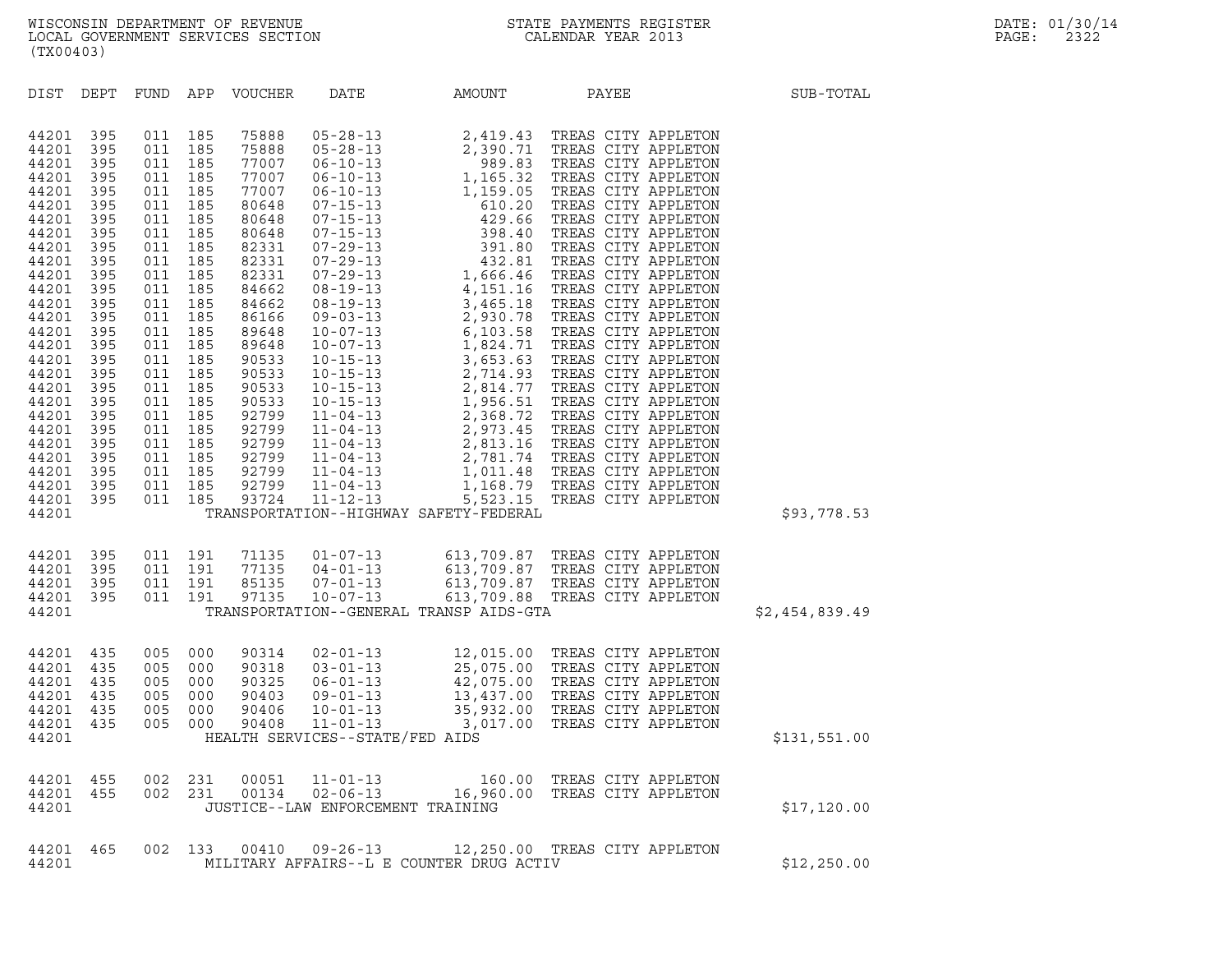| (TX00403)                                                                                                                                                                                                            |                                                                                                                                                                      |                                        |                                        |                                                    |                                   |                                                                                                                                                                                                                                                      |       |                |  |
|----------------------------------------------------------------------------------------------------------------------------------------------------------------------------------------------------------------------|----------------------------------------------------------------------------------------------------------------------------------------------------------------------|----------------------------------------|----------------------------------------|----------------------------------------------------|-----------------------------------|------------------------------------------------------------------------------------------------------------------------------------------------------------------------------------------------------------------------------------------------------|-------|----------------|--|
| DIST                                                                                                                                                                                                                 | DEPT                                                                                                                                                                 |                                        |                                        | FUND APP VOUCHER                                   | DATE                              | AMOUNT                                                                                                                                                                                                                                               | PAYEE | SUB-TOTAL      |  |
| 44201<br>44201<br>44201<br>44201<br>44201<br>44201<br>44201<br>44201<br>44201<br>44201<br>44201<br>44201<br>44201<br>44201<br>44201<br>44201<br>44201<br>44201<br>44201<br>44201<br>44201<br>44201<br>44201<br>44201 | 395<br>395<br>395<br>395<br>395<br>395<br>395<br>395<br>395<br>395<br>395<br>395<br>395<br>395<br>395<br>395<br>395<br>395<br>395<br>395<br>395<br>395<br>395<br>395 |                                        |                                        |                                                    |                                   |                                                                                                                                                                                                                                                      |       |                |  |
| 44201<br>44201<br>44201<br>44201                                                                                                                                                                                     | 395<br>395<br>395                                                                                                                                                    |                                        |                                        |                                                    |                                   | TRANSPORTATION--HIGHWAY SAFETY-FEDERAL                                                                                                                                                                                                               |       | \$93,778.53    |  |
| 44201<br>44201<br>44201<br>44201<br>44201                                                                                                                                                                            | 395<br>395<br>395<br>395                                                                                                                                             | 011<br>011 191<br>011<br>011           | 191<br>191<br>191                      | 71135<br>77135<br>85135<br>97135                   |                                   | 01-07-13 613,709.87 TREAS CITY APPLETON<br>04-01-13 613,709.87 TREAS CITY APPLETON<br>07-01-13 613,709.87 TREAS CITY APPLETON<br>10-07-13 613,709.88 TREAS CITY APPLETON<br>TRANSPORTATION--GENERAL TRANSP AIDS-GTA                                  |       | \$2,454,839.49 |  |
| 44201<br>44201<br>44201<br>44201<br>44201<br>44201<br>44201                                                                                                                                                          | 435<br>435<br>435<br>435<br>435<br>435                                                                                                                               | 005<br>005<br>005<br>005<br>005<br>005 | 000<br>000<br>000<br>000<br>000<br>000 | 90314<br>90318<br>90325<br>90403<br>90406<br>90408 | HEALTH SERVICES--STATE/FED AIDS   | 02-01-13<br>03-01-13<br>25,075.00 TREAS CITY APPLETON<br>06-01-13<br>42,075.00 TREAS CITY APPLETON<br>09-01-13<br>13,437.00 TREAS CITY APPLETON<br>10-01-13<br>35,932.00 TREAS CITY APPLETON<br>11-01-13<br>3,017.00 TREAS CITY APPLETON<br>11-01-13 |       | \$131,551.00   |  |
| 44201<br>44201<br>44201                                                                                                                                                                                              | 455<br>455                                                                                                                                                           | 002                                    | 002 231                                |                                                    | JUSTICE--LAW ENFORCEMENT TRAINING | 231  00051  11-01-13  160.00 TREAS CITY APPLETON<br>231  00134  02-06-13  16,960.00 TREAS CITY APPLETON                                                                                                                                              |       | \$17, 120.00   |  |
| 44201<br>44201                                                                                                                                                                                                       | 465                                                                                                                                                                  |                                        | 002 133                                |                                                    |                                   | 00410  09-26-13  12,250.00 TREAS CITY APPLETON<br>MILITARY AFFAIRS--L E COUNTER DRUG ACTIV                                                                                                                                                           |       | \$12, 250.00   |  |
|                                                                                                                                                                                                                      |                                                                                                                                                                      |                                        |                                        |                                                    |                                   |                                                                                                                                                                                                                                                      |       |                |  |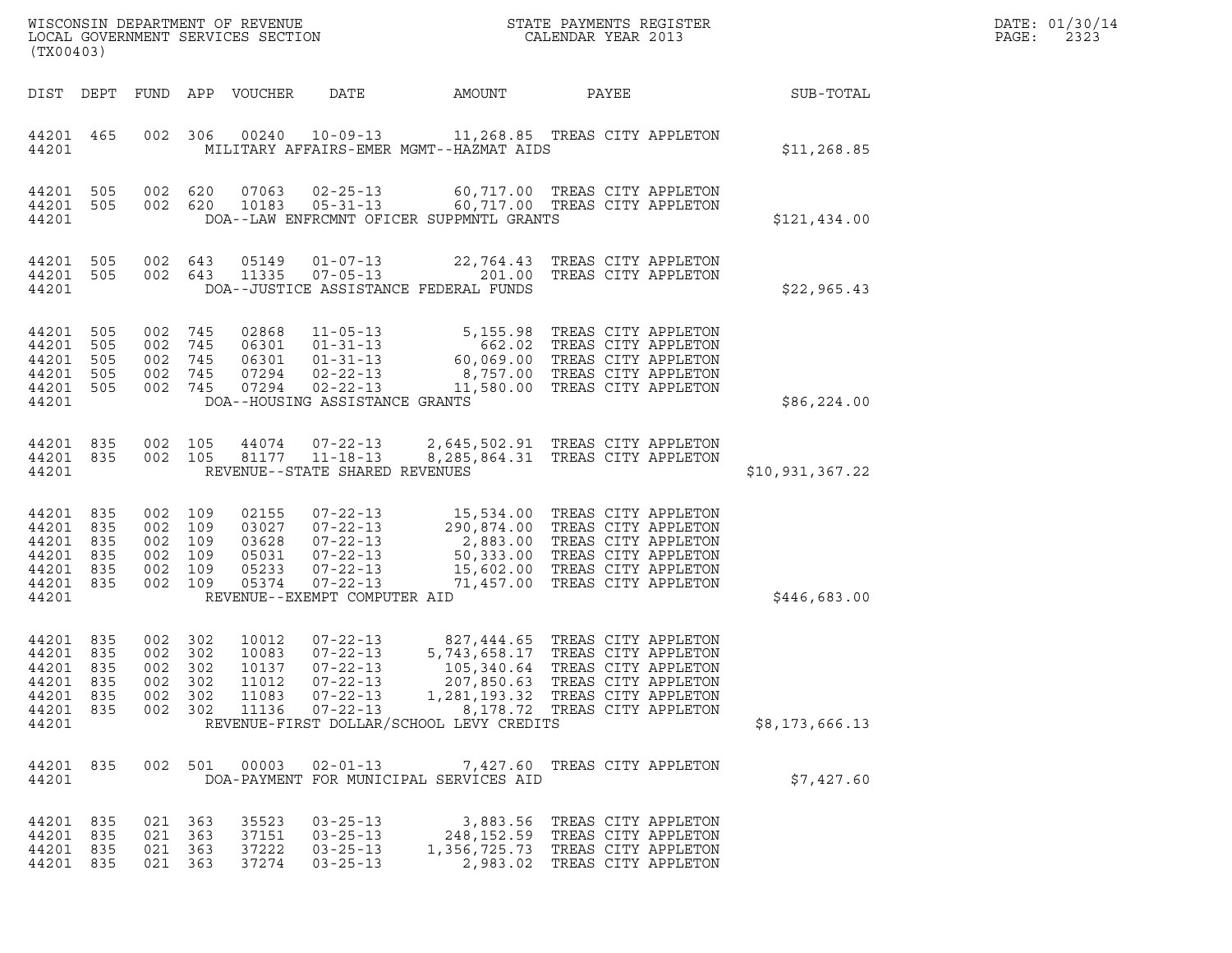| WISCONSIN DEPARTMENT OF REVENUE<br>LOCAL GOVERNMENT SERVICES SECTION<br>(TX00403) |                                 |                                         |                                        |                                                    |                                                                                                                                          |                                                 | STATE PAYMENTS REGISTER<br>CALENDAR YEAR 2013                                                                                                                                                              |                 | DATE: 01/30/14<br>PAGE:<br>2323 |
|-----------------------------------------------------------------------------------|---------------------------------|-----------------------------------------|----------------------------------------|----------------------------------------------------|------------------------------------------------------------------------------------------------------------------------------------------|-------------------------------------------------|------------------------------------------------------------------------------------------------------------------------------------------------------------------------------------------------------------|-----------------|---------------------------------|
| DIST DEPT                                                                         |                                 |                                         |                                        | FUND APP VOUCHER                                   | DATE                                                                                                                                     | AMOUNT                                          | PAYEE                                                                                                                                                                                                      | SUB-TOTAL       |                                 |
| 44201 465<br>44201                                                                |                                 |                                         | 002 306                                |                                                    | 00240 10-09-13                                                                                                                           | MILITARY AFFAIRS-EMER MGMT--HAZMAT AIDS         | 11,268.85 TREAS CITY APPLETON                                                                                                                                                                              | \$11, 268.85    |                                 |
| 44201 505<br>44201 505<br>44201                                                   |                                 | 002 620<br>002 620                      |                                        | 07063<br>10183                                     | $02 - 25 - 13$<br>$05 - 31 - 13$                                                                                                         | DOA--LAW ENFRCMNT OFICER SUPPMNTL GRANTS        | 60,717.00 TREAS CITY APPLETON<br>60,717.00 TREAS CITY APPLETON                                                                                                                                             | \$121,434.00    |                                 |
| 44201<br>44201 505<br>44201                                                       | 505                             | 002<br>002 643                          | 643                                    | 05149<br>11335                                     | $01 - 07 - 13$<br>$07 - 05 - 13$                                                                                                         | 201.00<br>DOA--JUSTICE ASSISTANCE FEDERAL FUNDS | 22,764.43 TREAS CITY APPLETON<br>TREAS CITY APPLETON                                                                                                                                                       | \$22,965.43     |                                 |
| 44201<br>44201<br>44201<br>44201<br>44201 505<br>44201                            | 505<br>505<br>505<br>505        | 002<br>002<br>002<br>002<br>002         | 745<br>745<br>745<br>745<br>745        | 02868<br>06301<br>06301<br>07294<br>07294          | $11 - 05 - 13$<br>$01 - 31 - 13$<br>$01 - 31 - 13$<br>$02 - 22 - 13$<br>$02 - 22 - 13$<br>DOA--HOUSING ASSISTANCE GRANTS                 |                                                 | 5,155.98 TREAS CITY APPLETON<br>662.02 TREAS CITY APPLETON<br>60,069.00 TREAS CITY APPLETON<br>8,757.00 TREAS CITY APPLETON<br>11,580.00 TREAS CITY APPLETON                                               | \$86, 224.00    |                                 |
| 44201 835<br>44201 835<br>44201                                                   |                                 | 002 105<br>002 105                      |                                        | 44074<br>81177                                     | $07 - 22 - 13$<br>$11 - 18 - 13$<br>REVENUE--STATE SHARED REVENUES                                                                       |                                                 | 2,645,502.91 TREAS CITY APPLETON<br>8,285,864.31 TREAS CITY APPLETON                                                                                                                                       | \$10,931,367.22 |                                 |
| 44201<br>44201<br>44201<br>44201<br>44201<br>44201 835<br>44201                   | 835<br>835<br>835<br>835<br>835 | 002<br>002<br>002<br>002<br>002<br>002  | 109<br>109<br>109<br>109<br>109<br>109 | 02155<br>03027<br>03628<br>05031<br>05233<br>05374 | $07 - 22 - 13$<br>$07 - 22 - 13$<br>$07 - 22 - 13$<br>$07 - 22 - 13$<br>$07 - 22 - 13$<br>$07 - 22 - 13$<br>REVENUE--EXEMPT COMPUTER AID |                                                 | 15,534.00 TREAS CITY APPLETON<br>290,874.00 TREAS CITY APPLETON<br>2,883.00 TREAS CITY APPLETON<br>50,333.00 TREAS CITY APPLETON<br>15,602.00 TREAS CITY APPLETON<br>71,457.00 TREAS CITY APPLETON         | \$446,683.00    |                                 |
| 44201 835<br>44201<br>44201<br>44201<br>44201 835<br>44201 835<br>44201           | 835<br>835<br>835               | 002 302<br>002<br>002<br>002<br>002 302 | 302<br>302<br>302<br>002 302           | 10012<br>10083<br>10137<br>11012<br>11083<br>11136 | $07 - 22 - 13$<br>$07 - 22 - 13$<br>$07 - 22 - 13$<br>07-22-13<br>$07 - 22 - 13$<br>$07 - 22 - 13$                                       | REVENUE-FIRST DOLLAR/SCHOOL LEVY CREDITS        | 827,444.65 TREAS CITY APPLETON<br>5,743,658.17 TREAS CITY APPLETON<br>105,340.64 TREAS CITY APPLETON<br>207,850.63 TREAS CITY APPLETON<br>1,281,193.32 TREAS CITY APPLETON<br>8,178.72 TREAS CITY APPLETON | \$8,173,666.13  |                                 |
| 44201 835<br>44201                                                                |                                 |                                         | 002 501                                | 00003                                              | $02 - 01 - 13$                                                                                                                           | DOA-PAYMENT FOR MUNICIPAL SERVICES AID          | 7,427.60 TREAS CITY APPLETON                                                                                                                                                                               | \$7,427.60      |                                 |
| 44201 835<br>44201 835<br>44201 835<br>44201 835                                  |                                 | 021 363<br>021 363<br>021 363           | 021 363                                | 35523<br>37151<br>37222<br>37274                   | $03 - 25 - 13$<br>$03 - 25 - 13$<br>$03 - 25 - 13$<br>$03 - 25 - 13$                                                                     |                                                 | 3,883.56 TREAS CITY APPLETON<br>248, 152.59 TREAS CITY APPLETON<br>1,356,725.73 TREAS CITY APPLETON<br>2,983.02 TREAS CITY APPLETON                                                                        |                 |                                 |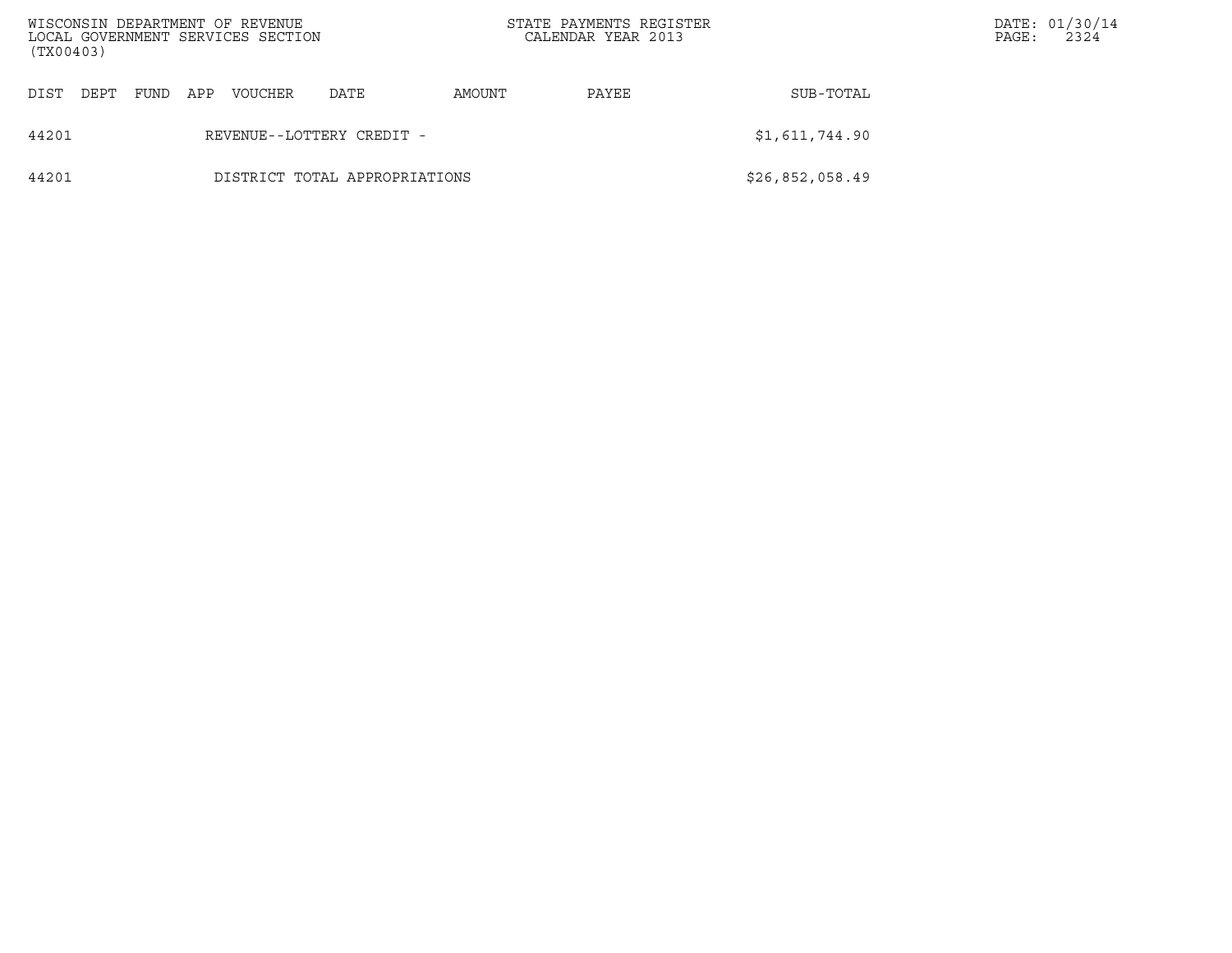| WISCONSIN DEPARTMENT OF REVENUE<br>(TX00403) |      |     | LOCAL GOVERNMENT SERVICES SECTION |                               |        | STATE PAYMENTS REGISTER<br>CALENDAR YEAR 2013 |                 | PAGE: | DATE: 01/30/14<br>2324 |
|----------------------------------------------|------|-----|-----------------------------------|-------------------------------|--------|-----------------------------------------------|-----------------|-------|------------------------|
| DIST<br>DEPT                                 | FUND | APP | VOUCHER                           | DATE                          | AMOUNT | PAYEE                                         | SUB-TOTAL       |       |                        |
| 44201                                        |      |     |                                   | REVENUE--LOTTERY CREDIT -     |        |                                               | \$1,611,744.90  |       |                        |
| 44201                                        |      |     |                                   | DISTRICT TOTAL APPROPRIATIONS |        |                                               | \$26,852,058.49 |       |                        |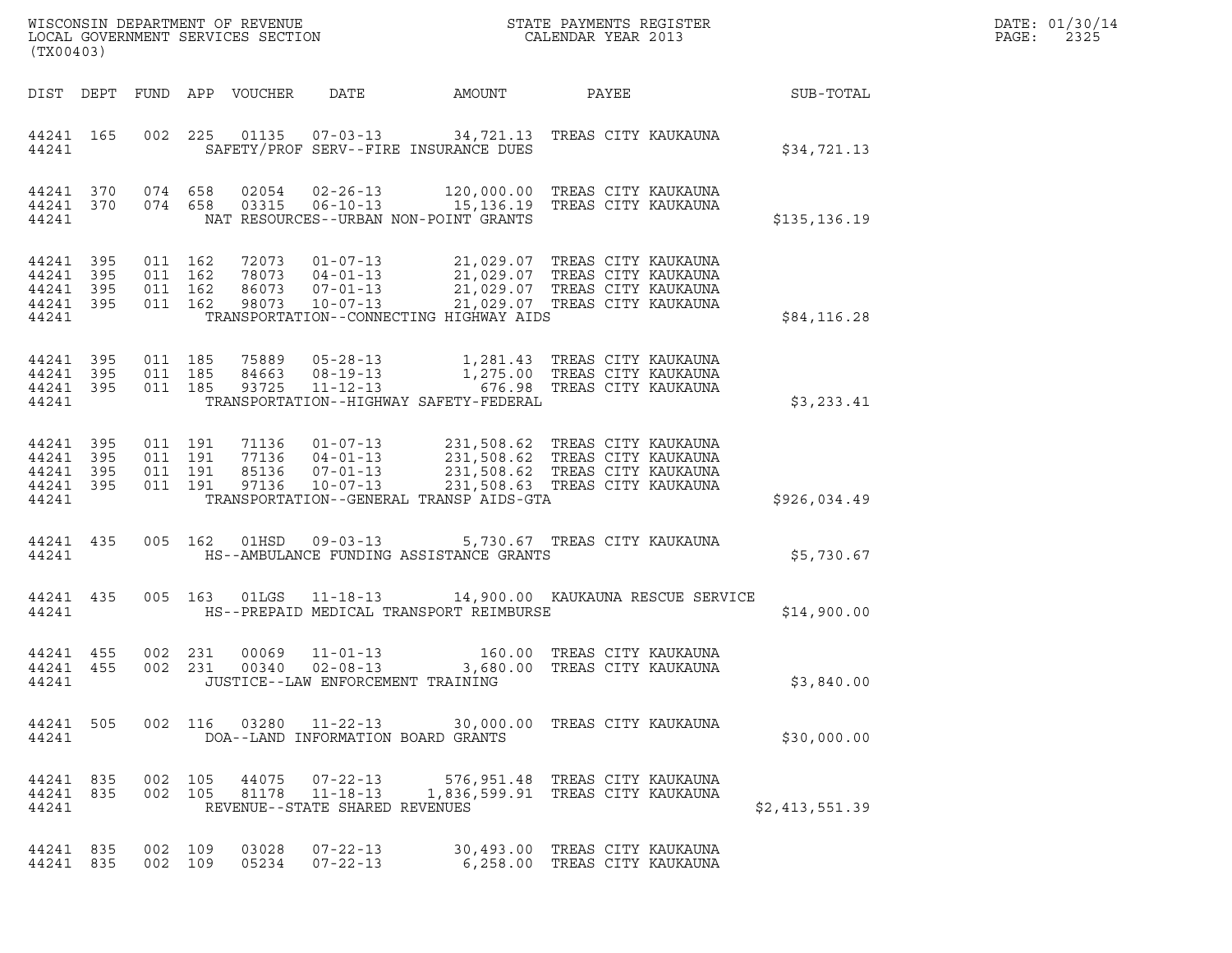| DATE: | 01/30/14 |
|-------|----------|
| PAGE: | 2325     |

| (TX00403)                                             |     |                               |                    |                            |                                |                                                                                                                                                                                                                                                     |       |  | DATE: 01/30/14<br>PAGE:<br>2325 |  |
|-------------------------------------------------------|-----|-------------------------------|--------------------|----------------------------|--------------------------------|-----------------------------------------------------------------------------------------------------------------------------------------------------------------------------------------------------------------------------------------------------|-------|--|---------------------------------|--|
|                                                       |     |                               |                    | DIST DEPT FUND APP VOUCHER | DATE                           | AMOUNT                                                                                                                                                                                                                                              | PAYEE |  | <b>SUB-TOTAL</b>                |  |
| 44241 165<br>44241                                    |     |                               |                    |                            |                                | 002 225 01135 07-03-13 34,721.13 TREAS CITY KAUKAUNA<br>SAFETY/PROF SERV--FIRE INSURANCE DUES                                                                                                                                                       |       |  | \$34,721.13                     |  |
| 44241 370 074 658<br>44241 370<br>44241               |     |                               |                    |                            |                                | $074$ 658 03315 06-10-13 15,136.19 TREAS CITY KAUKAUNA<br>NAT RESOURCES--URBAN NON-POINT GRANTS                                                                                                                                                     |       |  | \$135,136.19                    |  |
| 44241 395<br>44241 395<br>44241<br>44241 395<br>44241 | 395 | 011 162<br>011 162<br>011 162 | 011 162            |                            |                                | 72073  01-07-13  21,029.07 TREAS CITY KAUKAUNA<br>78073  04-01-13  21,029.07 TREAS CITY KAUKAUNA<br>86073  07-01-13  21,029.07 TREAS CITY KAUKAUNA<br>98073  10-07-13  21,029.07 TREAS CITY KAUKAUNA<br>TRANSPORTATION--CONNECTING HIGHWAY AIDS     |       |  | \$84,116.28                     |  |
| 44241 395<br>44241 395<br>44241 395<br>44241          |     | 011 185<br>011 185            | 011 185            |                            |                                | TRANSPORTATION--HIGHWAY SAFETY-FEDERAL                                                                                                                                                                                                              |       |  | \$3,233.41                      |  |
| 44241 395<br>44241<br>44241 395<br>44241 395<br>44241 | 395 | 011 191<br>011 191            | 011 191<br>011 191 |                            |                                | 71136  01-07-13  231,508.62 TREAS CITY KAUKAUNA<br>77136  04-01-13  231,508.62 TREAS CITY KAUKAUNA<br>85136  07-01-13  231,508.62 TREAS CITY KAUKAUNA<br>97136  10-07-13  231,508.63 TREAS CITY KAUKAUNA<br>TRANSPORTATION--GENERAL TRANSP AIDS-GTA |       |  | \$926,034.49                    |  |
| 44241 435<br>44241                                    |     |                               |                    |                            |                                | 005 162 01HSD 09-03-13 5,730.67 TREAS CITY KAUKAUNA<br>HS--AMBULANCE FUNDING ASSISTANCE GRANTS                                                                                                                                                      |       |  | \$5,730.67                      |  |
| 44241 435                                             |     |                               |                    |                            |                                | 005 163 01LGS 11-18-13 14,900.00 KAUKAUNA RESCUE SERVICE<br>44241 ME--PREPAID MEDICAL TRANSPORT REIMBURSE                                                                                                                                           |       |  | \$14,900.00                     |  |
| 44241 455<br>44241 455<br>44241                       |     | 002 231                       | 002 231            | 00069<br>00340             |                                | 11-01-13 160.00 TREAS CITY KAUKAUNA<br>02-08-13                3,680.00 TREAS CITY KAUKAUNA<br>JUSTICE--LAW ENFORCEMENT TRAINING                                                                                                                    |       |  | \$3,840.00                      |  |
| 44241                                                 |     |                               |                    |                            |                                | 44241 505 002 116 03280 11-22-13 30,000.00 TREAS CITY KAUKAUNA<br>DOA--LAND INFORMATION BOARD GRANTS                                                                                                                                                |       |  | \$30,000.00                     |  |
| 44241 835 002 105<br>44241 835<br>44241               |     |                               | 002 105            |                            | REVENUE--STATE SHARED REVENUES | 44075  07-22-13  576,951.48  TREAS CITY KAUKAUNA<br>81178  11-18-13  1,836,599.91  TREAS CITY KAUKAUNA                                                                                                                                              |       |  | \$2,413,551.39                  |  |
| 44241 835<br>44241 835                                |     | 002 109<br>002 109            |                    | 03028                      | 05234 07-22-13                 | 07-22-13 30,493.00 TREAS CITY KAUKAUNA<br>6,258.00 TREAS CITY KAUKAUNA                                                                                                                                                                              |       |  |                                 |  |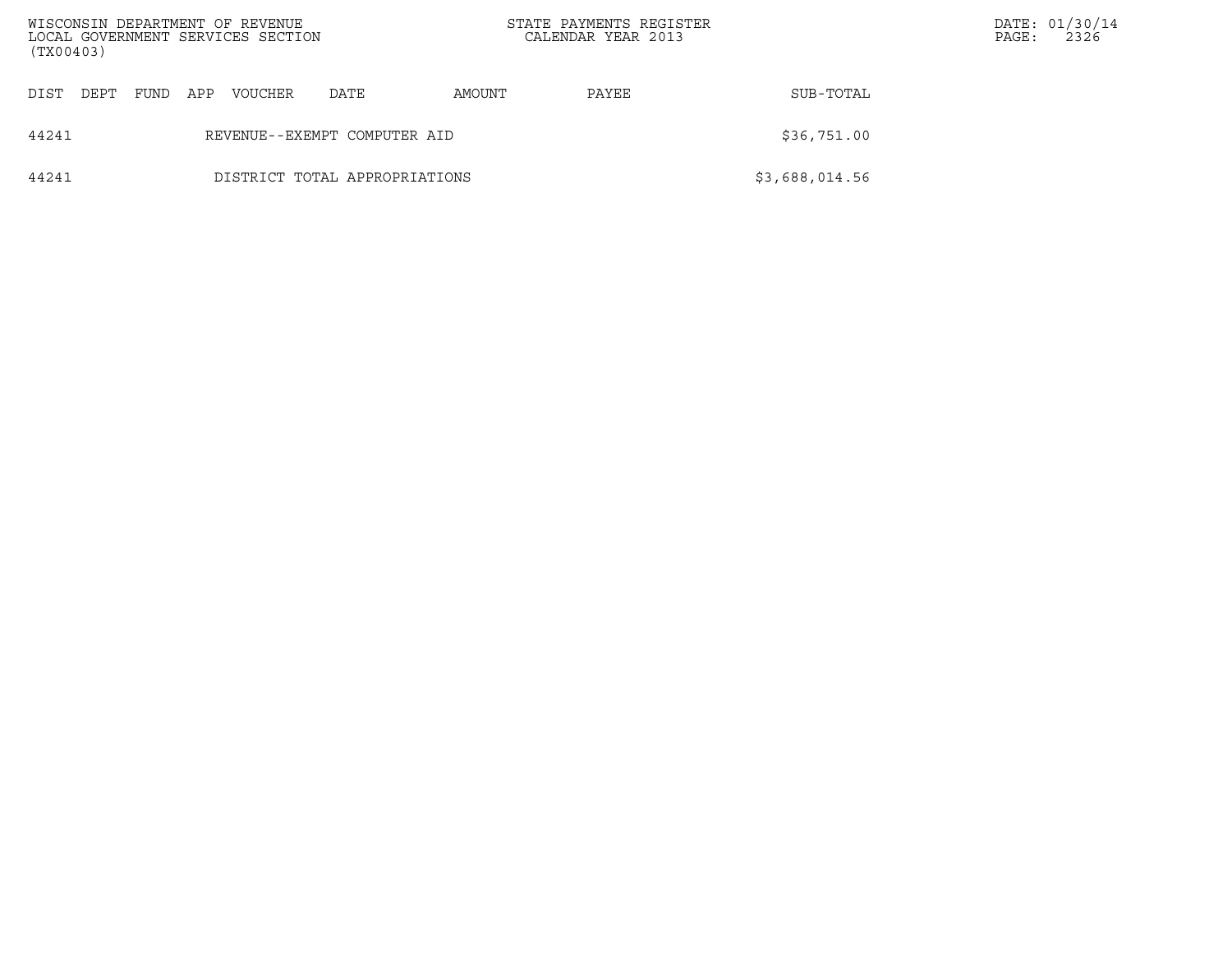| WISCONSIN DEPARTMENT OF REVENUE<br>(TX00403) |      |                              | LOCAL GOVERNMENT SERVICES SECTION |                               | STATE PAYMENTS REGISTER<br>CALENDAR YEAR 2013 |       |                | PAGE: | DATE: 01/30/14<br>2326 |
|----------------------------------------------|------|------------------------------|-----------------------------------|-------------------------------|-----------------------------------------------|-------|----------------|-------|------------------------|
| DIST<br>DEPT                                 | FUND | APP                          | VOUCHER                           | DATE                          | AMOUNT                                        | PAYEE | SUB-TOTAL      |       |                        |
| 44241                                        |      | REVENUE--EXEMPT COMPUTER AID | \$36,751.00                       |                               |                                               |       |                |       |                        |
| 44241                                        |      |                              |                                   | DISTRICT TOTAL APPROPRIATIONS |                                               |       | \$3,688,014.56 |       |                        |